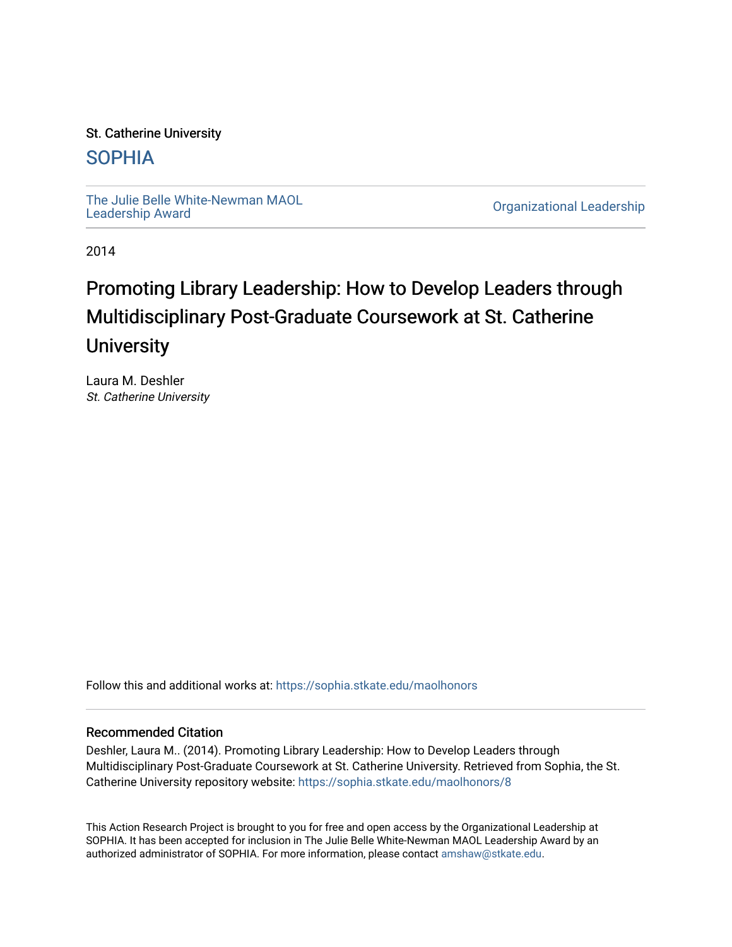#### St. Catherine University

### [SOPHIA](https://sophia.stkate.edu/)

[The Julie Belle White-Newman MAOL](https://sophia.stkate.edu/maolhonors)<br>Leadership Award

**Organizational Leadership** 

2014

## Promoting Library Leadership: How to Develop Leaders through Multidisciplinary Post-Graduate Coursework at St. Catherine **University**

Laura M. Deshler St. Catherine University

Follow this and additional works at: [https://sophia.stkate.edu/maolhonors](https://sophia.stkate.edu/maolhonors?utm_source=sophia.stkate.edu%2Fmaolhonors%2F8&utm_medium=PDF&utm_campaign=PDFCoverPages) 

#### Recommended Citation

Deshler, Laura M.. (2014). Promoting Library Leadership: How to Develop Leaders through Multidisciplinary Post-Graduate Coursework at St. Catherine University. Retrieved from Sophia, the St. Catherine University repository website: [https://sophia.stkate.edu/maolhonors/8](https://sophia.stkate.edu/maolhonors/8?utm_source=sophia.stkate.edu%2Fmaolhonors%2F8&utm_medium=PDF&utm_campaign=PDFCoverPages)

This Action Research Project is brought to you for free and open access by the Organizational Leadership at SOPHIA. It has been accepted for inclusion in The Julie Belle White-Newman MAOL Leadership Award by an authorized administrator of SOPHIA. For more information, please contact [amshaw@stkate.edu](mailto:amshaw@stkate.edu).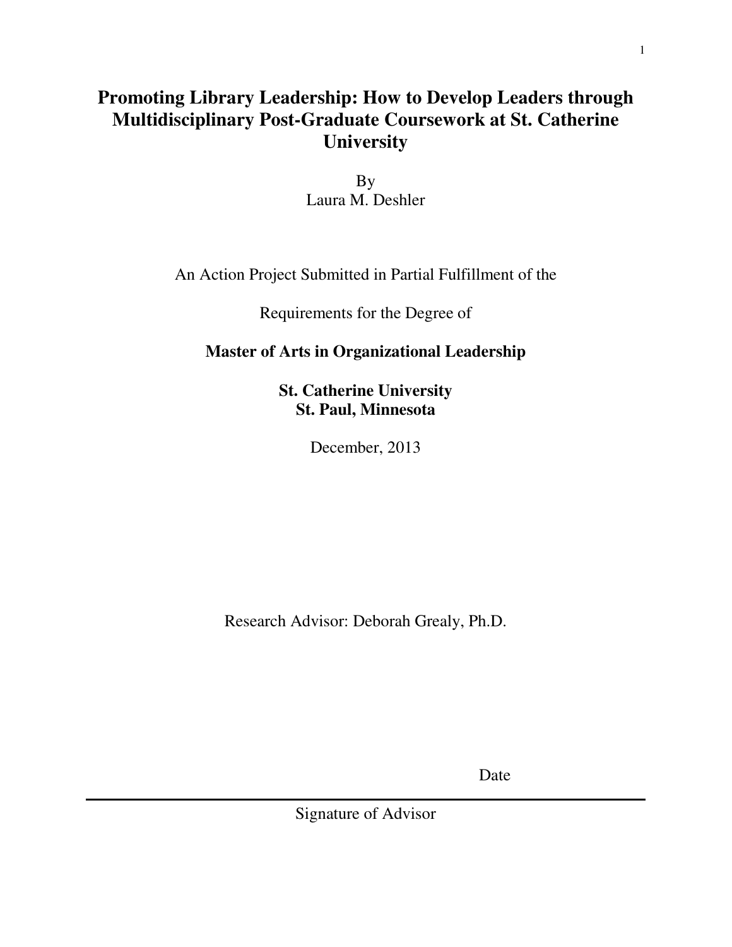## **Promoting Library Leadership: How to Develop Leaders through Multidisciplinary Post-Graduate Coursework at St. Catherine University**

By Laura M. Deshler

An Action Project Submitted in Partial Fulfillment of the

Requirements for the Degree of

## **Master of Arts in Organizational Leadership**

**St. Catherine University St. Paul, Minnesota** 

December, 2013

Research Advisor: Deborah Grealy, Ph.D.

**Date** Date

Signature of Advisor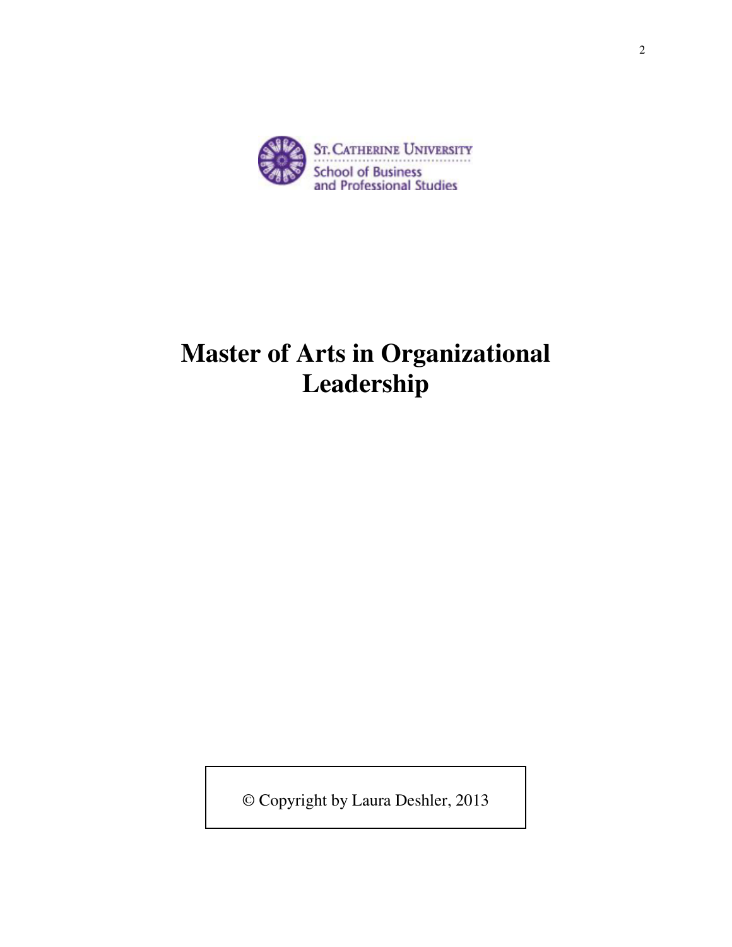

# **Master of Arts in Organizational Leadership**

© Copyright by Laura Deshler, 2013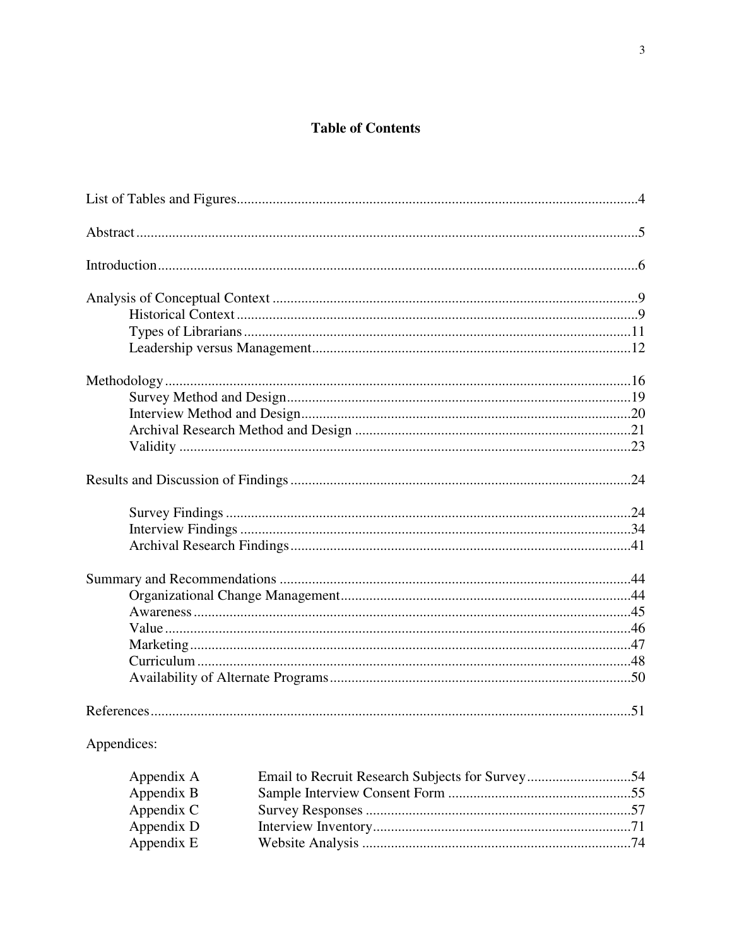### **Table of Contents**

| Appendices: |
|-------------|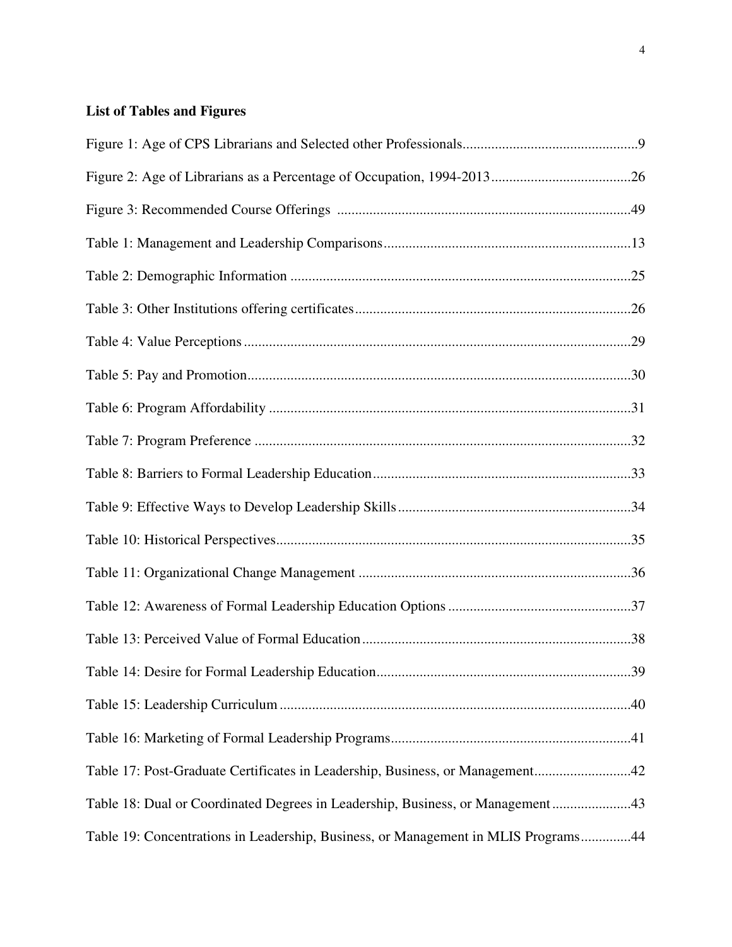#### **List of Tables and Figures**

| Table 17: Post-Graduate Certificates in Leadership, Business, or Management42      |  |
|------------------------------------------------------------------------------------|--|
| Table 18: Dual or Coordinated Degrees in Leadership, Business, or Management43     |  |
| Table 19: Concentrations in Leadership, Business, or Management in MLIS Programs44 |  |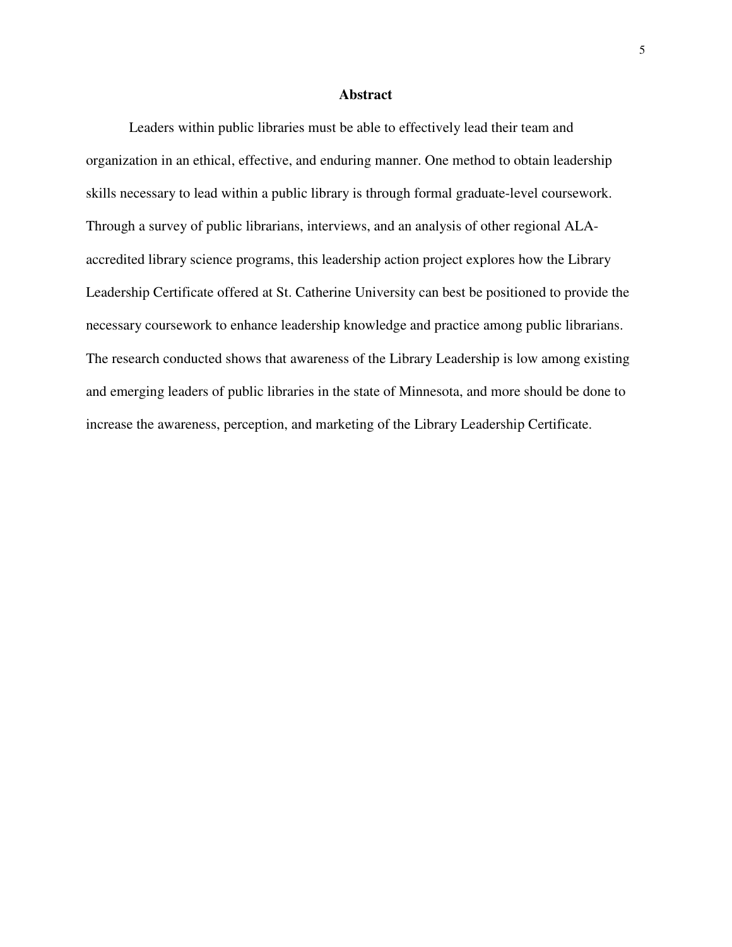#### **Abstract**

Leaders within public libraries must be able to effectively lead their team and organization in an ethical, effective, and enduring manner. One method to obtain leadership skills necessary to lead within a public library is through formal graduate-level coursework. Through a survey of public librarians, interviews, and an analysis of other regional ALAaccredited library science programs, this leadership action project explores how the Library Leadership Certificate offered at St. Catherine University can best be positioned to provide the necessary coursework to enhance leadership knowledge and practice among public librarians. The research conducted shows that awareness of the Library Leadership is low among existing and emerging leaders of public libraries in the state of Minnesota, and more should be done to increase the awareness, perception, and marketing of the Library Leadership Certificate.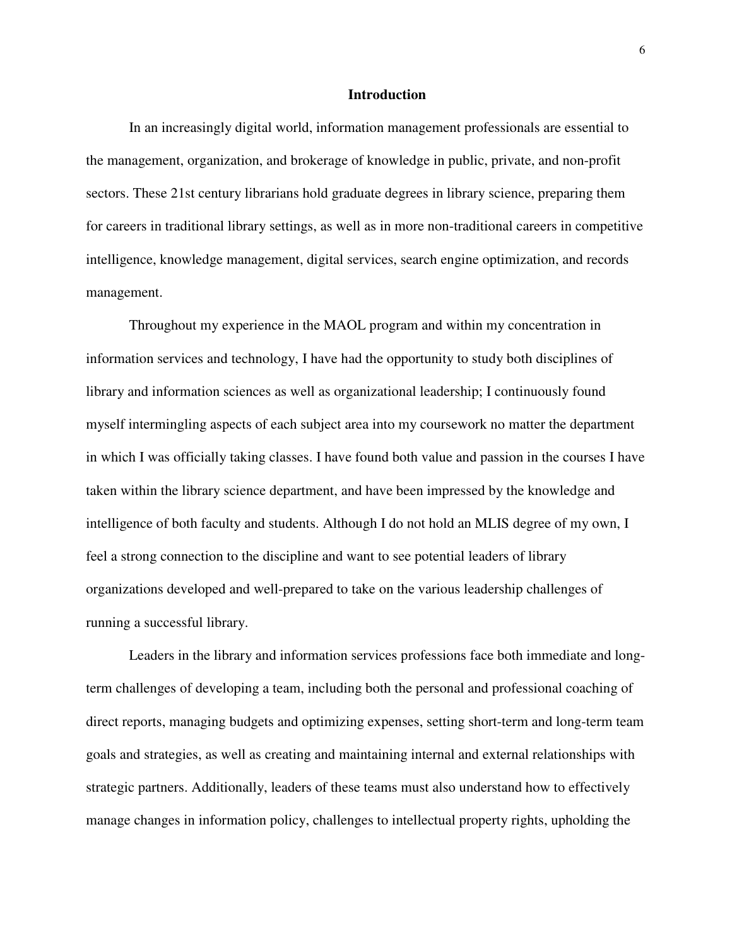#### **Introduction**

In an increasingly digital world, information management professionals are essential to the management, organization, and brokerage of knowledge in public, private, and non-profit sectors. These 21st century librarians hold graduate degrees in library science, preparing them for careers in traditional library settings, as well as in more non-traditional careers in competitive intelligence, knowledge management, digital services, search engine optimization, and records management.

Throughout my experience in the MAOL program and within my concentration in information services and technology, I have had the opportunity to study both disciplines of library and information sciences as well as organizational leadership; I continuously found myself intermingling aspects of each subject area into my coursework no matter the department in which I was officially taking classes. I have found both value and passion in the courses I have taken within the library science department, and have been impressed by the knowledge and intelligence of both faculty and students. Although I do not hold an MLIS degree of my own, I feel a strong connection to the discipline and want to see potential leaders of library organizations developed and well-prepared to take on the various leadership challenges of running a successful library.

Leaders in the library and information services professions face both immediate and longterm challenges of developing a team, including both the personal and professional coaching of direct reports, managing budgets and optimizing expenses, setting short-term and long-term team goals and strategies, as well as creating and maintaining internal and external relationships with strategic partners. Additionally, leaders of these teams must also understand how to effectively manage changes in information policy, challenges to intellectual property rights, upholding the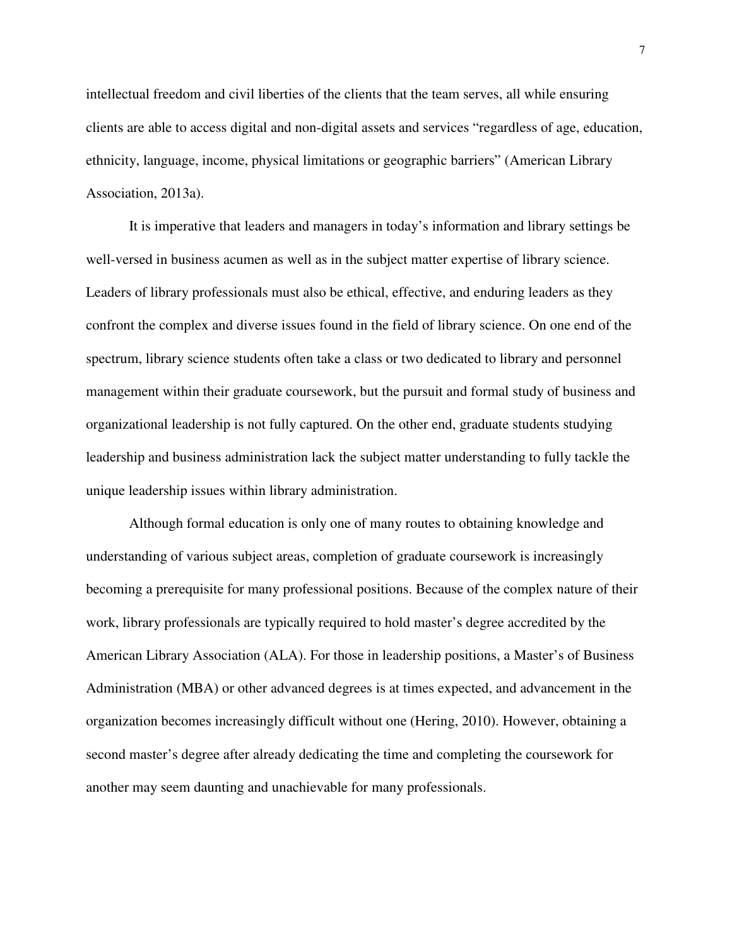intellectual freedom and civil liberties of the clients that the team serves, all while ensuring clients are able to access digital and non-digital assets and services "regardless of age, education, ethnicity, language, income, physical limitations or geographic barriers" (American Library Association, 2013a).

It is imperative that leaders and managers in today's information and library settings be well-versed in business acumen as well as in the subject matter expertise of library science. Leaders of library professionals must also be ethical, effective, and enduring leaders as they confront the complex and diverse issues found in the field of library science. On one end of the spectrum, library science students often take a class or two dedicated to library and personnel management within their graduate coursework, but the pursuit and formal study of business and organizational leadership is not fully captured. On the other end, graduate students studying leadership and business administration lack the subject matter understanding to fully tackle the unique leadership issues within library administration.

Although formal education is only one of many routes to obtaining knowledge and understanding of various subject areas, completion of graduate coursework is increasingly becoming a prerequisite for many professional positions. Because of the complex nature of their work, library professionals are typically required to hold master's degree accredited by the American Library Association (ALA). For those in leadership positions, a Master's of Business Administration (MBA) or other advanced degrees is at times expected, and advancement in the organization becomes increasingly difficult without one (Hering, 2010). However, obtaining a second master's degree after already dedicating the time and completing the coursework for another may seem daunting and unachievable for many professionals.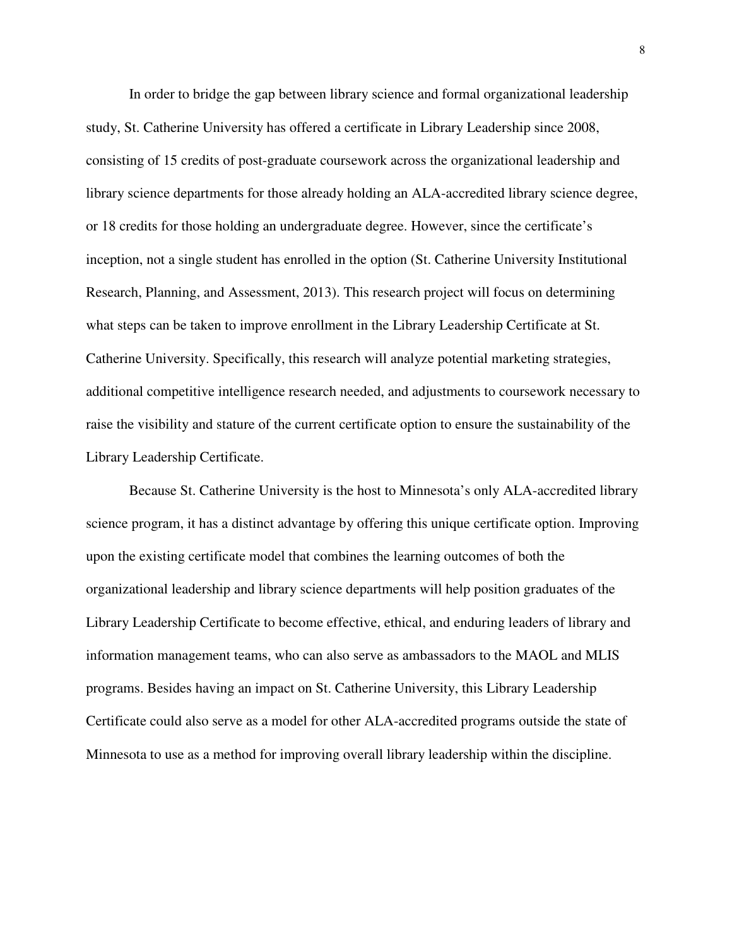In order to bridge the gap between library science and formal organizational leadership study, St. Catherine University has offered a certificate in Library Leadership since 2008, consisting of 15 credits of post-graduate coursework across the organizational leadership and library science departments for those already holding an ALA-accredited library science degree, or 18 credits for those holding an undergraduate degree. However, since the certificate's inception, not a single student has enrolled in the option (St. Catherine University Institutional Research, Planning, and Assessment, 2013). This research project will focus on determining what steps can be taken to improve enrollment in the Library Leadership Certificate at St. Catherine University. Specifically, this research will analyze potential marketing strategies, additional competitive intelligence research needed, and adjustments to coursework necessary to raise the visibility and stature of the current certificate option to ensure the sustainability of the Library Leadership Certificate.

Because St. Catherine University is the host to Minnesota's only ALA-accredited library science program, it has a distinct advantage by offering this unique certificate option. Improving upon the existing certificate model that combines the learning outcomes of both the organizational leadership and library science departments will help position graduates of the Library Leadership Certificate to become effective, ethical, and enduring leaders of library and information management teams, who can also serve as ambassadors to the MAOL and MLIS programs. Besides having an impact on St. Catherine University, this Library Leadership Certificate could also serve as a model for other ALA-accredited programs outside the state of Minnesota to use as a method for improving overall library leadership within the discipline.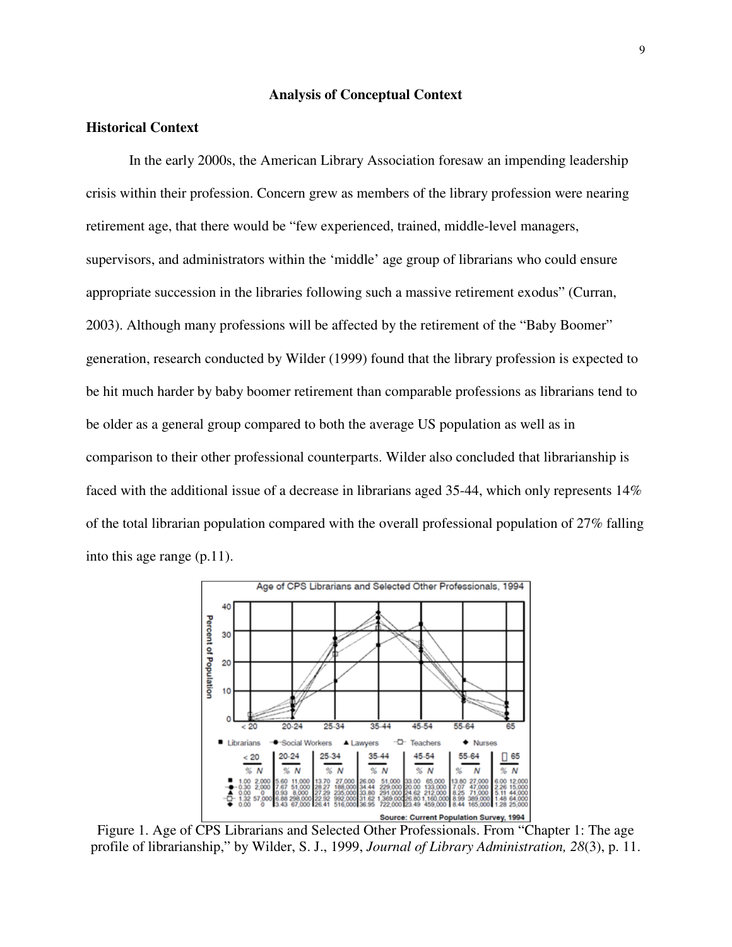#### **Analysis of Conceptual Context**

#### **Historical Context**

In the early 2000s, the American Library Association foresaw an impending leadership crisis within their profession. Concern grew as members of the library profession were nearing retirement age, that there would be "few experienced, trained, middle-level managers, supervisors, and administrators within the 'middle' age group of librarians who could ensure appropriate succession in the libraries following such a massive retirement exodus" (Curran, 2003). Although many professions will be affected by the retirement of the "Baby Boomer" generation, research conducted by Wilder (1999) found that the library profession is expected to be hit much harder by baby boomer retirement than comparable professions as librarians tend to be older as a general group compared to both the average US population as well as in comparison to their other professional counterparts. Wilder also concluded that librarianship is faced with the additional issue of a decrease in librarians aged 35-44, which only represents 14% of the total librarian population compared with the overall professional population of 27% falling into this age range (p.11).



Figure 1. Age of CPS Librarians and Selected Other Professionals. From "Chapter 1: The age profile of librarianship," by Wilder, S. J., 1999, *Journal of Library Administration, 28*(3), p. 11.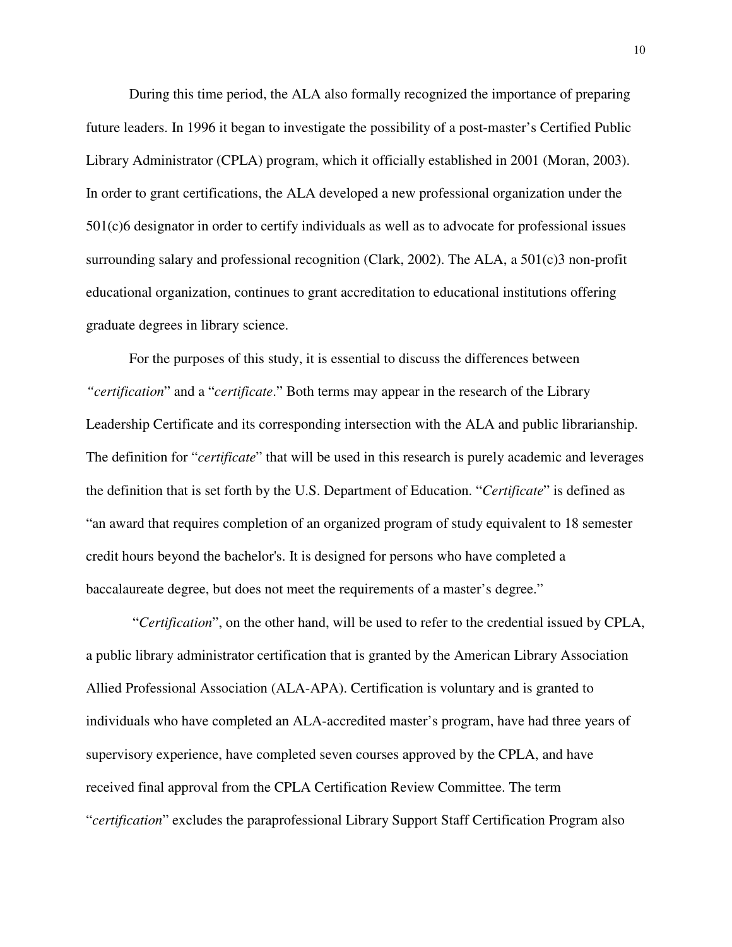During this time period, the ALA also formally recognized the importance of preparing future leaders. In 1996 it began to investigate the possibility of a post-master's Certified Public Library Administrator (CPLA) program, which it officially established in 2001 (Moran, 2003). In order to grant certifications, the ALA developed a new professional organization under the 501(c)6 designator in order to certify individuals as well as to advocate for professional issues surrounding salary and professional recognition (Clark, 2002). The ALA, a 501(c)3 non-profit educational organization, continues to grant accreditation to educational institutions offering graduate degrees in library science.

For the purposes of this study, it is essential to discuss the differences between *"certification*" and a "*certificate*." Both terms may appear in the research of the Library Leadership Certificate and its corresponding intersection with the ALA and public librarianship. The definition for "*certificate*" that will be used in this research is purely academic and leverages the definition that is set forth by the U.S. Department of Education. "*Certificate*" is defined as "an award that requires completion of an organized program of study equivalent to 18 semester credit hours beyond the bachelor's. It is designed for persons who have completed a baccalaureate degree, but does not meet the requirements of a master's degree."

 "*Certification*", on the other hand, will be used to refer to the credential issued by CPLA, a public library administrator certification that is granted by the American Library Association Allied Professional Association (ALA-APA). Certification is voluntary and is granted to individuals who have completed an ALA-accredited master's program, have had three years of supervisory experience, have completed seven courses approved by the CPLA, and have received final approval from the CPLA Certification Review Committee. The term "*certification*" excludes the paraprofessional Library Support Staff Certification Program also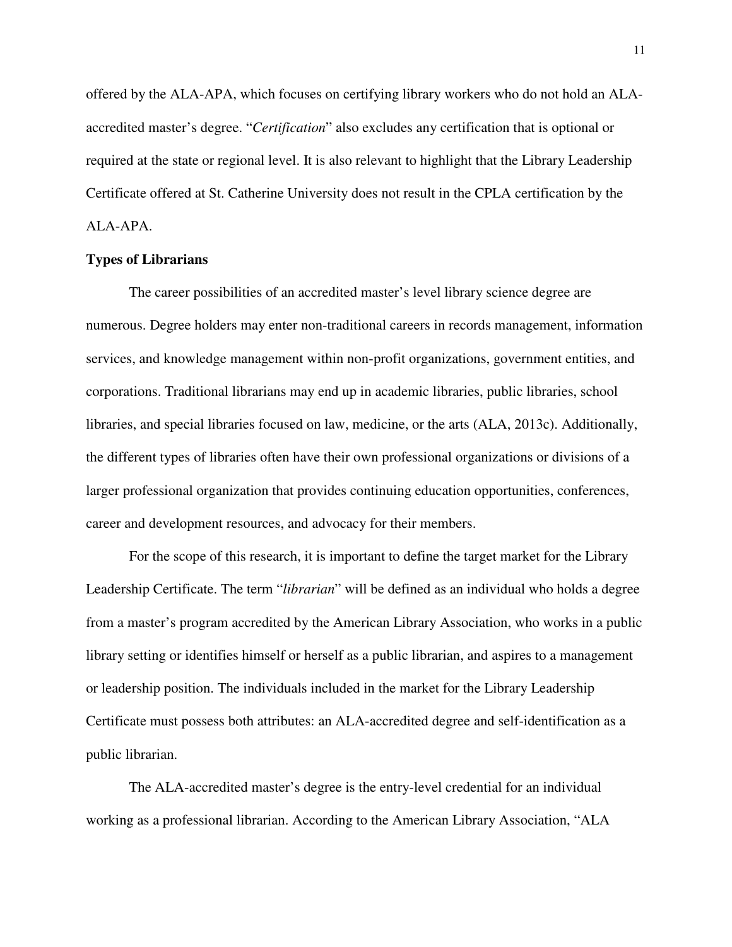offered by the ALA-APA, which focuses on certifying library workers who do not hold an ALAaccredited master's degree. "*Certification*" also excludes any certification that is optional or required at the state or regional level. It is also relevant to highlight that the Library Leadership Certificate offered at St. Catherine University does not result in the CPLA certification by the ALA-APA.

#### **Types of Librarians**

The career possibilities of an accredited master's level library science degree are numerous. Degree holders may enter non-traditional careers in records management, information services, and knowledge management within non-profit organizations, government entities, and corporations. Traditional librarians may end up in academic libraries, public libraries, school libraries, and special libraries focused on law, medicine, or the arts (ALA, 2013c). Additionally, the different types of libraries often have their own professional organizations or divisions of a larger professional organization that provides continuing education opportunities, conferences, career and development resources, and advocacy for their members.

For the scope of this research, it is important to define the target market for the Library Leadership Certificate. The term "*librarian*" will be defined as an individual who holds a degree from a master's program accredited by the American Library Association, who works in a public library setting or identifies himself or herself as a public librarian, and aspires to a management or leadership position. The individuals included in the market for the Library Leadership Certificate must possess both attributes: an ALA-accredited degree and self-identification as a public librarian.

The ALA-accredited master's degree is the entry-level credential for an individual working as a professional librarian. According to the American Library Association, "ALA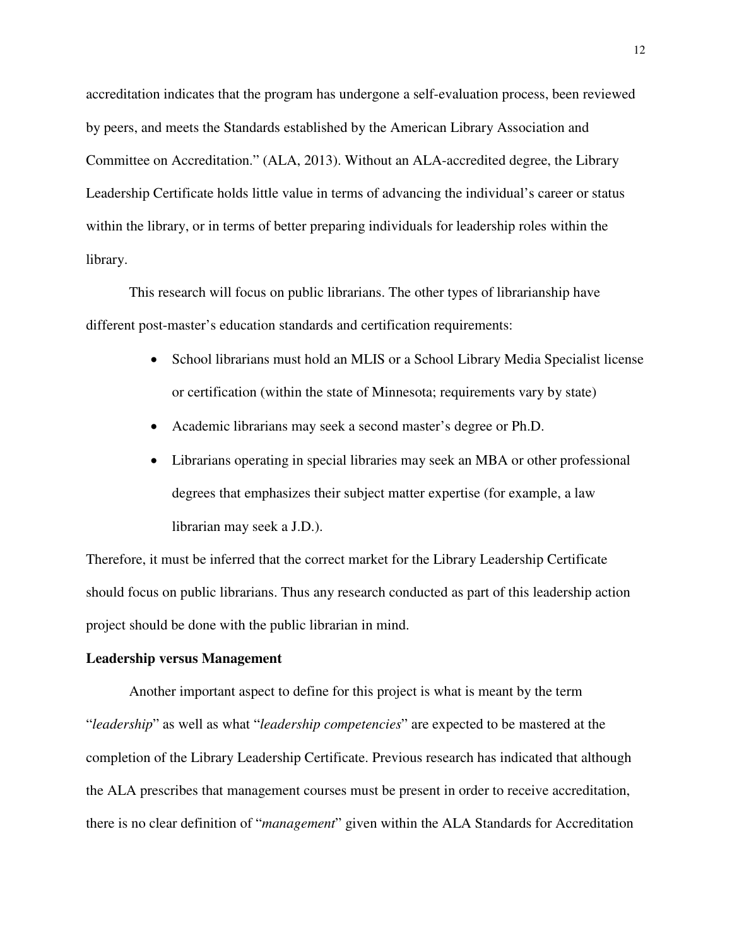accreditation indicates that the program has undergone a self-evaluation process, been reviewed by peers, and meets the Standards established by the American Library Association and Committee on Accreditation." (ALA, 2013). Without an ALA-accredited degree, the Library Leadership Certificate holds little value in terms of advancing the individual's career or status within the library, or in terms of better preparing individuals for leadership roles within the library.

This research will focus on public librarians. The other types of librarianship have different post-master's education standards and certification requirements:

- School librarians must hold an MLIS or a School Library Media Specialist license or certification (within the state of Minnesota; requirements vary by state)
- Academic librarians may seek a second master's degree or Ph.D.
- Librarians operating in special libraries may seek an MBA or other professional degrees that emphasizes their subject matter expertise (for example, a law librarian may seek a J.D.).

Therefore, it must be inferred that the correct market for the Library Leadership Certificate should focus on public librarians. Thus any research conducted as part of this leadership action project should be done with the public librarian in mind.

#### **Leadership versus Management**

Another important aspect to define for this project is what is meant by the term "*leadership*" as well as what "*leadership competencies*" are expected to be mastered at the completion of the Library Leadership Certificate. Previous research has indicated that although the ALA prescribes that management courses must be present in order to receive accreditation, there is no clear definition of "*management*" given within the ALA Standards for Accreditation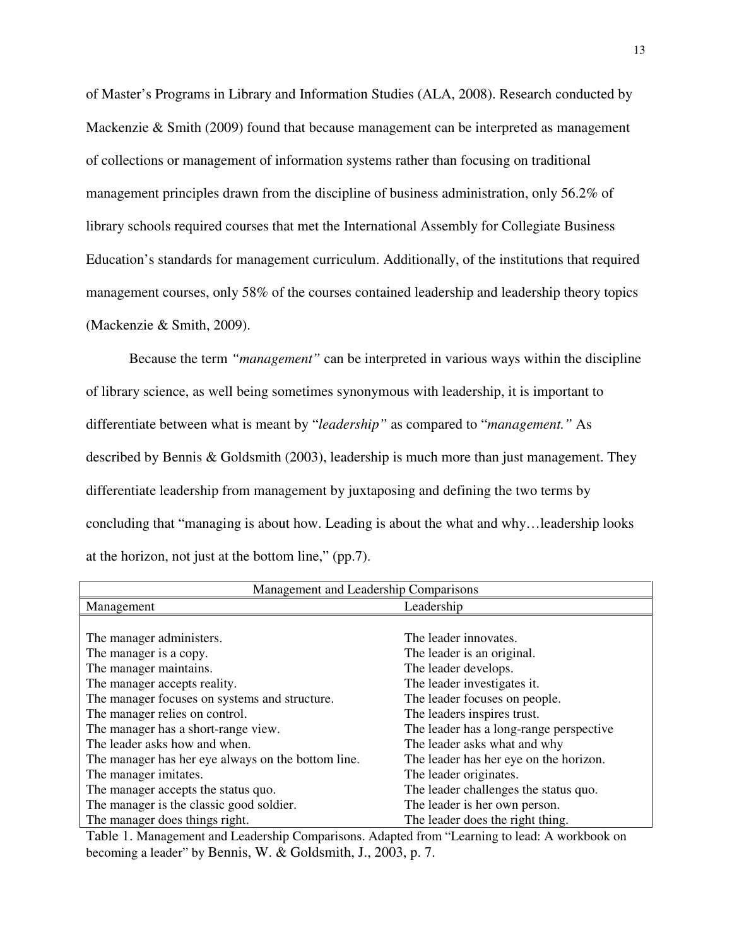of Master's Programs in Library and Information Studies (ALA, 2008). Research conducted by Mackenzie & Smith (2009) found that because management can be interpreted as management of collections or management of information systems rather than focusing on traditional management principles drawn from the discipline of business administration, only 56.2% of library schools required courses that met the International Assembly for Collegiate Business Education's standards for management curriculum. Additionally, of the institutions that required management courses, only 58% of the courses contained leadership and leadership theory topics (Mackenzie & Smith, 2009).

Because the term *"management"* can be interpreted in various ways within the discipline of library science, as well being sometimes synonymous with leadership, it is important to differentiate between what is meant by "*leadership"* as compared to "*management."* As described by Bennis & Goldsmith (2003), leadership is much more than just management. They differentiate leadership from management by juxtaposing and defining the two terms by concluding that "managing is about how. Leading is about the what and why…leadership looks at the horizon, not just at the bottom line," (pp.7).

| Management and Leadership Comparisons              |                                         |  |  |  |  |  |  |
|----------------------------------------------------|-----------------------------------------|--|--|--|--|--|--|
| Management                                         | Leadership                              |  |  |  |  |  |  |
|                                                    |                                         |  |  |  |  |  |  |
| The manager administers.                           | The leader innovates.                   |  |  |  |  |  |  |
| The manager is a copy.                             | The leader is an original.              |  |  |  |  |  |  |
| The manager maintains.                             | The leader develops.                    |  |  |  |  |  |  |
| The manager accepts reality.                       | The leader investigates it.             |  |  |  |  |  |  |
| The manager focuses on systems and structure.      | The leader focuses on people.           |  |  |  |  |  |  |
| The manager relies on control.                     | The leaders inspires trust.             |  |  |  |  |  |  |
| The manager has a short-range view.                | The leader has a long-range perspective |  |  |  |  |  |  |
| The leader asks how and when.                      | The leader asks what and why            |  |  |  |  |  |  |
| The manager has her eye always on the bottom line. | The leader has her eye on the horizon.  |  |  |  |  |  |  |
| The manager imitates.                              | The leader originates.                  |  |  |  |  |  |  |
| The manager accepts the status quo.                | The leader challenges the status quo.   |  |  |  |  |  |  |
| The manager is the classic good soldier.           | The leader is her own person.           |  |  |  |  |  |  |
| The manager does things right.                     | The leader does the right thing.        |  |  |  |  |  |  |

Table 1. Management and Leadership Comparisons. Adapted from "Learning to lead: A workbook on becoming a leader" by Bennis, W. & Goldsmith, J., 2003, p. 7.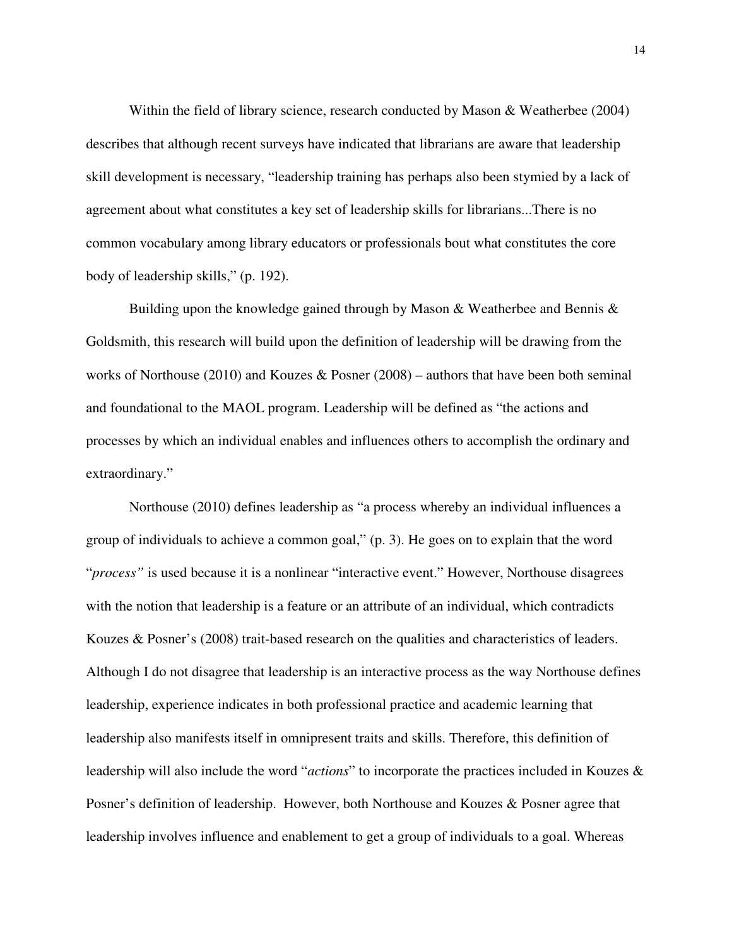Within the field of library science, research conducted by Mason & Weatherbee (2004) describes that although recent surveys have indicated that librarians are aware that leadership skill development is necessary, "leadership training has perhaps also been stymied by a lack of agreement about what constitutes a key set of leadership skills for librarians...There is no common vocabulary among library educators or professionals bout what constitutes the core body of leadership skills," (p. 192).

Building upon the knowledge gained through by Mason & Weatherbee and Bennis & Goldsmith, this research will build upon the definition of leadership will be drawing from the works of Northouse (2010) and Kouzes & Posner (2008) – authors that have been both seminal and foundational to the MAOL program. Leadership will be defined as "the actions and processes by which an individual enables and influences others to accomplish the ordinary and extraordinary."

Northouse (2010) defines leadership as "a process whereby an individual influences a group of individuals to achieve a common goal," (p. 3). He goes on to explain that the word "*process"* is used because it is a nonlinear "interactive event." However, Northouse disagrees with the notion that leadership is a feature or an attribute of an individual, which contradicts Kouzes & Posner's (2008) trait-based research on the qualities and characteristics of leaders. Although I do not disagree that leadership is an interactive process as the way Northouse defines leadership, experience indicates in both professional practice and academic learning that leadership also manifests itself in omnipresent traits and skills. Therefore, this definition of leadership will also include the word "*actions*" to incorporate the practices included in Kouzes & Posner's definition of leadership. However, both Northouse and Kouzes & Posner agree that leadership involves influence and enablement to get a group of individuals to a goal. Whereas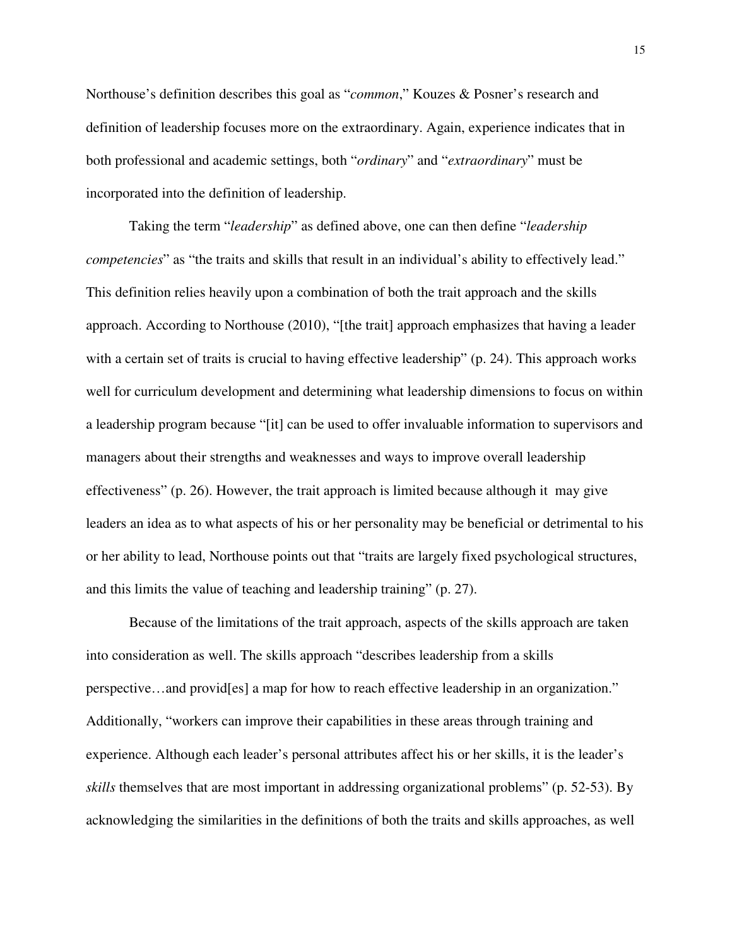Northouse's definition describes this goal as "*common*," Kouzes & Posner's research and definition of leadership focuses more on the extraordinary. Again, experience indicates that in both professional and academic settings, both "*ordinary*" and "*extraordinary*" must be incorporated into the definition of leadership.

Taking the term "*leadership*" as defined above, one can then define "*leadership competencies*" as "the traits and skills that result in an individual's ability to effectively lead." This definition relies heavily upon a combination of both the trait approach and the skills approach. According to Northouse (2010), "[the trait] approach emphasizes that having a leader with a certain set of traits is crucial to having effective leadership" (p. 24). This approach works well for curriculum development and determining what leadership dimensions to focus on within a leadership program because "[it] can be used to offer invaluable information to supervisors and managers about their strengths and weaknesses and ways to improve overall leadership effectiveness" (p. 26). However, the trait approach is limited because although it may give leaders an idea as to what aspects of his or her personality may be beneficial or detrimental to his or her ability to lead, Northouse points out that "traits are largely fixed psychological structures, and this limits the value of teaching and leadership training" (p. 27).

Because of the limitations of the trait approach, aspects of the skills approach are taken into consideration as well. The skills approach "describes leadership from a skills perspective…and provid[es] a map for how to reach effective leadership in an organization." Additionally, "workers can improve their capabilities in these areas through training and experience. Although each leader's personal attributes affect his or her skills, it is the leader's *skills* themselves that are most important in addressing organizational problems" (p. 52-53). By acknowledging the similarities in the definitions of both the traits and skills approaches, as well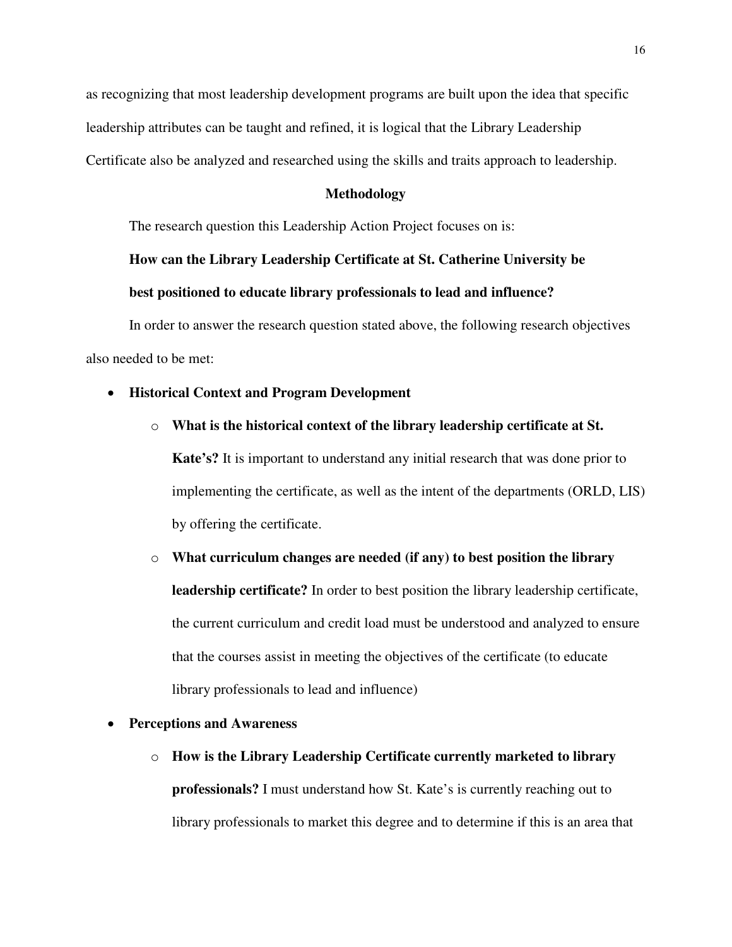as recognizing that most leadership development programs are built upon the idea that specific leadership attributes can be taught and refined, it is logical that the Library Leadership Certificate also be analyzed and researched using the skills and traits approach to leadership.

#### **Methodology**

The research question this Leadership Action Project focuses on is:

#### **How can the Library Leadership Certificate at St. Catherine University be**

#### **best positioned to educate library professionals to lead and influence?**

In order to answer the research question stated above, the following research objectives also needed to be met:

#### • **Historical Context and Program Development**

o **What is the historical context of the library leadership certificate at St.** 

**Kate's?** It is important to understand any initial research that was done prior to implementing the certificate, as well as the intent of the departments (ORLD, LIS) by offering the certificate.

## o **What curriculum changes are needed (if any) to best position the library leadership certificate?** In order to best position the library leadership certificate, the current curriculum and credit load must be understood and analyzed to ensure that the courses assist in meeting the objectives of the certificate (to educate library professionals to lead and influence)

#### • **Perceptions and Awareness**

o **How is the Library Leadership Certificate currently marketed to library professionals?** I must understand how St. Kate's is currently reaching out to library professionals to market this degree and to determine if this is an area that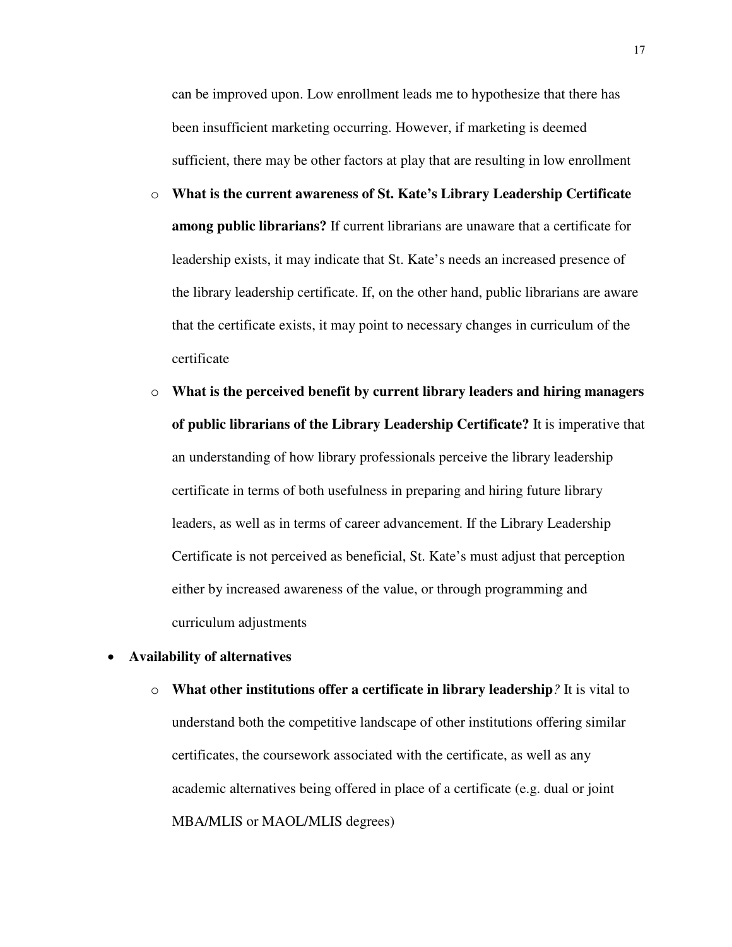can be improved upon. Low enrollment leads me to hypothesize that there has been insufficient marketing occurring. However, if marketing is deemed sufficient, there may be other factors at play that are resulting in low enrollment

- o **What is the current awareness of St. Kate's Library Leadership Certificate among public librarians?** If current librarians are unaware that a certificate for leadership exists, it may indicate that St. Kate's needs an increased presence of the library leadership certificate. If, on the other hand, public librarians are aware that the certificate exists, it may point to necessary changes in curriculum of the certificate
- o **What is the perceived benefit by current library leaders and hiring managers of public librarians of the Library Leadership Certificate?** It is imperative that an understanding of how library professionals perceive the library leadership certificate in terms of both usefulness in preparing and hiring future library leaders, as well as in terms of career advancement. If the Library Leadership Certificate is not perceived as beneficial, St. Kate's must adjust that perception either by increased awareness of the value, or through programming and curriculum adjustments

#### • **Availability of alternatives**

o **What other institutions offer a certificate in library leadership***?* It is vital to understand both the competitive landscape of other institutions offering similar certificates, the coursework associated with the certificate, as well as any academic alternatives being offered in place of a certificate (e.g. dual or joint MBA/MLIS or MAOL/MLIS degrees)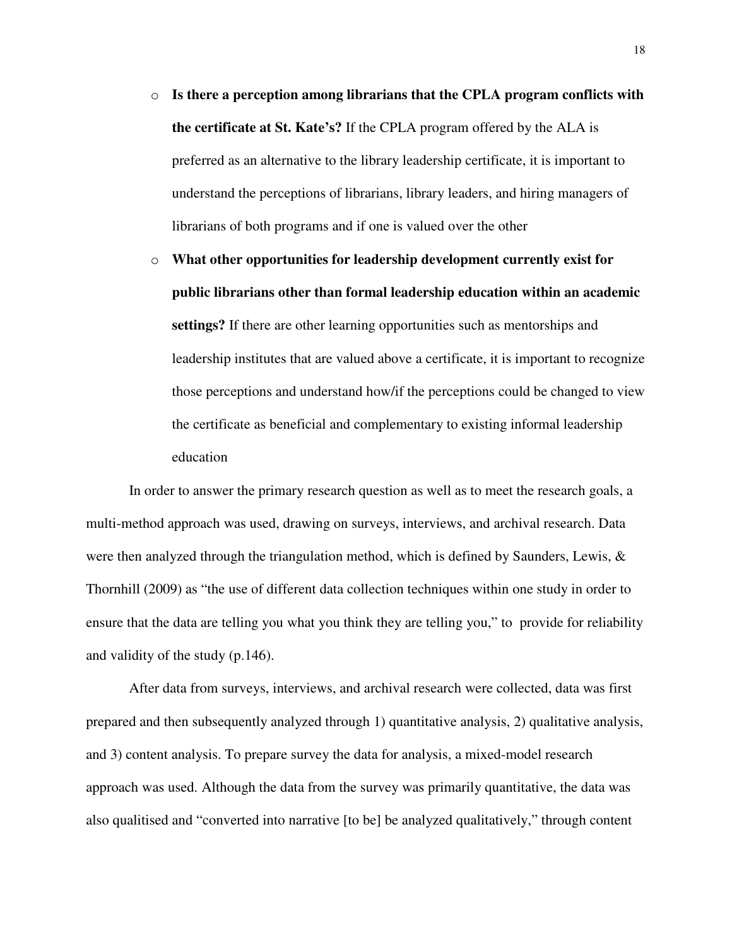- o **Is there a perception among librarians that the CPLA program conflicts with the certificate at St. Kate's?** If the CPLA program offered by the ALA is preferred as an alternative to the library leadership certificate, it is important to understand the perceptions of librarians, library leaders, and hiring managers of librarians of both programs and if one is valued over the other
- o **What other opportunities for leadership development currently exist for public librarians other than formal leadership education within an academic settings?** If there are other learning opportunities such as mentorships and leadership institutes that are valued above a certificate, it is important to recognize those perceptions and understand how/if the perceptions could be changed to view the certificate as beneficial and complementary to existing informal leadership education

In order to answer the primary research question as well as to meet the research goals, a multi-method approach was used, drawing on surveys, interviews, and archival research. Data were then analyzed through the triangulation method, which is defined by Saunders, Lewis, & Thornhill (2009) as "the use of different data collection techniques within one study in order to ensure that the data are telling you what you think they are telling you," to provide for reliability and validity of the study (p.146).

After data from surveys, interviews, and archival research were collected, data was first prepared and then subsequently analyzed through 1) quantitative analysis, 2) qualitative analysis, and 3) content analysis. To prepare survey the data for analysis, a mixed-model research approach was used. Although the data from the survey was primarily quantitative, the data was also qualitised and "converted into narrative [to be] be analyzed qualitatively," through content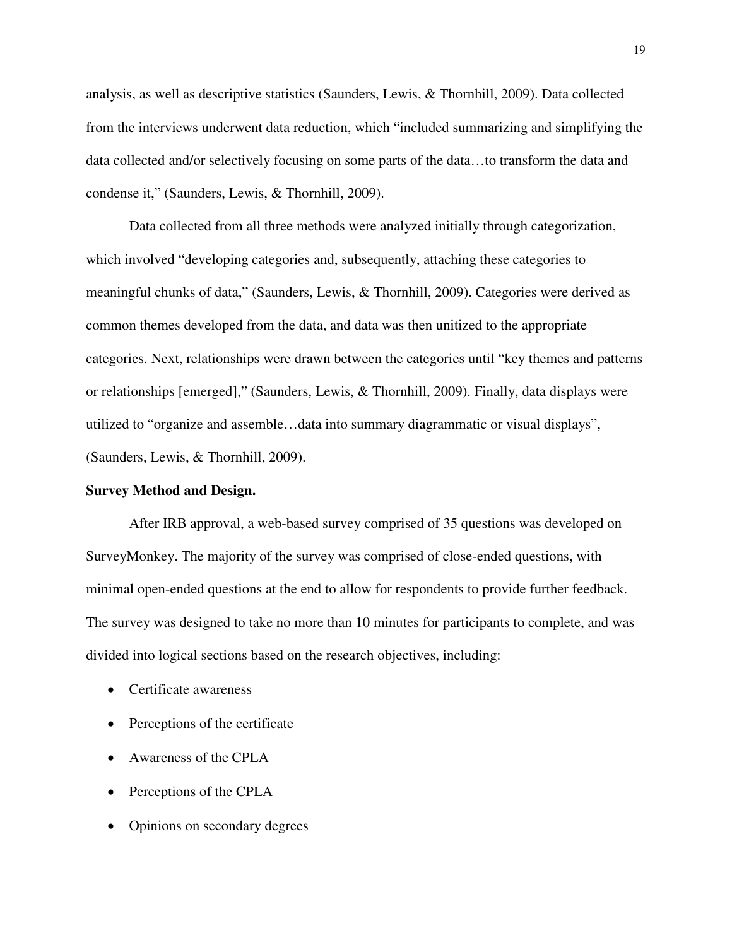analysis, as well as descriptive statistics (Saunders, Lewis, & Thornhill, 2009). Data collected from the interviews underwent data reduction, which "included summarizing and simplifying the data collected and/or selectively focusing on some parts of the data…to transform the data and condense it," (Saunders, Lewis, & Thornhill, 2009).

Data collected from all three methods were analyzed initially through categorization, which involved "developing categories and, subsequently, attaching these categories to meaningful chunks of data," (Saunders, Lewis, & Thornhill, 2009). Categories were derived as common themes developed from the data, and data was then unitized to the appropriate categories. Next, relationships were drawn between the categories until "key themes and patterns or relationships [emerged]," (Saunders, Lewis, & Thornhill, 2009). Finally, data displays were utilized to "organize and assemble…data into summary diagrammatic or visual displays", (Saunders, Lewis, & Thornhill, 2009).

#### **Survey Method and Design.**

After IRB approval, a web-based survey comprised of 35 questions was developed on SurveyMonkey. The majority of the survey was comprised of close-ended questions, with minimal open-ended questions at the end to allow for respondents to provide further feedback. The survey was designed to take no more than 10 minutes for participants to complete, and was divided into logical sections based on the research objectives, including:

- Certificate awareness
- Perceptions of the certificate
- Awareness of the CPLA
- Perceptions of the CPLA
- Opinions on secondary degrees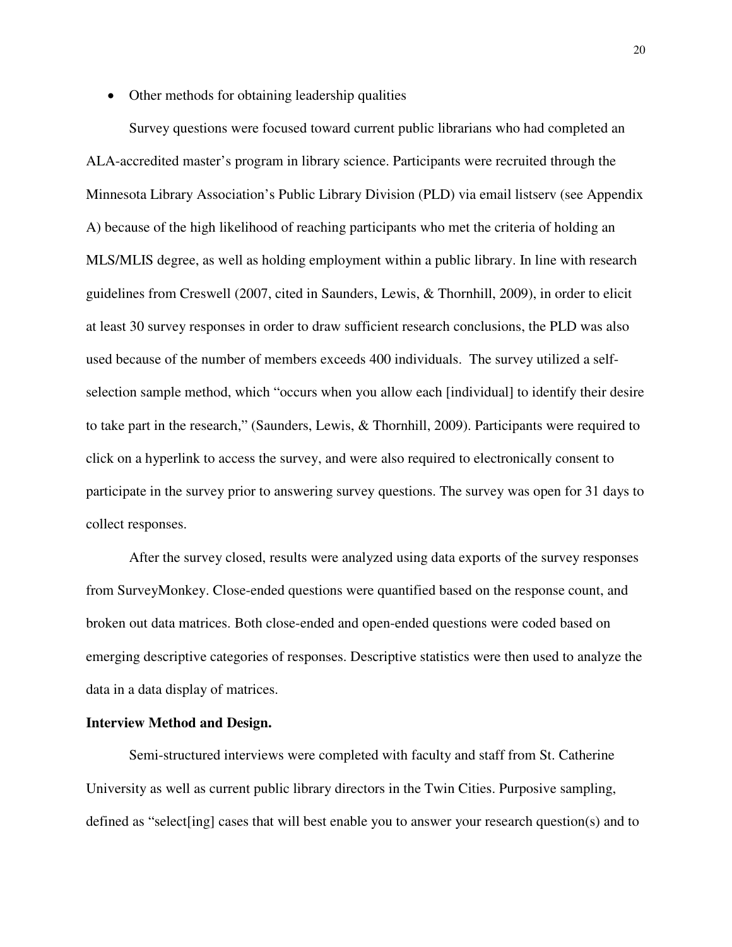• Other methods for obtaining leadership qualities

Survey questions were focused toward current public librarians who had completed an ALA-accredited master's program in library science. Participants were recruited through the Minnesota Library Association's Public Library Division (PLD) via email listserv (see Appendix A) because of the high likelihood of reaching participants who met the criteria of holding an MLS/MLIS degree, as well as holding employment within a public library. In line with research guidelines from Creswell (2007, cited in Saunders, Lewis, & Thornhill, 2009), in order to elicit at least 30 survey responses in order to draw sufficient research conclusions, the PLD was also used because of the number of members exceeds 400 individuals. The survey utilized a selfselection sample method, which "occurs when you allow each [individual] to identify their desire to take part in the research," (Saunders, Lewis, & Thornhill, 2009). Participants were required to click on a hyperlink to access the survey, and were also required to electronically consent to participate in the survey prior to answering survey questions. The survey was open for 31 days to collect responses.

After the survey closed, results were analyzed using data exports of the survey responses from SurveyMonkey. Close-ended questions were quantified based on the response count, and broken out data matrices. Both close-ended and open-ended questions were coded based on emerging descriptive categories of responses. Descriptive statistics were then used to analyze the data in a data display of matrices.

#### **Interview Method and Design.**

Semi-structured interviews were completed with faculty and staff from St. Catherine University as well as current public library directors in the Twin Cities. Purposive sampling, defined as "select[ing] cases that will best enable you to answer your research question(s) and to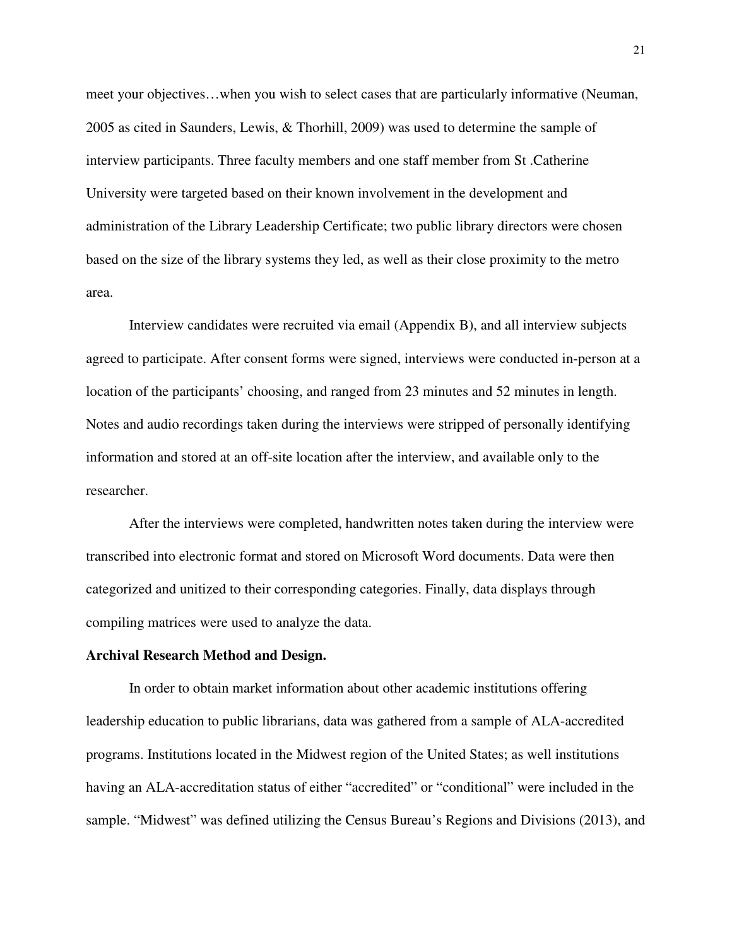meet your objectives…when you wish to select cases that are particularly informative (Neuman, 2005 as cited in Saunders, Lewis, & Thorhill, 2009) was used to determine the sample of interview participants. Three faculty members and one staff member from St .Catherine University were targeted based on their known involvement in the development and administration of the Library Leadership Certificate; two public library directors were chosen based on the size of the library systems they led, as well as their close proximity to the metro area.

Interview candidates were recruited via email (Appendix B), and all interview subjects agreed to participate. After consent forms were signed, interviews were conducted in-person at a location of the participants' choosing, and ranged from 23 minutes and 52 minutes in length. Notes and audio recordings taken during the interviews were stripped of personally identifying information and stored at an off-site location after the interview, and available only to the researcher.

After the interviews were completed, handwritten notes taken during the interview were transcribed into electronic format and stored on Microsoft Word documents. Data were then categorized and unitized to their corresponding categories. Finally, data displays through compiling matrices were used to analyze the data.

#### **Archival Research Method and Design.**

In order to obtain market information about other academic institutions offering leadership education to public librarians, data was gathered from a sample of ALA-accredited programs. Institutions located in the Midwest region of the United States; as well institutions having an ALA-accreditation status of either "accredited" or "conditional" were included in the sample. "Midwest" was defined utilizing the Census Bureau's Regions and Divisions (2013), and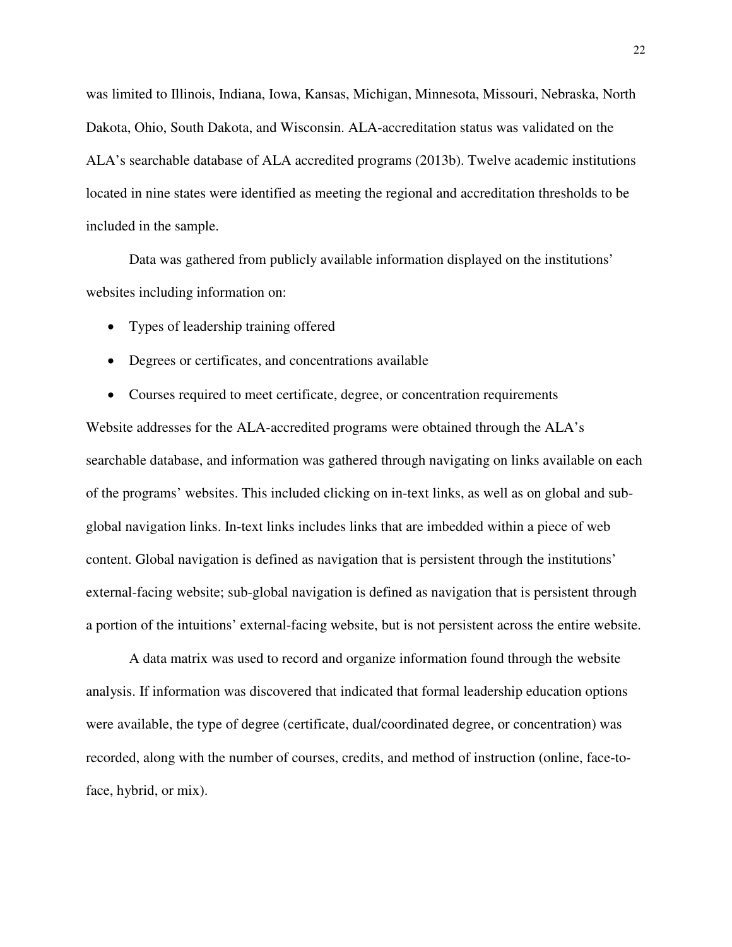was limited to Illinois, Indiana, Iowa, Kansas, Michigan, Minnesota, Missouri, Nebraska, North Dakota, Ohio, South Dakota, and Wisconsin. ALA-accreditation status was validated on the ALA's searchable database of ALA accredited programs (2013b). Twelve academic institutions located in nine states were identified as meeting the regional and accreditation thresholds to be included in the sample.

Data was gathered from publicly available information displayed on the institutions' websites including information on:

- Types of leadership training offered
- Degrees or certificates, and concentrations available
- Courses required to meet certificate, degree, or concentration requirements

Website addresses for the ALA-accredited programs were obtained through the ALA's searchable database, and information was gathered through navigating on links available on each of the programs' websites. This included clicking on in-text links, as well as on global and subglobal navigation links. In-text links includes links that are imbedded within a piece of web content. Global navigation is defined as navigation that is persistent through the institutions' external-facing website; sub-global navigation is defined as navigation that is persistent through a portion of the intuitions' external-facing website, but is not persistent across the entire website.

 A data matrix was used to record and organize information found through the website analysis. If information was discovered that indicated that formal leadership education options were available, the type of degree (certificate, dual/coordinated degree, or concentration) was recorded, along with the number of courses, credits, and method of instruction (online, face-toface, hybrid, or mix).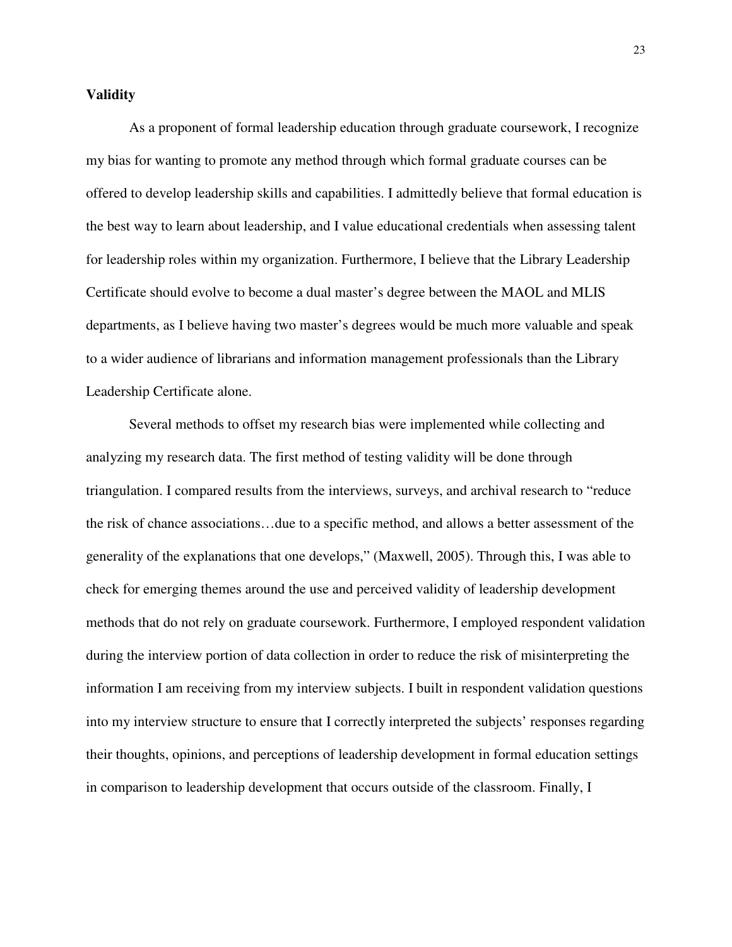#### **Validity**

As a proponent of formal leadership education through graduate coursework, I recognize my bias for wanting to promote any method through which formal graduate courses can be offered to develop leadership skills and capabilities. I admittedly believe that formal education is the best way to learn about leadership, and I value educational credentials when assessing talent for leadership roles within my organization. Furthermore, I believe that the Library Leadership Certificate should evolve to become a dual master's degree between the MAOL and MLIS departments, as I believe having two master's degrees would be much more valuable and speak to a wider audience of librarians and information management professionals than the Library Leadership Certificate alone.

Several methods to offset my research bias were implemented while collecting and analyzing my research data. The first method of testing validity will be done through triangulation. I compared results from the interviews, surveys, and archival research to "reduce the risk of chance associations…due to a specific method, and allows a better assessment of the generality of the explanations that one develops," (Maxwell, 2005). Through this, I was able to check for emerging themes around the use and perceived validity of leadership development methods that do not rely on graduate coursework. Furthermore, I employed respondent validation during the interview portion of data collection in order to reduce the risk of misinterpreting the information I am receiving from my interview subjects. I built in respondent validation questions into my interview structure to ensure that I correctly interpreted the subjects' responses regarding their thoughts, opinions, and perceptions of leadership development in formal education settings in comparison to leadership development that occurs outside of the classroom. Finally, I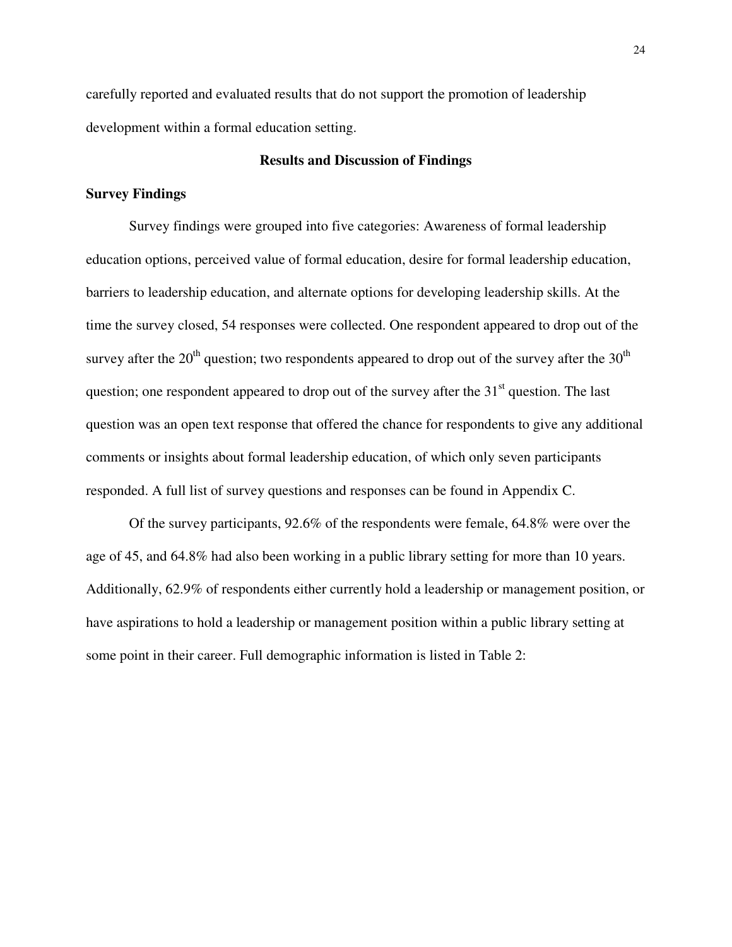carefully reported and evaluated results that do not support the promotion of leadership development within a formal education setting.

#### **Results and Discussion of Findings**

#### **Survey Findings**

Survey findings were grouped into five categories: Awareness of formal leadership education options, perceived value of formal education, desire for formal leadership education, barriers to leadership education, and alternate options for developing leadership skills. At the time the survey closed, 54 responses were collected. One respondent appeared to drop out of the survey after the  $20<sup>th</sup>$  question; two respondents appeared to drop out of the survey after the  $30<sup>th</sup>$ question; one respondent appeared to drop out of the survey after the  $31<sup>st</sup>$  question. The last question was an open text response that offered the chance for respondents to give any additional comments or insights about formal leadership education, of which only seven participants responded. A full list of survey questions and responses can be found in Appendix C.

 Of the survey participants, 92.6% of the respondents were female, 64.8% were over the age of 45, and 64.8% had also been working in a public library setting for more than 10 years. Additionally, 62.9% of respondents either currently hold a leadership or management position, or have aspirations to hold a leadership or management position within a public library setting at some point in their career. Full demographic information is listed in Table 2: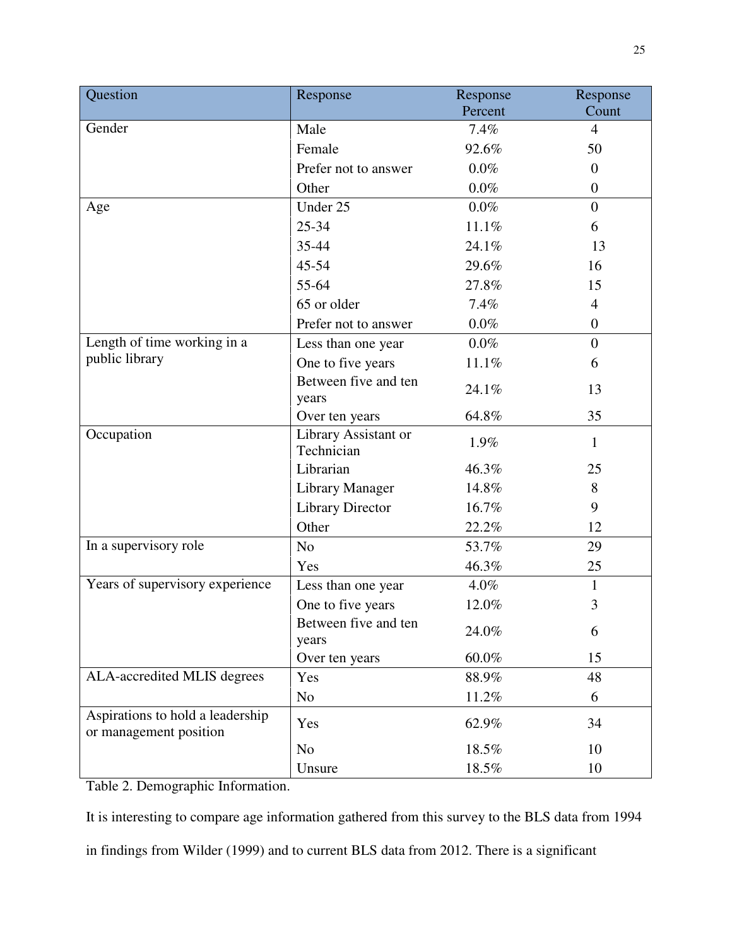| Question                                                   | Response                           | Response | Response       |
|------------------------------------------------------------|------------------------------------|----------|----------------|
|                                                            |                                    | Percent  | Count          |
| Gender                                                     | Male                               | 7.4%     | $\overline{4}$ |
|                                                            | Female                             | 92.6%    | 50             |
|                                                            | Prefer not to answer               | $0.0\%$  | $\overline{0}$ |
|                                                            | Other                              | $0.0\%$  | $\overline{0}$ |
| Age                                                        | Under 25                           | $0.0\%$  | $\overline{0}$ |
|                                                            | 25-34                              | 11.1%    | 6              |
|                                                            | 35-44                              | 24.1%    | 13             |
|                                                            | 45-54                              | 29.6%    | 16             |
|                                                            | 55-64                              | 27.8%    | 15             |
|                                                            | 65 or older                        | 7.4%     | $\overline{4}$ |
|                                                            | Prefer not to answer               | $0.0\%$  | $\overline{0}$ |
| Length of time working in a                                | Less than one year                 | $0.0\%$  | $\overline{0}$ |
| public library                                             | One to five years                  | 11.1%    | 6              |
|                                                            | Between five and ten<br>years      | 24.1%    | 13             |
|                                                            | Over ten years                     | 64.8%    | 35             |
| Occupation                                                 | Library Assistant or<br>Technician | 1.9%     | $\mathbf{1}$   |
|                                                            | Librarian                          | 46.3%    | 25             |
|                                                            | Library Manager                    | 14.8%    | 8              |
|                                                            | <b>Library Director</b>            | 16.7%    | 9              |
|                                                            | Other                              | 22.2%    | 12             |
| In a supervisory role                                      | $\rm No$                           | 53.7%    | 29             |
|                                                            | Yes                                | 46.3%    | 25             |
| Years of supervisory experience                            | Less than one year                 | 4.0%     | $\mathbf{1}$   |
|                                                            | One to five years                  | 12.0%    | 3              |
|                                                            | Between five and ten<br>years      | 24.0%    | 6              |
|                                                            | Over ten years                     | 60.0%    | 15             |
| ALA-accredited MLIS degrees                                | Yes                                | 88.9%    | 48             |
|                                                            | N <sub>o</sub>                     | 11.2%    | 6              |
| Aspirations to hold a leadership<br>or management position | Yes                                | 62.9%    | 34             |
|                                                            | N <sub>o</sub>                     | 18.5%    | 10             |
|                                                            | Unsure                             | 18.5%    | 10             |

Table 2. Demographic Information.

It is interesting to compare age information gathered from this survey to the BLS data from 1994

in findings from Wilder (1999) and to current BLS data from 2012. There is a significant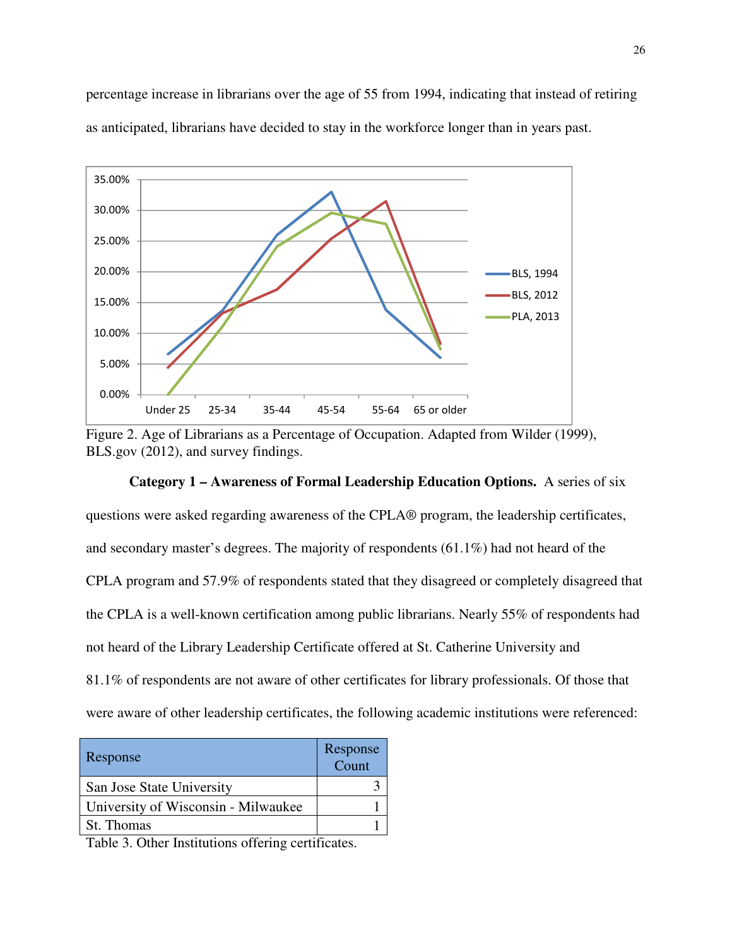percentage increase in librarians over the age of 55 from 1994, indicating that instead of retiring as anticipated, librarians have decided to stay in the workforce longer than in years past.



Figure 2. Age of Librarians as a Percentage of Occupation. Adapted from Wilder (1999), BLS.gov (2012), and survey findings.

#### **Category 1 – Awareness of Formal Leadership Education Options.** A series of six

questions were asked regarding awareness of the CPLA® program, the leadership certificates, and secondary master's degrees. The majority of respondents (61.1%) had not heard of the CPLA program and 57.9% of respondents stated that they disagreed or completely disagreed that the CPLA is a well-known certification among public librarians. Nearly 55% of respondents had not heard of the Library Leadership Certificate offered at St. Catherine University and 81.1% of respondents are not aware of other certificates for library professionals. Of those that were aware of other leadership certificates, the following academic institutions were referenced:

| Response                            | Response<br>Count |
|-------------------------------------|-------------------|
| San Jose State University           |                   |
| University of Wisconsin - Milwaukee |                   |
| St. Thomas                          |                   |

Table 3. Other Institutions offering certificates.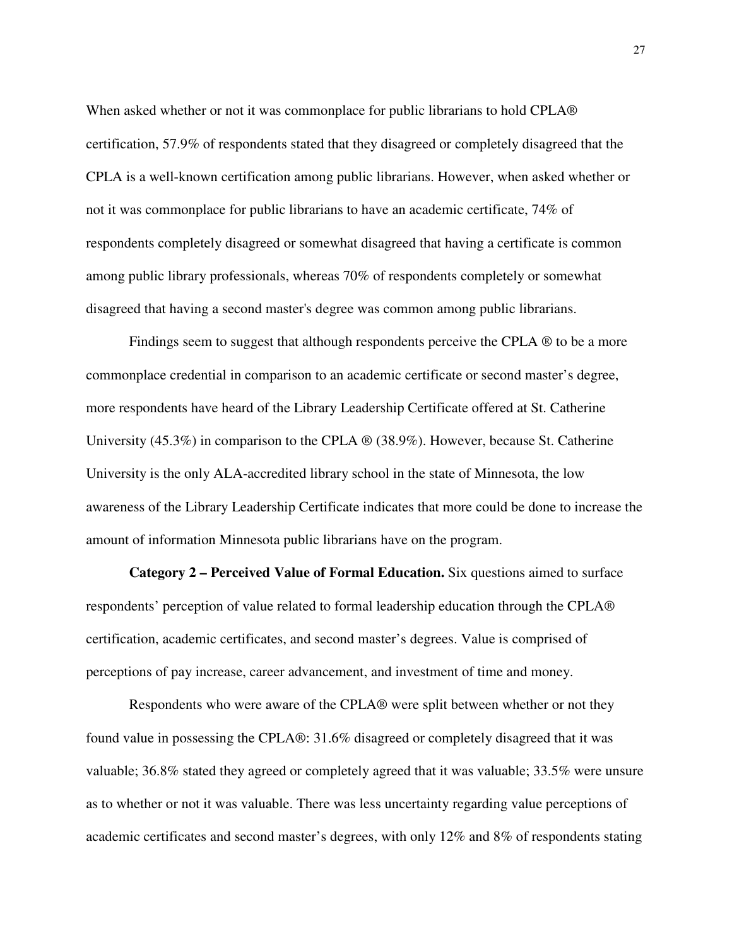When asked whether or not it was commonplace for public librarians to hold CPLA® certification, 57.9% of respondents stated that they disagreed or completely disagreed that the CPLA is a well-known certification among public librarians. However, when asked whether or not it was commonplace for public librarians to have an academic certificate, 74% of respondents completely disagreed or somewhat disagreed that having a certificate is common among public library professionals, whereas 70% of respondents completely or somewhat disagreed that having a second master's degree was common among public librarians.

Findings seem to suggest that although respondents perceive the CPLA  $\otimes$  to be a more commonplace credential in comparison to an academic certificate or second master's degree, more respondents have heard of the Library Leadership Certificate offered at St. Catherine University (45.3%) in comparison to the CPLA ® (38.9%). However, because St. Catherine University is the only ALA-accredited library school in the state of Minnesota, the low awareness of the Library Leadership Certificate indicates that more could be done to increase the amount of information Minnesota public librarians have on the program.

**Category 2 – Perceived Value of Formal Education.** Six questions aimed to surface respondents' perception of value related to formal leadership education through the CPLA® certification, academic certificates, and second master's degrees. Value is comprised of perceptions of pay increase, career advancement, and investment of time and money.

 Respondents who were aware of the CPLA® were split between whether or not they found value in possessing the CPLA®: 31.6% disagreed or completely disagreed that it was valuable; 36.8% stated they agreed or completely agreed that it was valuable; 33.5% were unsure as to whether or not it was valuable. There was less uncertainty regarding value perceptions of academic certificates and second master's degrees, with only 12% and 8% of respondents stating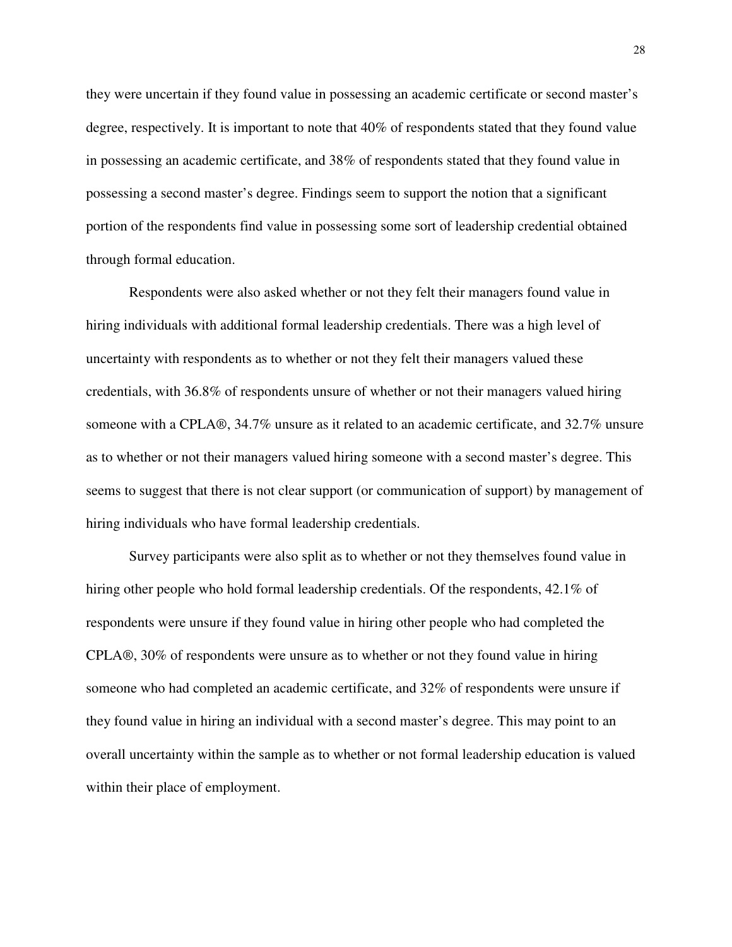they were uncertain if they found value in possessing an academic certificate or second master's degree, respectively. It is important to note that 40% of respondents stated that they found value in possessing an academic certificate, and 38% of respondents stated that they found value in possessing a second master's degree. Findings seem to support the notion that a significant portion of the respondents find value in possessing some sort of leadership credential obtained through formal education.

Respondents were also asked whether or not they felt their managers found value in hiring individuals with additional formal leadership credentials. There was a high level of uncertainty with respondents as to whether or not they felt their managers valued these credentials, with 36.8% of respondents unsure of whether or not their managers valued hiring someone with a CPLA®, 34.7% unsure as it related to an academic certificate, and 32.7% unsure as to whether or not their managers valued hiring someone with a second master's degree. This seems to suggest that there is not clear support (or communication of support) by management of hiring individuals who have formal leadership credentials.

Survey participants were also split as to whether or not they themselves found value in hiring other people who hold formal leadership credentials. Of the respondents, 42.1% of respondents were unsure if they found value in hiring other people who had completed the CPLA®, 30% of respondents were unsure as to whether or not they found value in hiring someone who had completed an academic certificate, and 32% of respondents were unsure if they found value in hiring an individual with a second master's degree. This may point to an overall uncertainty within the sample as to whether or not formal leadership education is valued within their place of employment.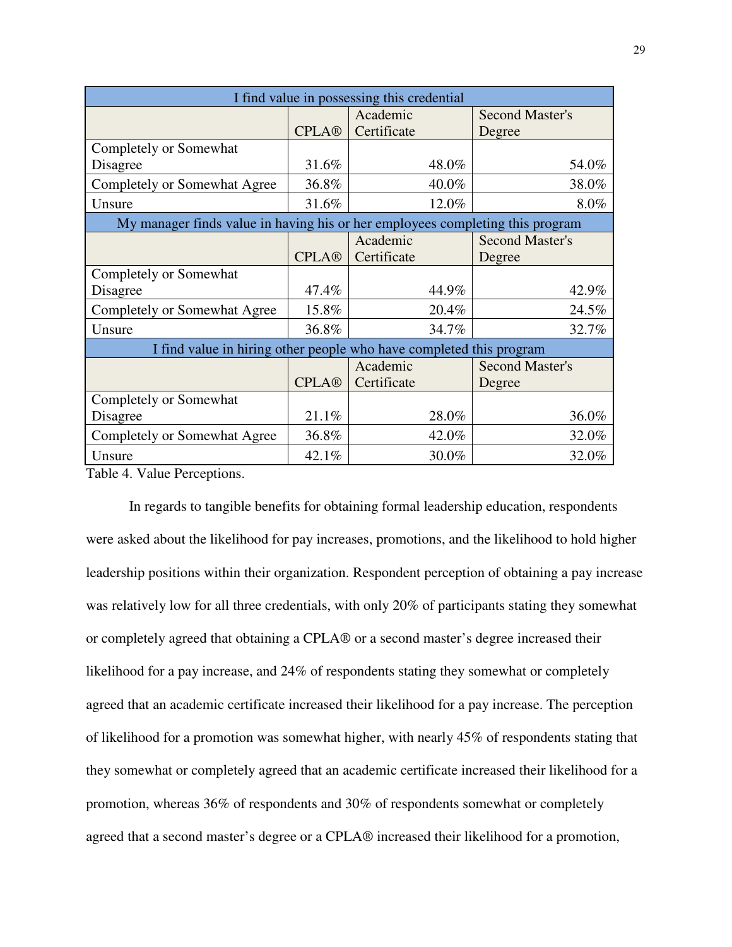| I find value in possessing this credential                                    |              |             |       |                        |  |  |  |  |  |  |  |
|-------------------------------------------------------------------------------|--------------|-------------|-------|------------------------|--|--|--|--|--|--|--|
|                                                                               |              | Academic    |       | <b>Second Master's</b> |  |  |  |  |  |  |  |
|                                                                               | <b>CPLA®</b> | Certificate |       | Degree                 |  |  |  |  |  |  |  |
| Completely or Somewhat                                                        |              |             |       |                        |  |  |  |  |  |  |  |
| Disagree                                                                      | 31.6%        |             | 48.0% | 54.0%                  |  |  |  |  |  |  |  |
| Completely or Somewhat Agree                                                  | 36.8%        |             | 40.0% | 38.0%                  |  |  |  |  |  |  |  |
| Unsure                                                                        | 31.6%        |             | 12.0% | 8.0%                   |  |  |  |  |  |  |  |
| My manager finds value in having his or her employees completing this program |              |             |       |                        |  |  |  |  |  |  |  |
|                                                                               |              | Academic    |       | <b>Second Master's</b> |  |  |  |  |  |  |  |
|                                                                               | <b>CPLA®</b> | Certificate |       | Degree                 |  |  |  |  |  |  |  |
| Completely or Somewhat                                                        |              |             |       |                        |  |  |  |  |  |  |  |
| Disagree                                                                      | 47.4%        |             | 44.9% | 42.9%                  |  |  |  |  |  |  |  |
| Completely or Somewhat Agree                                                  | 15.8%        |             | 20.4% | 24.5%                  |  |  |  |  |  |  |  |
| Unsure                                                                        | 36.8%        |             | 34.7% | 32.7%                  |  |  |  |  |  |  |  |
| I find value in hiring other people who have completed this program           |              |             |       |                        |  |  |  |  |  |  |  |
|                                                                               |              | Academic    |       | <b>Second Master's</b> |  |  |  |  |  |  |  |
|                                                                               | <b>CPLA®</b> | Certificate |       | Degree                 |  |  |  |  |  |  |  |
| Completely or Somewhat                                                        |              |             |       |                        |  |  |  |  |  |  |  |
| Disagree                                                                      | 21.1%        |             | 28.0% | 36.0%                  |  |  |  |  |  |  |  |
| Completely or Somewhat Agree                                                  | 36.8%        |             | 42.0% | 32.0%                  |  |  |  |  |  |  |  |
| Unsure                                                                        | 42.1%        |             | 30.0% | 32.0%                  |  |  |  |  |  |  |  |

Table 4. Value Perceptions.

In regards to tangible benefits for obtaining formal leadership education, respondents were asked about the likelihood for pay increases, promotions, and the likelihood to hold higher leadership positions within their organization. Respondent perception of obtaining a pay increase was relatively low for all three credentials, with only 20% of participants stating they somewhat or completely agreed that obtaining a CPLA® or a second master's degree increased their likelihood for a pay increase, and 24% of respondents stating they somewhat or completely agreed that an academic certificate increased their likelihood for a pay increase. The perception of likelihood for a promotion was somewhat higher, with nearly 45% of respondents stating that they somewhat or completely agreed that an academic certificate increased their likelihood for a promotion, whereas 36% of respondents and 30% of respondents somewhat or completely agreed that a second master's degree or a CPLA® increased their likelihood for a promotion,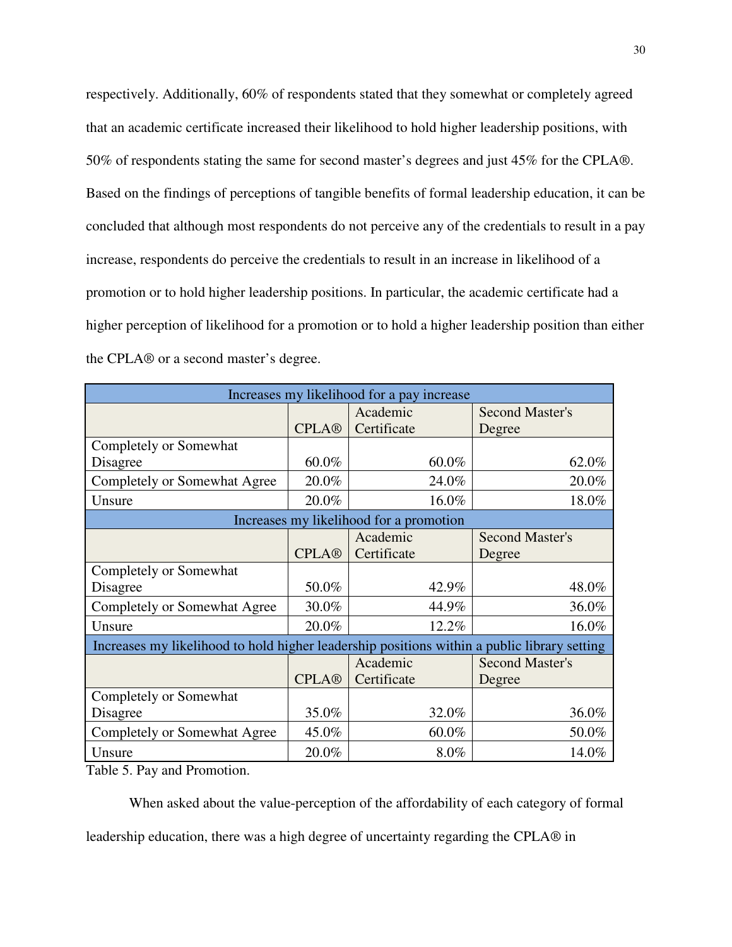respectively. Additionally, 60% of respondents stated that they somewhat or completely agreed that an academic certificate increased their likelihood to hold higher leadership positions, with 50% of respondents stating the same for second master's degrees and just 45% for the CPLA®. Based on the findings of perceptions of tangible benefits of formal leadership education, it can be concluded that although most respondents do not perceive any of the credentials to result in a pay increase, respondents do perceive the credentials to result in an increase in likelihood of a promotion or to hold higher leadership positions. In particular, the academic certificate had a higher perception of likelihood for a promotion or to hold a higher leadership position than either the CPLA® or a second master's degree.

| Increases my likelihood for a pay increase                                                  |              |             |          |                        |  |  |  |  |  |  |  |
|---------------------------------------------------------------------------------------------|--------------|-------------|----------|------------------------|--|--|--|--|--|--|--|
|                                                                                             |              | Academic    |          | <b>Second Master's</b> |  |  |  |  |  |  |  |
|                                                                                             | <b>CPLA®</b> | Certificate |          | Degree                 |  |  |  |  |  |  |  |
| Completely or Somewhat                                                                      |              |             |          |                        |  |  |  |  |  |  |  |
| Disagree                                                                                    | 60.0%        |             | $60.0\%$ | 62.0%                  |  |  |  |  |  |  |  |
| Completely or Somewhat Agree                                                                | 20.0%        |             | 24.0%    | 20.0%                  |  |  |  |  |  |  |  |
| Unsure                                                                                      | 20.0%        |             | 16.0%    | 18.0%                  |  |  |  |  |  |  |  |
| Increases my likelihood for a promotion                                                     |              |             |          |                        |  |  |  |  |  |  |  |
|                                                                                             |              | Academic    |          | <b>Second Master's</b> |  |  |  |  |  |  |  |
|                                                                                             | <b>CPLA®</b> | Certificate |          | Degree                 |  |  |  |  |  |  |  |
| Completely or Somewhat                                                                      |              |             |          |                        |  |  |  |  |  |  |  |
| Disagree                                                                                    | 50.0%        |             | 42.9%    | 48.0%                  |  |  |  |  |  |  |  |
| Completely or Somewhat Agree                                                                | 30.0%        |             | 44.9%    | 36.0%                  |  |  |  |  |  |  |  |
| Unsure                                                                                      | 20.0%        |             | 12.2%    | 16.0%                  |  |  |  |  |  |  |  |
| Increases my likelihood to hold higher leadership positions within a public library setting |              |             |          |                        |  |  |  |  |  |  |  |
|                                                                                             |              | Academic    |          | <b>Second Master's</b> |  |  |  |  |  |  |  |
|                                                                                             | <b>CPLA®</b> | Certificate |          | Degree                 |  |  |  |  |  |  |  |
| Completely or Somewhat                                                                      |              |             |          |                        |  |  |  |  |  |  |  |
| Disagree                                                                                    | 35.0%        |             | 32.0%    | 36.0%                  |  |  |  |  |  |  |  |
| Completely or Somewhat Agree                                                                | 45.0%        |             | 60.0%    | 50.0%                  |  |  |  |  |  |  |  |
| Unsure                                                                                      | 20.0%        |             | 8.0%     | 14.0%                  |  |  |  |  |  |  |  |

Table 5. Pay and Promotion.

When asked about the value-perception of the affordability of each category of formal leadership education, there was a high degree of uncertainty regarding the CPLA® in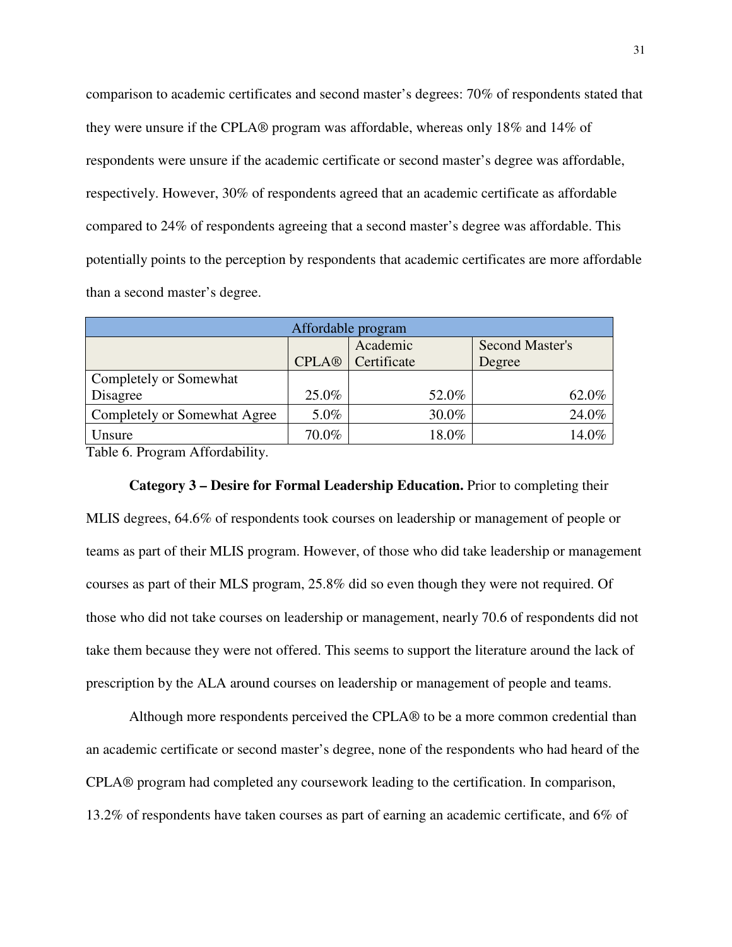comparison to academic certificates and second master's degrees: 70% of respondents stated that they were unsure if the CPLA® program was affordable, whereas only 18% and 14% of respondents were unsure if the academic certificate or second master's degree was affordable, respectively. However, 30% of respondents agreed that an academic certificate as affordable compared to 24% of respondents agreeing that a second master's degree was affordable. This potentially points to the perception by respondents that academic certificates are more affordable than a second master's degree.

| Affordable program            |              |             |       |                 |  |  |  |  |  |  |  |
|-------------------------------|--------------|-------------|-------|-----------------|--|--|--|--|--|--|--|
|                               |              | Academic    |       | Second Master's |  |  |  |  |  |  |  |
|                               | <b>CPLA®</b> | Certificate |       | Degree          |  |  |  |  |  |  |  |
| <b>Completely or Somewhat</b> |              |             |       |                 |  |  |  |  |  |  |  |
| Disagree                      | 25.0%        |             | 52.0% | 62.0%           |  |  |  |  |  |  |  |
| Completely or Somewhat Agree  | 5.0%         |             | 30.0% | 24.0%           |  |  |  |  |  |  |  |
| Unsure                        | 70.0%        |             | 18.0% | 14.0%           |  |  |  |  |  |  |  |

Table 6. Program Affordability.

#### **Category 3 – Desire for Formal Leadership Education.** Prior to completing their

MLIS degrees, 64.6% of respondents took courses on leadership or management of people or teams as part of their MLIS program. However, of those who did take leadership or management courses as part of their MLS program, 25.8% did so even though they were not required. Of those who did not take courses on leadership or management, nearly 70.6 of respondents did not take them because they were not offered. This seems to support the literature around the lack of prescription by the ALA around courses on leadership or management of people and teams.

Although more respondents perceived the CPLA® to be a more common credential than an academic certificate or second master's degree, none of the respondents who had heard of the CPLA® program had completed any coursework leading to the certification. In comparison, 13.2% of respondents have taken courses as part of earning an academic certificate, and 6% of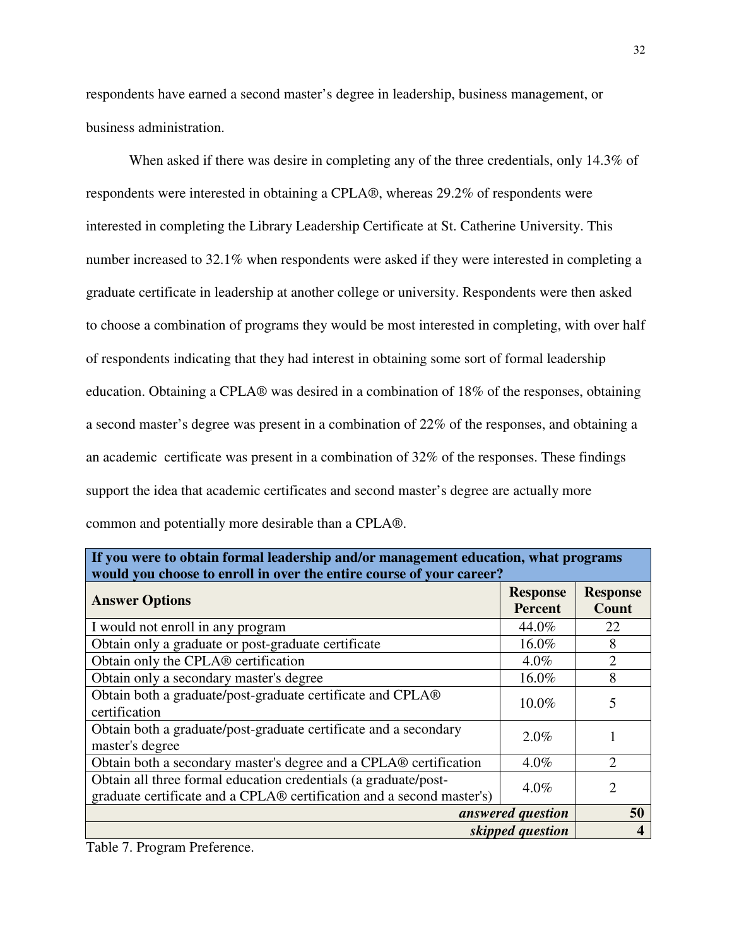respondents have earned a second master's degree in leadership, business management, or business administration.

When asked if there was desire in completing any of the three credentials, only 14.3% of respondents were interested in obtaining a CPLA®, whereas 29.2% of respondents were interested in completing the Library Leadership Certificate at St. Catherine University. This number increased to 32.1% when respondents were asked if they were interested in completing a graduate certificate in leadership at another college or university. Respondents were then asked to choose a combination of programs they would be most interested in completing, with over half of respondents indicating that they had interest in obtaining some sort of formal leadership education. Obtaining a CPLA® was desired in a combination of 18% of the responses, obtaining a second master's degree was present in a combination of 22% of the responses, and obtaining a an academic certificate was present in a combination of 32% of the responses. These findings support the idea that academic certificates and second master's degree are actually more common and potentially more desirable than a CPLA®.

| If you were to obtain formal leadership and/or management education, what programs<br>would you choose to enroll in over the entire course of your career? |                            |                                 |  |  |  |  |  |  |  |  |
|------------------------------------------------------------------------------------------------------------------------------------------------------------|----------------------------|---------------------------------|--|--|--|--|--|--|--|--|
| <b>Answer Options</b>                                                                                                                                      | <b>Response</b><br>Percent | <b>Response</b><br><b>Count</b> |  |  |  |  |  |  |  |  |
| I would not enroll in any program                                                                                                                          | 44.0%                      | 22                              |  |  |  |  |  |  |  |  |
| Obtain only a graduate or post-graduate certificate                                                                                                        | 16.0%                      | 8                               |  |  |  |  |  |  |  |  |
| Obtain only the CPLA® certification                                                                                                                        | $4.0\%$                    | 2                               |  |  |  |  |  |  |  |  |
| Obtain only a secondary master's degree                                                                                                                    | 16.0%                      | 8                               |  |  |  |  |  |  |  |  |
| Obtain both a graduate/post-graduate certificate and CPLA®<br>certification                                                                                | $10.0\%$                   | 5                               |  |  |  |  |  |  |  |  |
| Obtain both a graduate/post-graduate certificate and a secondary<br>master's degree                                                                        | 2.0%                       |                                 |  |  |  |  |  |  |  |  |
| Obtain both a secondary master's degree and a CPLA® certification                                                                                          | $4.0\%$                    | 2                               |  |  |  |  |  |  |  |  |
| Obtain all three formal education credentials (a graduate/post-<br>$4.0\%$<br>graduate certificate and a CPLA® certification and a second master's)        |                            |                                 |  |  |  |  |  |  |  |  |
|                                                                                                                                                            | answered question          | 50                              |  |  |  |  |  |  |  |  |
|                                                                                                                                                            | skipped question           |                                 |  |  |  |  |  |  |  |  |

Table 7. Program Preference.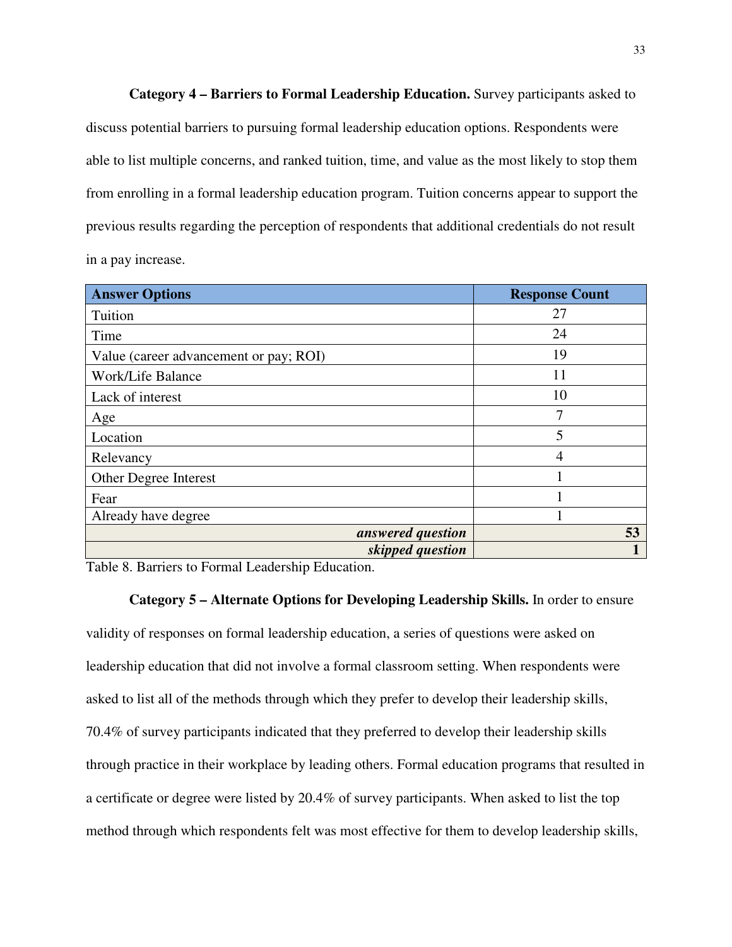**Category 4 – Barriers to Formal Leadership Education.** Survey participants asked to discuss potential barriers to pursuing formal leadership education options. Respondents were able to list multiple concerns, and ranked tuition, time, and value as the most likely to stop them from enrolling in a formal leadership education program. Tuition concerns appear to support the previous results regarding the perception of respondents that additional credentials do not result in a pay increase.

| <b>Answer Options</b>                  | <b>Response Count</b> |
|----------------------------------------|-----------------------|
| Tuition                                | 27                    |
| Time                                   | 24                    |
| Value (career advancement or pay; ROI) | 19                    |
| Work/Life Balance                      | 11                    |
| Lack of interest                       | 10                    |
| Age                                    | 7                     |
| Location                               | 5                     |
| Relevancy                              | 4                     |
| Other Degree Interest                  |                       |
| Fear                                   |                       |
| Already have degree                    |                       |
| answered question                      | 53                    |
| skipped question                       |                       |

Table 8. Barriers to Formal Leadership Education.

#### **Category 5 – Alternate Options for Developing Leadership Skills.** In order to ensure

validity of responses on formal leadership education, a series of questions were asked on leadership education that did not involve a formal classroom setting. When respondents were asked to list all of the methods through which they prefer to develop their leadership skills, 70.4% of survey participants indicated that they preferred to develop their leadership skills through practice in their workplace by leading others. Formal education programs that resulted in a certificate or degree were listed by 20.4% of survey participants. When asked to list the top method through which respondents felt was most effective for them to develop leadership skills,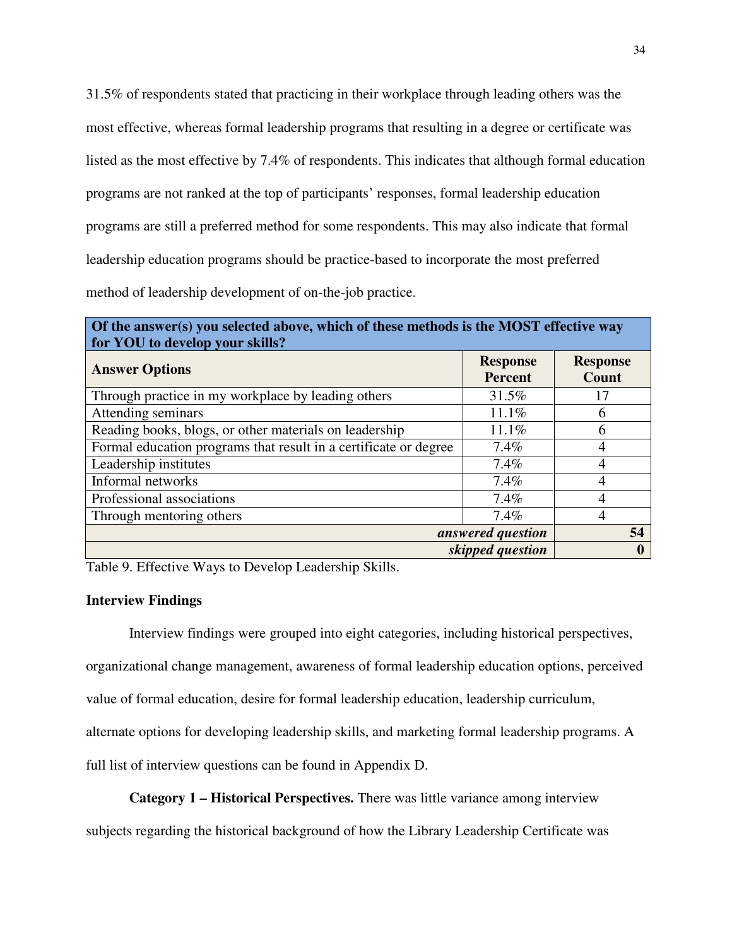31.5% of respondents stated that practicing in their workplace through leading others was the most effective, whereas formal leadership programs that resulting in a degree or certificate was listed as the most effective by 7.4% of respondents. This indicates that although formal education programs are not ranked at the top of participants' responses, formal leadership education programs are still a preferred method for some respondents. This may also indicate that formal leadership education programs should be practice-based to incorporate the most preferred method of leadership development of on-the-job practice.

| Of the answer(s) you selected above, which of these methods is the MOST effective way<br>for YOU to develop your skills? |  |  |  |  |  |  |  |  |  |  |  |  |  |  |                                   |  |                          |  |  |
|--------------------------------------------------------------------------------------------------------------------------|--|--|--|--|--|--|--|--|--|--|--|--|--|--|-----------------------------------|--|--------------------------|--|--|
| <b>Answer Options</b>                                                                                                    |  |  |  |  |  |  |  |  |  |  |  |  |  |  | <b>Response</b><br><b>Percent</b> |  | <b>Response</b><br>Count |  |  |
| m1                                                                                                                       |  |  |  |  |  |  |  |  |  |  |  |  |  |  | 21.54                             |  | $1 -$                    |  |  |

|                                                                  | rercent  | Count            |
|------------------------------------------------------------------|----------|------------------|
| Through practice in my workplace by leading others               | 31.5%    | 17               |
| Attending seminars                                               | $11.1\%$ | 6                |
| Reading books, blogs, or other materials on leadership           | 11.1%    | 6                |
| Formal education programs that result in a certificate or degree | $7.4\%$  |                  |
| Leadership institutes                                            | 7.4%     |                  |
| Informal networks                                                | 7.4%     |                  |
| Professional associations                                        | 7.4%     |                  |
| Through mentoring others                                         | $7.4\%$  |                  |
| answered question                                                |          | 54               |
| skipped question                                                 |          | $\boldsymbol{0}$ |

Table 9. Effective Ways to Develop Leadership Skills.

#### **Interview Findings**

 Interview findings were grouped into eight categories, including historical perspectives, organizational change management, awareness of formal leadership education options, perceived value of formal education, desire for formal leadership education, leadership curriculum, alternate options for developing leadership skills, and marketing formal leadership programs. A full list of interview questions can be found in Appendix D.

#### **Category 1 – Historical Perspectives.** There was little variance among interview

subjects regarding the historical background of how the Library Leadership Certificate was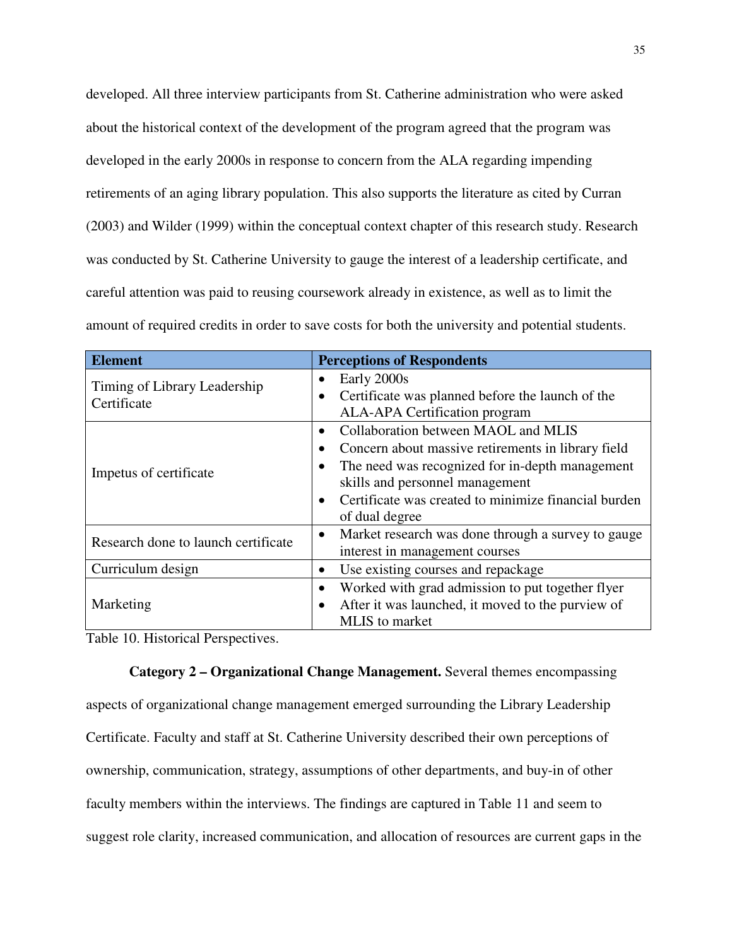developed. All three interview participants from St. Catherine administration who were asked about the historical context of the development of the program agreed that the program was developed in the early 2000s in response to concern from the ALA regarding impending retirements of an aging library population. This also supports the literature as cited by Curran (2003) and Wilder (1999) within the conceptual context chapter of this research study. Research was conducted by St. Catherine University to gauge the interest of a leadership certificate, and careful attention was paid to reusing coursework already in existence, as well as to limit the amount of required credits in order to save costs for both the university and potential students.

| <b>Element</b>                              | <b>Perceptions of Respondents</b>                                                                                                                                                                                                                         |
|---------------------------------------------|-----------------------------------------------------------------------------------------------------------------------------------------------------------------------------------------------------------------------------------------------------------|
| Timing of Library Leadership<br>Certificate | Early 2000s<br>Certificate was planned before the launch of the<br>$\bullet$<br><b>ALA-APA Certification program</b>                                                                                                                                      |
| Impetus of certificate                      | Collaboration between MAOL and MLIS<br>Concern about massive retirements in library field<br>The need was recognized for in-depth management<br>skills and personnel management<br>Certificate was created to minimize financial burden<br>of dual degree |
| Research done to launch certificate         | Market research was done through a survey to gauge<br>$\bullet$<br>interest in management courses                                                                                                                                                         |
| Curriculum design                           | Use existing courses and repackage<br>$\bullet$                                                                                                                                                                                                           |
| Marketing                                   | Worked with grad admission to put together flyer<br>$\bullet$<br>After it was launched, it moved to the purview of<br>٠<br>MLIS to market                                                                                                                 |

Table 10. Historical Perspectives.

**Category 2 – Organizational Change Management.** Several themes encompassing aspects of organizational change management emerged surrounding the Library Leadership Certificate. Faculty and staff at St. Catherine University described their own perceptions of ownership, communication, strategy, assumptions of other departments, and buy-in of other faculty members within the interviews. The findings are captured in Table 11 and seem to suggest role clarity, increased communication, and allocation of resources are current gaps in the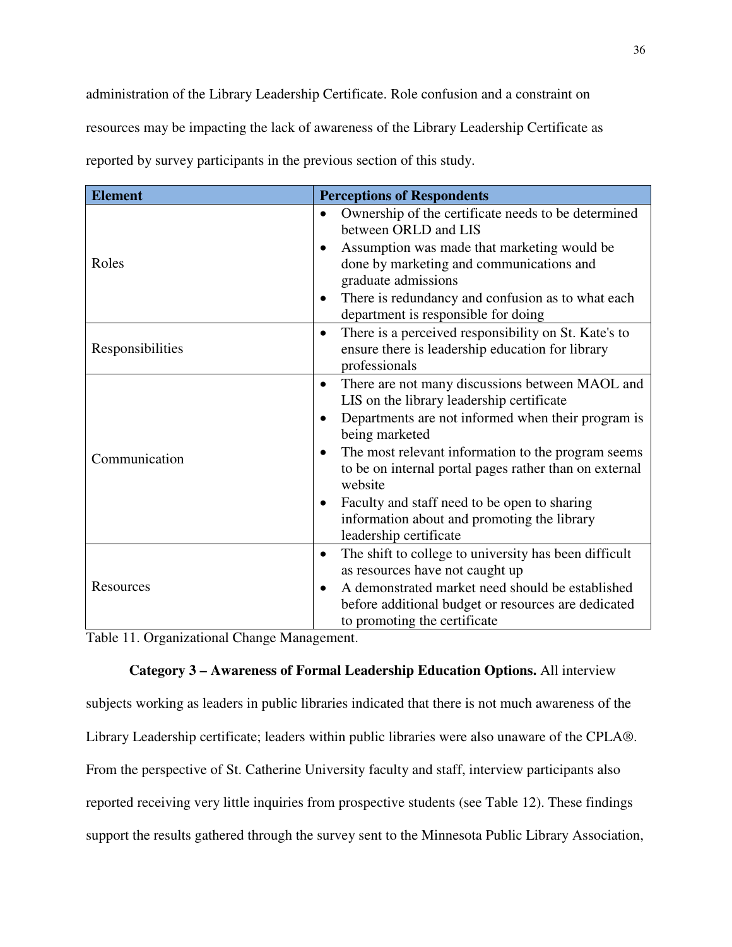administration of the Library Leadership Certificate. Role confusion and a constraint on resources may be impacting the lack of awareness of the Library Leadership Certificate as reported by survey participants in the previous section of this study.

| <b>Element</b>   | <b>Perceptions of Respondents</b>                                                                                                                                                                                                                                                                                                                                                                                                                  |
|------------------|----------------------------------------------------------------------------------------------------------------------------------------------------------------------------------------------------------------------------------------------------------------------------------------------------------------------------------------------------------------------------------------------------------------------------------------------------|
| Roles            | Ownership of the certificate needs to be determined<br>$\bullet$<br>between ORLD and LIS<br>Assumption was made that marketing would be<br>done by marketing and communications and<br>graduate admissions                                                                                                                                                                                                                                         |
|                  | There is redundancy and confusion as to what each<br>$\bullet$<br>department is responsible for doing                                                                                                                                                                                                                                                                                                                                              |
| Responsibilities | There is a perceived responsibility on St. Kate's to<br>$\bullet$<br>ensure there is leadership education for library<br>professionals                                                                                                                                                                                                                                                                                                             |
| Communication    | There are not many discussions between MAOL and<br>$\bullet$<br>LIS on the library leadership certificate<br>Departments are not informed when their program is<br>$\bullet$<br>being marketed<br>The most relevant information to the program seems<br>$\bullet$<br>to be on internal portal pages rather than on external<br>website<br>Faculty and staff need to be open to sharing<br>$\bullet$<br>information about and promoting the library |
| Resources        | leadership certificate<br>The shift to college to university has been difficult<br>$\bullet$<br>as resources have not caught up<br>A demonstrated market need should be established<br>before additional budget or resources are dedicated<br>to promoting the certificate                                                                                                                                                                         |

Table 11. Organizational Change Management.

### **Category 3 – Awareness of Formal Leadership Education Options.** All interview

subjects working as leaders in public libraries indicated that there is not much awareness of the Library Leadership certificate; leaders within public libraries were also unaware of the CPLA®. From the perspective of St. Catherine University faculty and staff, interview participants also reported receiving very little inquiries from prospective students (see Table 12). These findings support the results gathered through the survey sent to the Minnesota Public Library Association,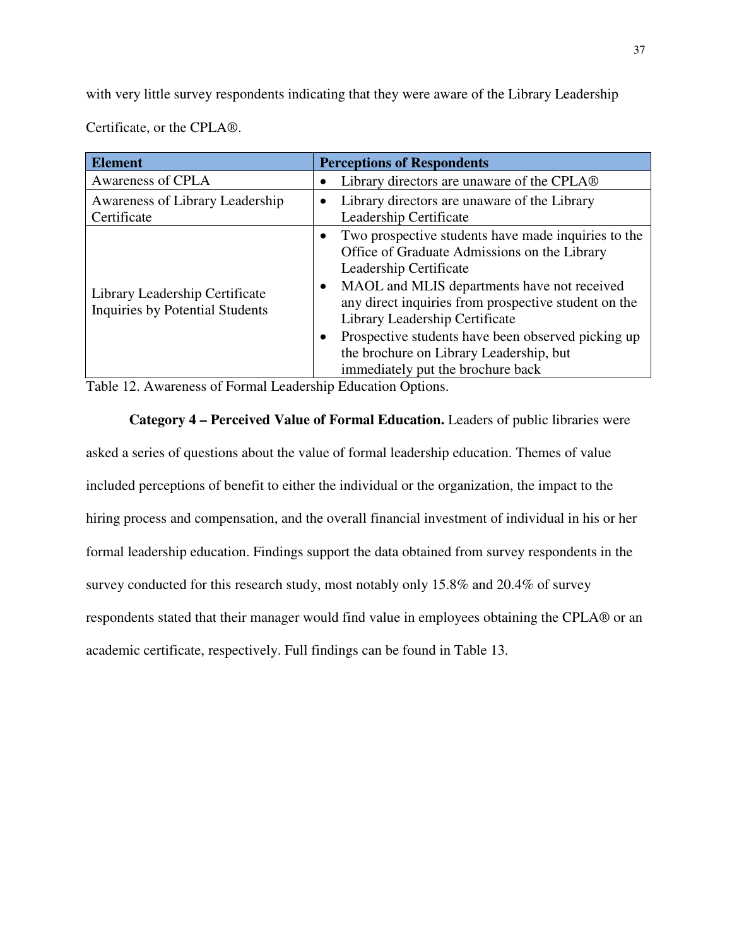with very little survey respondents indicating that they were aware of the Library Leadership

Certificate, or the CPLA®.

| <b>Element</b>                                                    | <b>Perceptions of Respondents</b>                                                                                                                                                                                                                                                                                                                                                                                                                   |
|-------------------------------------------------------------------|-----------------------------------------------------------------------------------------------------------------------------------------------------------------------------------------------------------------------------------------------------------------------------------------------------------------------------------------------------------------------------------------------------------------------------------------------------|
| Awareness of CPLA                                                 | Library directors are unaware of the CPLA <sup>®</sup>                                                                                                                                                                                                                                                                                                                                                                                              |
| Awareness of Library Leadership<br>Certificate                    | Library directors are unaware of the Library<br>٠<br>Leadership Certificate                                                                                                                                                                                                                                                                                                                                                                         |
| Library Leadership Certificate<br>Inquiries by Potential Students | Two prospective students have made inquiries to the<br>$\bullet$<br>Office of Graduate Admissions on the Library<br>Leadership Certificate<br>MAOL and MLIS departments have not received<br>$\bullet$<br>any direct inquiries from prospective student on the<br>Library Leadership Certificate<br>Prospective students have been observed picking up<br>$\bullet$<br>the brochure on Library Leadership, but<br>immediately put the brochure back |

Table 12. Awareness of Formal Leadership Education Options.

**Category 4 – Perceived Value of Formal Education.** Leaders of public libraries were asked a series of questions about the value of formal leadership education. Themes of value included perceptions of benefit to either the individual or the organization, the impact to the hiring process and compensation, and the overall financial investment of individual in his or her formal leadership education. Findings support the data obtained from survey respondents in the survey conducted for this research study, most notably only 15.8% and 20.4% of survey respondents stated that their manager would find value in employees obtaining the CPLA® or an academic certificate, respectively. Full findings can be found in Table 13.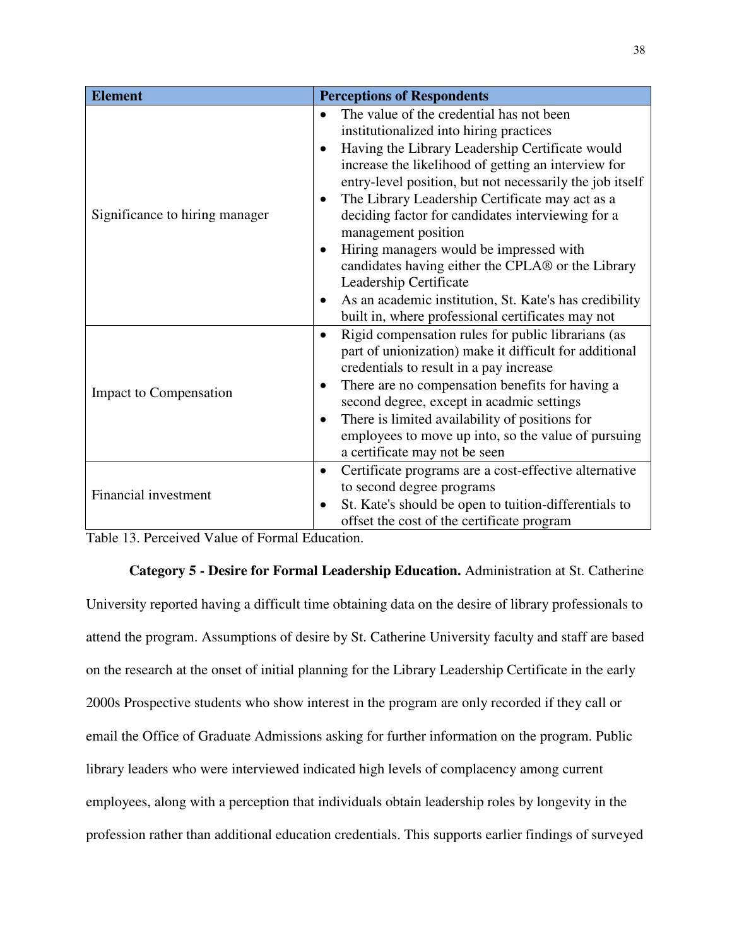| <b>Element</b>                 | <b>Perceptions of Respondents</b>                                                                                                                                                                                                                                                                                                                                                                                                                                                                                                                                                                                                                                                          |  |  |
|--------------------------------|--------------------------------------------------------------------------------------------------------------------------------------------------------------------------------------------------------------------------------------------------------------------------------------------------------------------------------------------------------------------------------------------------------------------------------------------------------------------------------------------------------------------------------------------------------------------------------------------------------------------------------------------------------------------------------------------|--|--|
| Significance to hiring manager | The value of the credential has not been<br>$\bullet$<br>institutionalized into hiring practices<br>Having the Library Leadership Certificate would<br>٠<br>increase the likelihood of getting an interview for<br>entry-level position, but not necessarily the job itself<br>The Library Leadership Certificate may act as a<br>$\bullet$<br>deciding factor for candidates interviewing for a<br>management position<br>Hiring managers would be impressed with<br>$\bullet$<br>candidates having either the CPLA® or the Library<br>Leadership Certificate<br>As an academic institution, St. Kate's has credibility<br>$\bullet$<br>built in, where professional certificates may not |  |  |
| <b>Impact to Compensation</b>  | Rigid compensation rules for public librarians (as<br>$\bullet$<br>part of unionization) make it difficult for additional<br>credentials to result in a pay increase<br>There are no compensation benefits for having a<br>$\bullet$<br>second degree, except in acadmic settings<br>There is limited availability of positions for<br>٠<br>employees to move up into, so the value of pursuing<br>a certificate may not be seen                                                                                                                                                                                                                                                           |  |  |
| <b>Financial investment</b>    | Certificate programs are a cost-effective alternative<br>$\bullet$<br>to second degree programs<br>St. Kate's should be open to tuition-differentials to<br>offset the cost of the certificate program                                                                                                                                                                                                                                                                                                                                                                                                                                                                                     |  |  |

Table 13. Perceived Value of Formal Education.

**Category 5 - Desire for Formal Leadership Education.** Administration at St. Catherine University reported having a difficult time obtaining data on the desire of library professionals to attend the program. Assumptions of desire by St. Catherine University faculty and staff are based on the research at the onset of initial planning for the Library Leadership Certificate in the early 2000s Prospective students who show interest in the program are only recorded if they call or email the Office of Graduate Admissions asking for further information on the program. Public library leaders who were interviewed indicated high levels of complacency among current employees, along with a perception that individuals obtain leadership roles by longevity in the profession rather than additional education credentials. This supports earlier findings of surveyed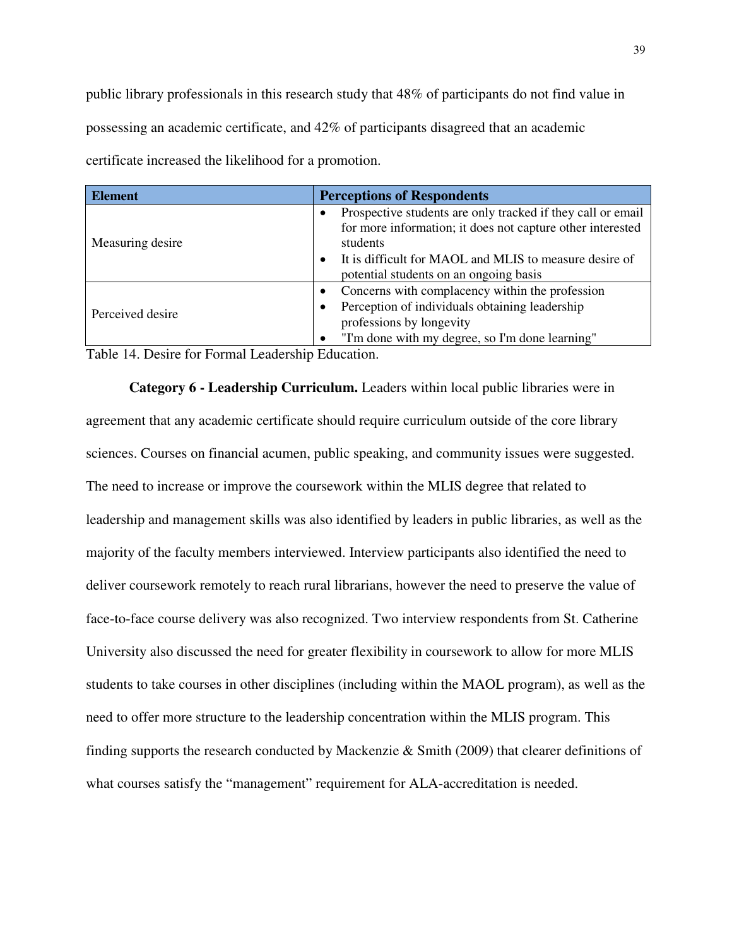public library professionals in this research study that 48% of participants do not find value in possessing an academic certificate, and 42% of participants disagreed that an academic certificate increased the likelihood for a promotion.

| <b>Element</b>   | <b>Perceptions of Respondents</b>                                                                                                                                                                                                                      |
|------------------|--------------------------------------------------------------------------------------------------------------------------------------------------------------------------------------------------------------------------------------------------------|
| Measuring desire | Prospective students are only tracked if they call or email<br>for more information; it does not capture other interested<br>students<br>It is difficult for MAOL and MLIS to measure desire of<br>$\bullet$<br>potential students on an ongoing basis |
| Perceived desire | Concerns with complacency within the profession<br>Perception of individuals obtaining leadership<br>$\bullet$<br>professions by longevity<br>"I'm done with my degree, so I'm done learning"                                                          |

Table 14. Desire for Formal Leadership Education.

**Category 6 - Leadership Curriculum.** Leaders within local public libraries were in agreement that any academic certificate should require curriculum outside of the core library sciences. Courses on financial acumen, public speaking, and community issues were suggested. The need to increase or improve the coursework within the MLIS degree that related to leadership and management skills was also identified by leaders in public libraries, as well as the majority of the faculty members interviewed. Interview participants also identified the need to deliver coursework remotely to reach rural librarians, however the need to preserve the value of face-to-face course delivery was also recognized. Two interview respondents from St. Catherine University also discussed the need for greater flexibility in coursework to allow for more MLIS students to take courses in other disciplines (including within the MAOL program), as well as the need to offer more structure to the leadership concentration within the MLIS program. This finding supports the research conducted by Mackenzie & Smith (2009) that clearer definitions of what courses satisfy the "management" requirement for ALA-accreditation is needed.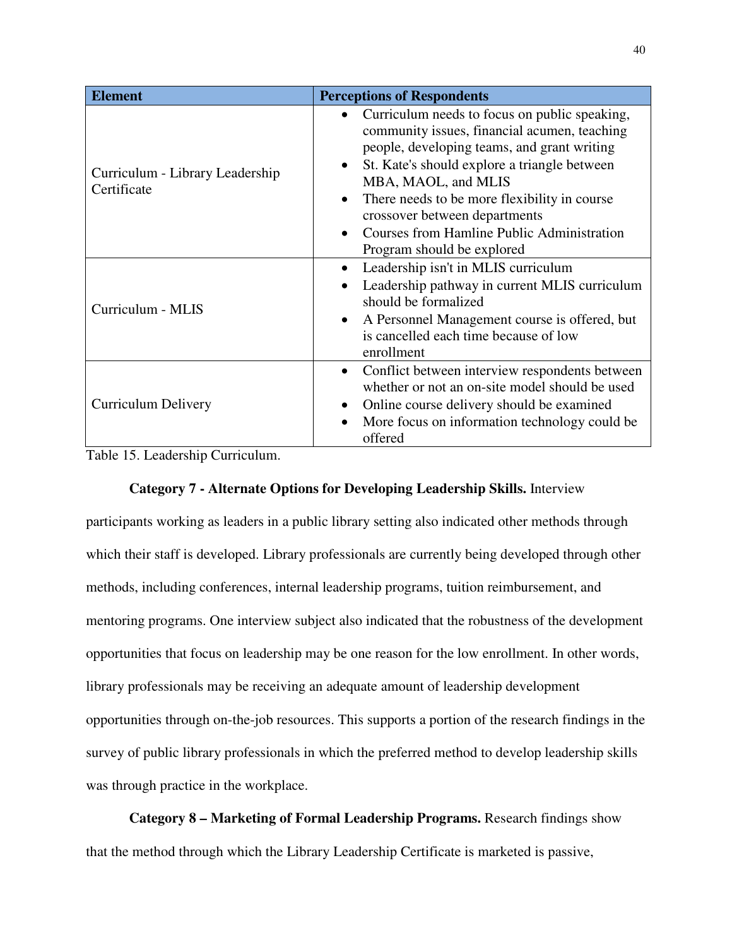| <b>Element</b>                                 | <b>Perceptions of Respondents</b>                                                                                                                                                                                                                                                                                                                                                                                              |  |  |
|------------------------------------------------|--------------------------------------------------------------------------------------------------------------------------------------------------------------------------------------------------------------------------------------------------------------------------------------------------------------------------------------------------------------------------------------------------------------------------------|--|--|
| Curriculum - Library Leadership<br>Certificate | Curriculum needs to focus on public speaking,<br>$\bullet$<br>community issues, financial acumen, teaching<br>people, developing teams, and grant writing<br>St. Kate's should explore a triangle between<br>$\bullet$<br>MBA, MAOL, and MLIS<br>There needs to be more flexibility in course<br>$\bullet$<br>crossover between departments<br><b>Courses from Hamline Public Administration</b><br>Program should be explored |  |  |
| Curriculum - MLIS                              | Leadership isn't in MLIS curriculum<br>٠<br>Leadership pathway in current MLIS curriculum<br>$\bullet$<br>should be formalized<br>A Personnel Management course is offered, but<br>$\bullet$<br>is cancelled each time because of low<br>enrollment                                                                                                                                                                            |  |  |
| <b>Curriculum Delivery</b>                     | Conflict between interview respondents between<br>$\bullet$<br>whether or not an on-site model should be used<br>Online course delivery should be examined<br>More focus on information technology could be<br>$\bullet$<br>offered                                                                                                                                                                                            |  |  |

Table 15. Leadership Curriculum.

### **Category 7 - Alternate Options for Developing Leadership Skills.** Interview

participants working as leaders in a public library setting also indicated other methods through which their staff is developed. Library professionals are currently being developed through other methods, including conferences, internal leadership programs, tuition reimbursement, and mentoring programs. One interview subject also indicated that the robustness of the development opportunities that focus on leadership may be one reason for the low enrollment. In other words, library professionals may be receiving an adequate amount of leadership development opportunities through on-the-job resources. This supports a portion of the research findings in the survey of public library professionals in which the preferred method to develop leadership skills was through practice in the workplace.

**Category 8 – Marketing of Formal Leadership Programs.** Research findings show that the method through which the Library Leadership Certificate is marketed is passive,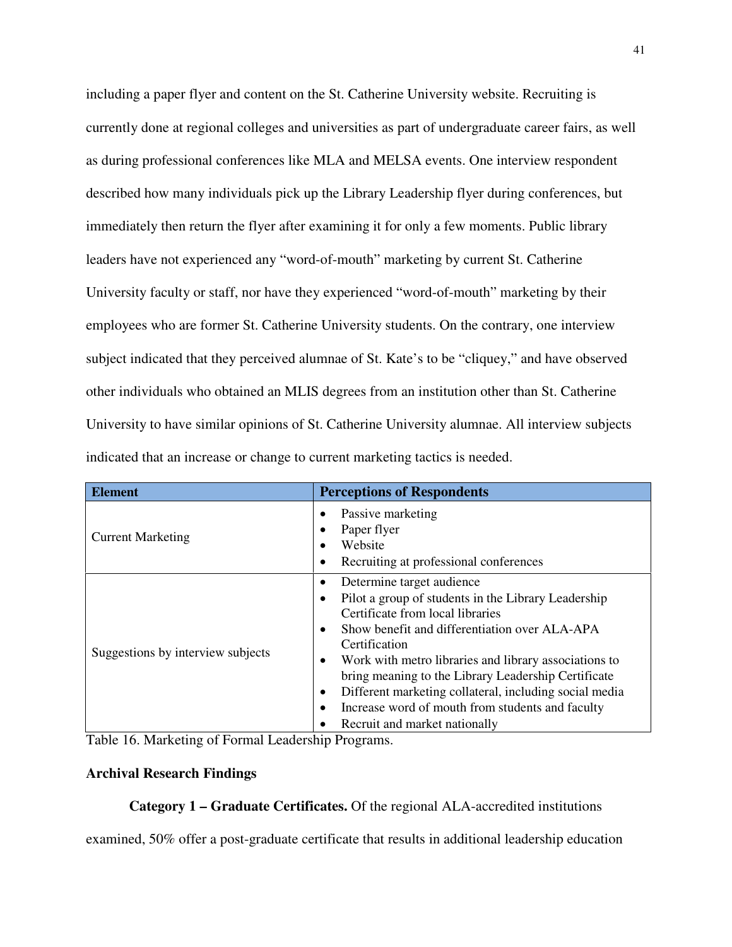including a paper flyer and content on the St. Catherine University website. Recruiting is currently done at regional colleges and universities as part of undergraduate career fairs, as well as during professional conferences like MLA and MELSA events. One interview respondent described how many individuals pick up the Library Leadership flyer during conferences, but immediately then return the flyer after examining it for only a few moments. Public library leaders have not experienced any "word-of-mouth" marketing by current St. Catherine University faculty or staff, nor have they experienced "word-of-mouth" marketing by their employees who are former St. Catherine University students. On the contrary, one interview subject indicated that they perceived alumnae of St. Kate's to be "cliquey," and have observed other individuals who obtained an MLIS degrees from an institution other than St. Catherine University to have similar opinions of St. Catherine University alumnae. All interview subjects indicated that an increase or change to current marketing tactics is needed.

| <b>Element</b>                    | <b>Perceptions of Respondents</b>                                                                                                                                                                                                                                                                                                                                                                                                                                                      |
|-----------------------------------|----------------------------------------------------------------------------------------------------------------------------------------------------------------------------------------------------------------------------------------------------------------------------------------------------------------------------------------------------------------------------------------------------------------------------------------------------------------------------------------|
| <b>Current Marketing</b>          | Passive marketing<br>Paper flyer<br>Website<br>Recruiting at professional conferences<br>٠                                                                                                                                                                                                                                                                                                                                                                                             |
| Suggestions by interview subjects | Determine target audience<br>Pilot a group of students in the Library Leadership<br>$\bullet$<br>Certificate from local libraries<br>Show benefit and differentiation over ALA-APA<br>٠<br>Certification<br>Work with metro libraries and library associations to<br>٠<br>bring meaning to the Library Leadership Certificate<br>Different marketing collateral, including social media<br>٠<br>Increase word of mouth from students and faculty<br>٠<br>Recruit and market nationally |

Table 16. Marketing of Formal Leadership Programs.

#### **Archival Research Findings**

**Category 1 – Graduate Certificates.** Of the regional ALA-accredited institutions

examined, 50% offer a post-graduate certificate that results in additional leadership education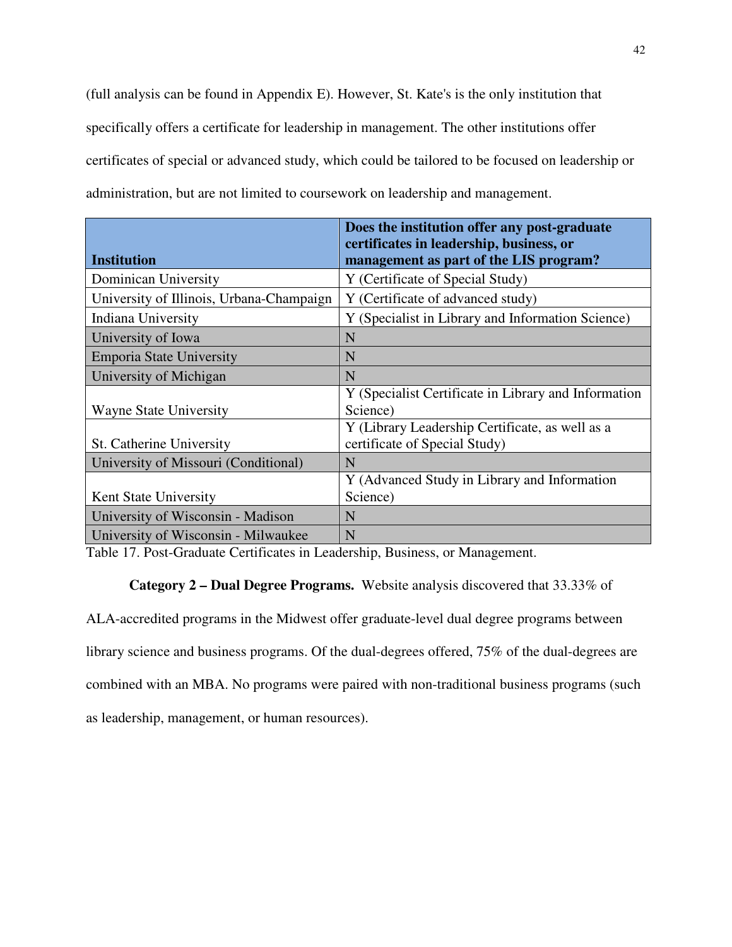(full analysis can be found in Appendix E). However, St. Kate's is the only institution that specifically offers a certificate for leadership in management. The other institutions offer certificates of special or advanced study, which could be tailored to be focused on leadership or administration, but are not limited to coursework on leadership and management.

|                                          | Does the institution offer any post-graduate<br>certificates in leadership, business, or |
|------------------------------------------|------------------------------------------------------------------------------------------|
| <b>Institution</b>                       | management as part of the LIS program?                                                   |
| Dominican University                     | Y (Certificate of Special Study)                                                         |
| University of Illinois, Urbana-Champaign | Y (Certificate of advanced study)                                                        |
| Indiana University                       | Y (Specialist in Library and Information Science)                                        |
| University of Iowa                       | N                                                                                        |
| Emporia State University                 | N                                                                                        |
| University of Michigan                   | N                                                                                        |
|                                          | Y (Specialist Certificate in Library and Information                                     |
| <b>Wayne State University</b>            | Science)                                                                                 |
|                                          | Y (Library Leadership Certificate, as well as a                                          |
| St. Catherine University                 | certificate of Special Study)                                                            |
| University of Missouri (Conditional)     | N                                                                                        |
|                                          | Y (Advanced Study in Library and Information                                             |
| Kent State University                    | Science)                                                                                 |
| University of Wisconsin - Madison        | N                                                                                        |
| University of Wisconsin - Milwaukee      | N                                                                                        |

Table 17. Post-Graduate Certificates in Leadership, Business, or Management.

## **Category 2 – Dual Degree Programs.** Website analysis discovered that 33.33% of

ALA-accredited programs in the Midwest offer graduate-level dual degree programs between library science and business programs. Of the dual-degrees offered, 75% of the dual-degrees are combined with an MBA. No programs were paired with non-traditional business programs (such as leadership, management, or human resources).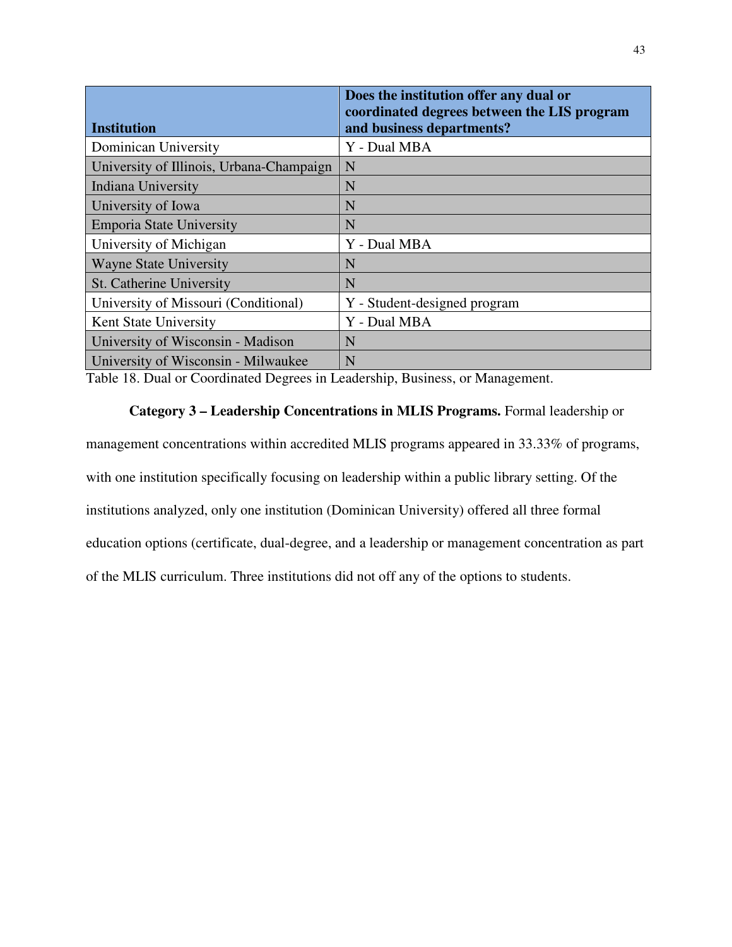| Institution                              | Does the institution offer any dual or<br>coordinated degrees between the LIS program<br>and business departments? |
|------------------------------------------|--------------------------------------------------------------------------------------------------------------------|
| Dominican University                     | Y - Dual MBA                                                                                                       |
| University of Illinois, Urbana-Champaign | N                                                                                                                  |
| Indiana University                       | N                                                                                                                  |
| University of Iowa                       | N                                                                                                                  |
| <b>Emporia State University</b>          | N                                                                                                                  |
| University of Michigan                   | Y - Dual MBA                                                                                                       |
| <b>Wayne State University</b>            | N                                                                                                                  |
| St. Catherine University                 | N                                                                                                                  |
| University of Missouri (Conditional)     | Y - Student-designed program                                                                                       |
| Kent State University                    | Y - Dual MBA                                                                                                       |
| University of Wisconsin - Madison        | N                                                                                                                  |
| University of Wisconsin - Milwaukee      | N                                                                                                                  |

Table 18. Dual or Coordinated Degrees in Leadership, Business, or Management.

## **Category 3 – Leadership Concentrations in MLIS Programs.** Formal leadership or

management concentrations within accredited MLIS programs appeared in 33.33% of programs, with one institution specifically focusing on leadership within a public library setting. Of the institutions analyzed, only one institution (Dominican University) offered all three formal education options (certificate, dual-degree, and a leadership or management concentration as part of the MLIS curriculum. Three institutions did not off any of the options to students.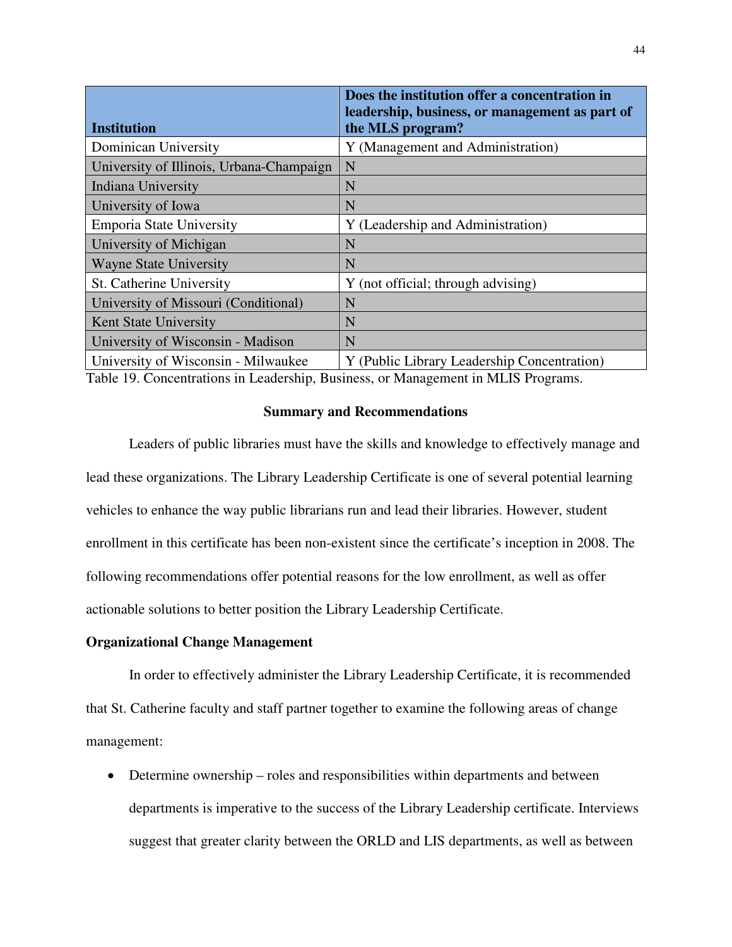| <b>Institution</b>                       | Does the institution offer a concentration in<br>leadership, business, or management as part of<br>the MLS program? |
|------------------------------------------|---------------------------------------------------------------------------------------------------------------------|
| Dominican University                     | Y (Management and Administration)                                                                                   |
| University of Illinois, Urbana-Champaign | N                                                                                                                   |
| Indiana University                       | N                                                                                                                   |
| University of Iowa                       | N                                                                                                                   |
| Emporia State University                 | Y (Leadership and Administration)                                                                                   |
| University of Michigan                   | N                                                                                                                   |
| <b>Wayne State University</b>            | N                                                                                                                   |
| St. Catherine University                 | Y (not official; through advising)                                                                                  |
| University of Missouri (Conditional)     | N                                                                                                                   |
| Kent State University                    | N                                                                                                                   |
| University of Wisconsin - Madison        | N                                                                                                                   |
| University of Wisconsin - Milwaukee      | Y (Public Library Leadership Concentration)                                                                         |

Table 19. Concentrations in Leadership, Business, or Management in MLIS Programs.

#### **Summary and Recommendations**

Leaders of public libraries must have the skills and knowledge to effectively manage and lead these organizations. The Library Leadership Certificate is one of several potential learning vehicles to enhance the way public librarians run and lead their libraries. However, student enrollment in this certificate has been non-existent since the certificate's inception in 2008. The following recommendations offer potential reasons for the low enrollment, as well as offer actionable solutions to better position the Library Leadership Certificate.

#### **Organizational Change Management**

In order to effectively administer the Library Leadership Certificate, it is recommended that St. Catherine faculty and staff partner together to examine the following areas of change management:

• Determine ownership – roles and responsibilities within departments and between departments is imperative to the success of the Library Leadership certificate. Interviews suggest that greater clarity between the ORLD and LIS departments, as well as between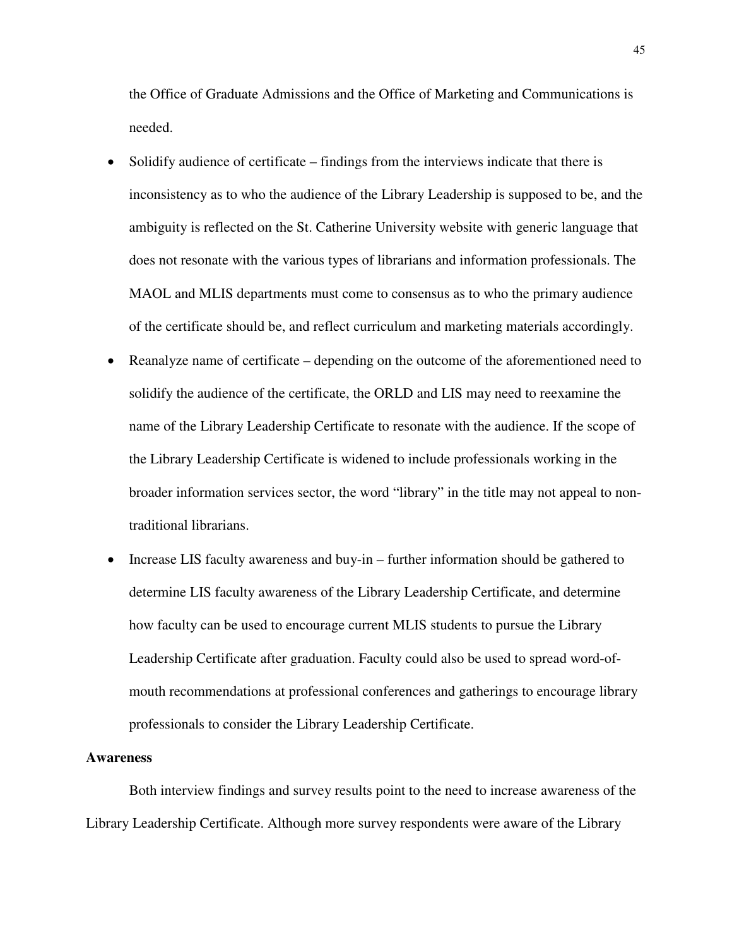the Office of Graduate Admissions and the Office of Marketing and Communications is needed.

- Solidify audience of certificate findings from the interviews indicate that there is inconsistency as to who the audience of the Library Leadership is supposed to be, and the ambiguity is reflected on the St. Catherine University website with generic language that does not resonate with the various types of librarians and information professionals. The MAOL and MLIS departments must come to consensus as to who the primary audience of the certificate should be, and reflect curriculum and marketing materials accordingly.
- Reanalyze name of certificate depending on the outcome of the aforementioned need to solidify the audience of the certificate, the ORLD and LIS may need to reexamine the name of the Library Leadership Certificate to resonate with the audience. If the scope of the Library Leadership Certificate is widened to include professionals working in the broader information services sector, the word "library" in the title may not appeal to nontraditional librarians.
- Increase LIS faculty awareness and buy-in further information should be gathered to determine LIS faculty awareness of the Library Leadership Certificate, and determine how faculty can be used to encourage current MLIS students to pursue the Library Leadership Certificate after graduation. Faculty could also be used to spread word-ofmouth recommendations at professional conferences and gatherings to encourage library professionals to consider the Library Leadership Certificate.

#### **Awareness**

Both interview findings and survey results point to the need to increase awareness of the Library Leadership Certificate. Although more survey respondents were aware of the Library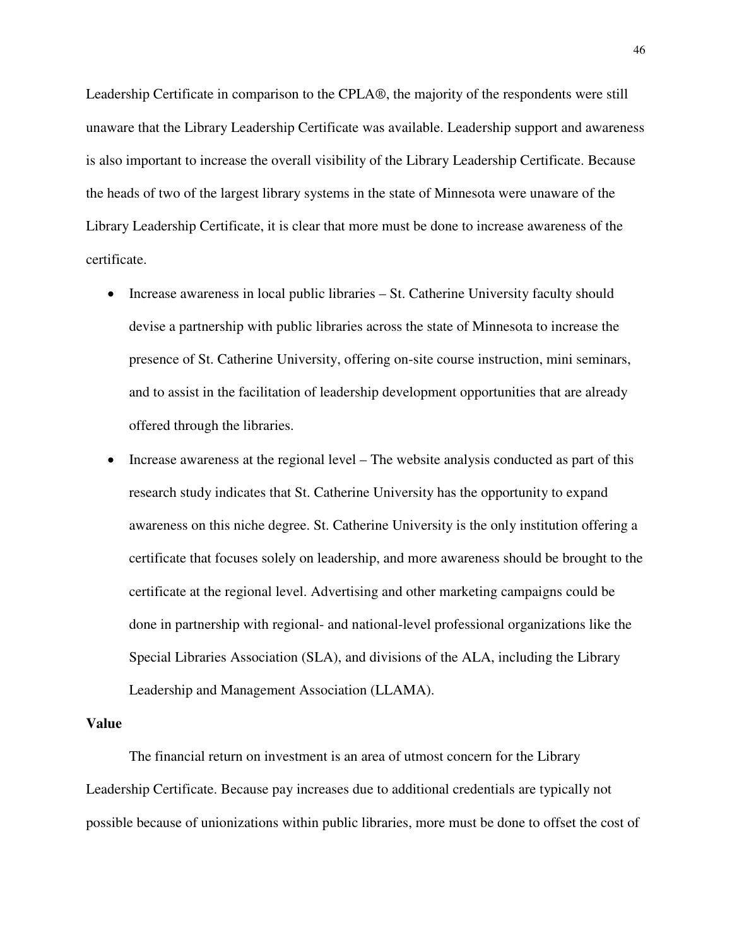Leadership Certificate in comparison to the CPLA®, the majority of the respondents were still unaware that the Library Leadership Certificate was available. Leadership support and awareness is also important to increase the overall visibility of the Library Leadership Certificate. Because the heads of two of the largest library systems in the state of Minnesota were unaware of the Library Leadership Certificate, it is clear that more must be done to increase awareness of the certificate.

- Increase awareness in local public libraries St. Catherine University faculty should devise a partnership with public libraries across the state of Minnesota to increase the presence of St. Catherine University, offering on-site course instruction, mini seminars, and to assist in the facilitation of leadership development opportunities that are already offered through the libraries.
- Increase awareness at the regional level The website analysis conducted as part of this research study indicates that St. Catherine University has the opportunity to expand awareness on this niche degree. St. Catherine University is the only institution offering a certificate that focuses solely on leadership, and more awareness should be brought to the certificate at the regional level. Advertising and other marketing campaigns could be done in partnership with regional- and national-level professional organizations like the Special Libraries Association (SLA), and divisions of the ALA, including the Library Leadership and Management Association (LLAMA).

#### **Value**

 The financial return on investment is an area of utmost concern for the Library Leadership Certificate. Because pay increases due to additional credentials are typically not possible because of unionizations within public libraries, more must be done to offset the cost of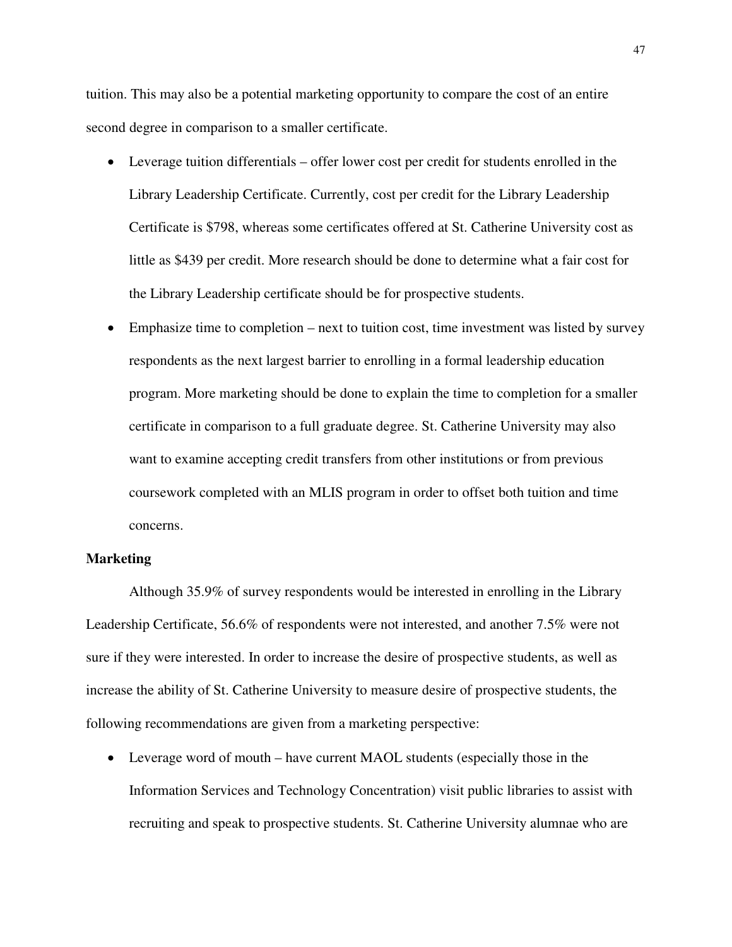tuition. This may also be a potential marketing opportunity to compare the cost of an entire second degree in comparison to a smaller certificate.

- Leverage tuition differentials offer lower cost per credit for students enrolled in the Library Leadership Certificate. Currently, cost per credit for the Library Leadership Certificate is \$798, whereas some certificates offered at St. Catherine University cost as little as \$439 per credit. More research should be done to determine what a fair cost for the Library Leadership certificate should be for prospective students.
- Emphasize time to completion next to tuition cost, time investment was listed by survey respondents as the next largest barrier to enrolling in a formal leadership education program. More marketing should be done to explain the time to completion for a smaller certificate in comparison to a full graduate degree. St. Catherine University may also want to examine accepting credit transfers from other institutions or from previous coursework completed with an MLIS program in order to offset both tuition and time concerns.

#### **Marketing**

 Although 35.9% of survey respondents would be interested in enrolling in the Library Leadership Certificate, 56.6% of respondents were not interested, and another 7.5% were not sure if they were interested. In order to increase the desire of prospective students, as well as increase the ability of St. Catherine University to measure desire of prospective students, the following recommendations are given from a marketing perspective:

• Leverage word of mouth – have current MAOL students (especially those in the Information Services and Technology Concentration) visit public libraries to assist with recruiting and speak to prospective students. St. Catherine University alumnae who are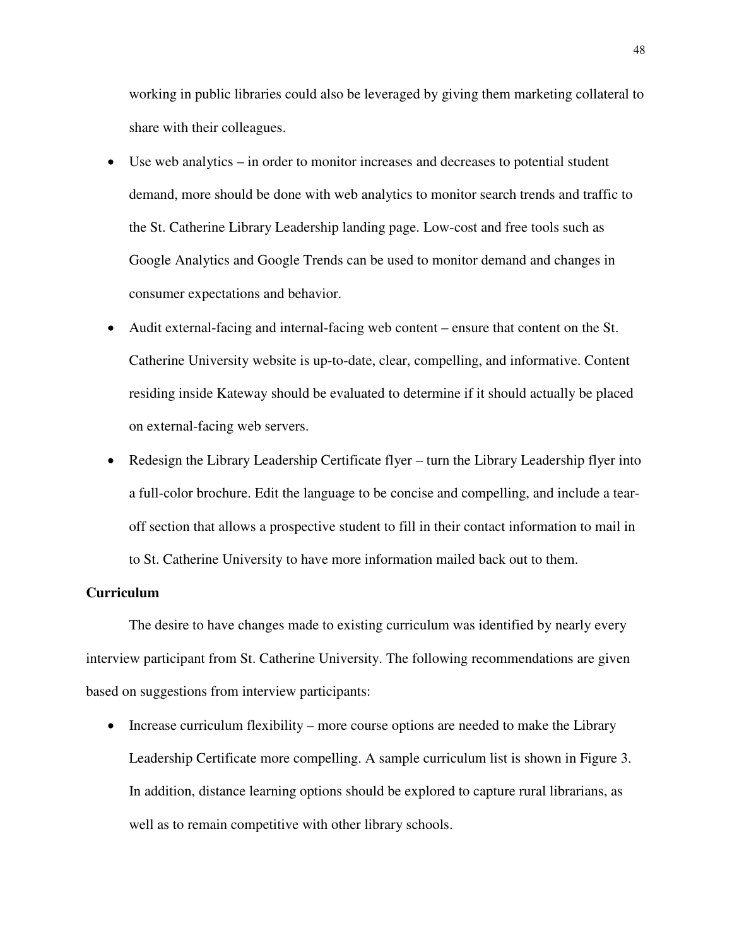working in public libraries could also be leveraged by giving them marketing collateral to share with their colleagues.

- Use web analytics in order to monitor increases and decreases to potential student demand, more should be done with web analytics to monitor search trends and traffic to the St. Catherine Library Leadership landing page. Low-cost and free tools such as Google Analytics and Google Trends can be used to monitor demand and changes in consumer expectations and behavior.
- Audit external-facing and internal-facing web content ensure that content on the St. Catherine University website is up-to-date, clear, compelling, and informative. Content residing inside Kateway should be evaluated to determine if it should actually be placed on external-facing web servers.
- Redesign the Library Leadership Certificate flyer turn the Library Leadership flyer into a full-color brochure. Edit the language to be concise and compelling, and include a tearoff section that allows a prospective student to fill in their contact information to mail in to St. Catherine University to have more information mailed back out to them.

#### **Curriculum**

The desire to have changes made to existing curriculum was identified by nearly every interview participant from St. Catherine University. The following recommendations are given based on suggestions from interview participants:

• Increase curriculum flexibility – more course options are needed to make the Library Leadership Certificate more compelling. A sample curriculum list is shown in Figure 3. In addition, distance learning options should be explored to capture rural librarians, as well as to remain competitive with other library schools.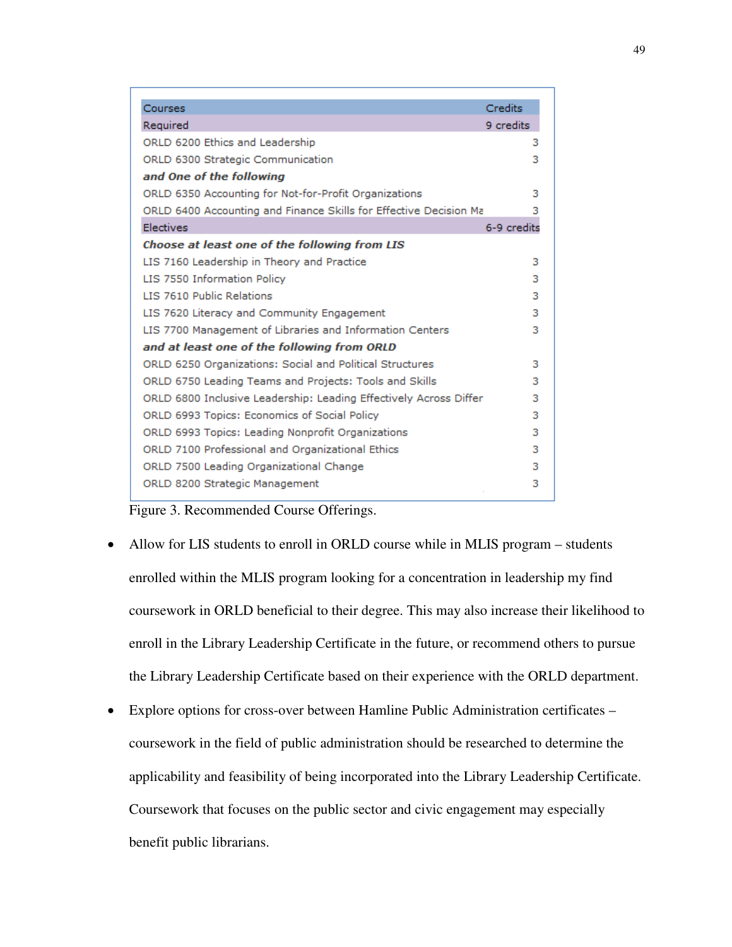| Courses                                                           | Credits     |
|-------------------------------------------------------------------|-------------|
| Required                                                          | 9 credits   |
| ORLD 6200 Ethics and Leadership                                   | з           |
| ORLD 6300 Strategic Communication                                 | з           |
| and One of the following                                          |             |
| ORLD 6350 Accounting for Not-for-Profit Organizations             | з           |
| ORLD 6400 Accounting and Finance Skills for Effective Decision Ma | з           |
| Electives                                                         | 6-9 credits |
| Choose at least one of the following from LIS                     |             |
| LIS 7160 Leadership in Theory and Practice                        | з           |
| LIS 7550 Information Policy                                       | 3           |
| LIS 7610 Public Relations                                         | 3           |
| LIS 7620 Literacy and Community Engagement                        | 3           |
| LIS 7700 Management of Libraries and Information Centers          | з           |
| and at least one of the following from ORLD                       |             |
| ORLD 6250 Organizations: Social and Political Structures          | з           |
| ORLD 6750 Leading Teams and Projects: Tools and Skills            | з           |
| ORLD 6800 Inclusive Leadership: Leading Effectively Across Differ | з           |
| ORLD 6993 Topics: Economics of Social Policy                      | з           |
| ORLD 6993 Topics: Leading Nonprofit Organizations                 | з           |
| ORLD 7100 Professional and Organizational Ethics                  | з           |
| ORLD 7500 Leading Organizational Change                           | з           |
| ORLD 8200 Strategic Management                                    | з           |



- Allow for LIS students to enroll in ORLD course while in MLIS program students enrolled within the MLIS program looking for a concentration in leadership my find coursework in ORLD beneficial to their degree. This may also increase their likelihood to enroll in the Library Leadership Certificate in the future, or recommend others to pursue the Library Leadership Certificate based on their experience with the ORLD department.
- Explore options for cross-over between Hamline Public Administration certificates coursework in the field of public administration should be researched to determine the applicability and feasibility of being incorporated into the Library Leadership Certificate. Coursework that focuses on the public sector and civic engagement may especially benefit public librarians.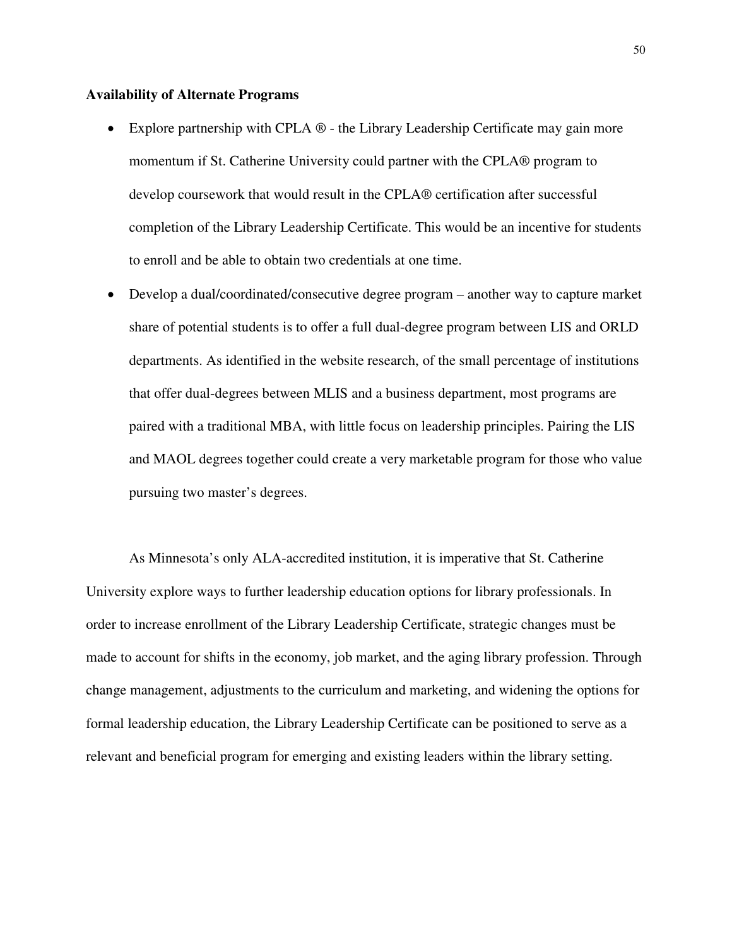#### **Availability of Alternate Programs**

- Explore partnership with CPLA  $\circledR$  the Library Leadership Certificate may gain more momentum if St. Catherine University could partner with the CPLA® program to develop coursework that would result in the CPLA® certification after successful completion of the Library Leadership Certificate. This would be an incentive for students to enroll and be able to obtain two credentials at one time.
- Develop a dual/coordinated/consecutive degree program another way to capture market share of potential students is to offer a full dual-degree program between LIS and ORLD departments. As identified in the website research, of the small percentage of institutions that offer dual-degrees between MLIS and a business department, most programs are paired with a traditional MBA, with little focus on leadership principles. Pairing the LIS and MAOL degrees together could create a very marketable program for those who value pursuing two master's degrees.

As Minnesota's only ALA-accredited institution, it is imperative that St. Catherine University explore ways to further leadership education options for library professionals. In order to increase enrollment of the Library Leadership Certificate, strategic changes must be made to account for shifts in the economy, job market, and the aging library profession. Through change management, adjustments to the curriculum and marketing, and widening the options for formal leadership education, the Library Leadership Certificate can be positioned to serve as a relevant and beneficial program for emerging and existing leaders within the library setting.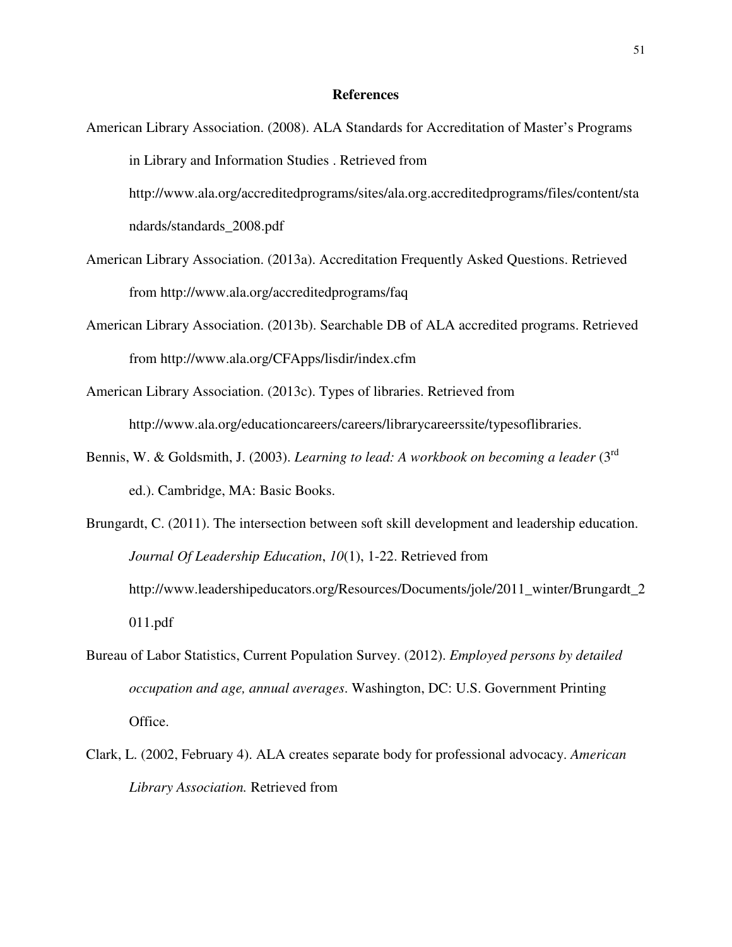#### **References**

- American Library Association. (2008). ALA Standards for Accreditation of Master's Programs in Library and Information Studies . Retrieved from http://www.ala.org/accreditedprograms/sites/ala.org.accreditedprograms/files/content/sta ndards/standards\_2008.pdf
- American Library Association. (2013a). Accreditation Frequently Asked Questions. Retrieved from http://www.ala.org/accreditedprograms/faq
- American Library Association. (2013b). Searchable DB of ALA accredited programs. Retrieved from http://www.ala.org/CFApps/lisdir/index.cfm
- American Library Association. (2013c). Types of libraries. Retrieved from http://www.ala.org/educationcareers/careers/librarycareerssite/typesoflibraries.
- Bennis, W. & Goldsmith, J. (2003). *Learning to lead: A workbook on becoming a leader* (3rd ed.). Cambridge, MA: Basic Books.
- Brungardt, C. (2011). The intersection between soft skill development and leadership education. *Journal Of Leadership Education*, *10*(1), 1-22. Retrieved from http://www.leadershipeducators.org/Resources/Documents/jole/2011\_winter/Brungardt\_2 011.pdf
- Bureau of Labor Statistics, Current Population Survey. (2012). *Employed persons by detailed occupation and age, annual averages*. Washington, DC: U.S. Government Printing Office.
- Clark, L. (2002, February 4). ALA creates separate body for professional advocacy. *American Library Association.* Retrieved from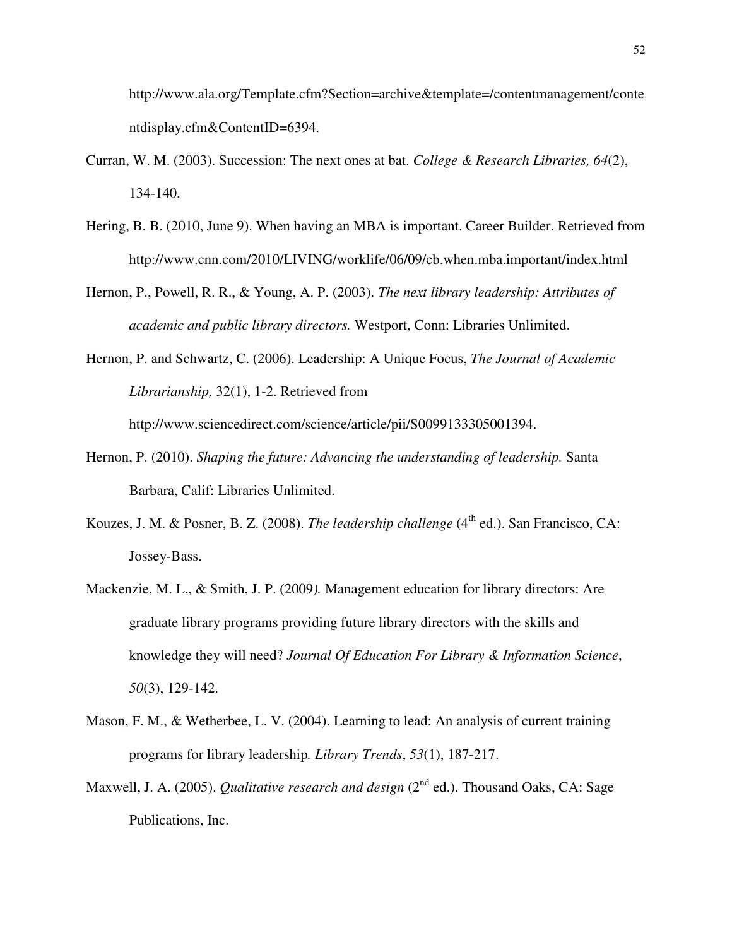http://www.ala.org/Template.cfm?Section=archive&template=/contentmanagement/conte ntdisplay.cfm&ContentID=6394.

- Curran, W. M. (2003). Succession: The next ones at bat. *College & Research Libraries, 64*(2), 134-140.
- Hering, B. B. (2010, June 9). When having an MBA is important. Career Builder. Retrieved from http://www.cnn.com/2010/LIVING/worklife/06/09/cb.when.mba.important/index.html
- Hernon, P., Powell, R. R., & Young, A. P. (2003). *The next library leadership: Attributes of academic and public library directors.* Westport, Conn: Libraries Unlimited.
- Hernon, P. and Schwartz, C. (2006). Leadership: A Unique Focus, *The Journal of Academic Librarianship,* 32(1), 1-2. Retrieved from http://www.sciencedirect.com/science/article/pii/S0099133305001394.
	-
- Hernon, P. (2010). *Shaping the future: Advancing the understanding of leadership.* Santa Barbara, Calif: Libraries Unlimited.
- Kouzes, J. M. & Posner, B. Z. (2008). *The leadership challenge* (4<sup>th</sup> ed.). San Francisco, CA: Jossey-Bass.
- Mackenzie, M. L., & Smith, J. P. (2009*).* Management education for library directors: Are graduate library programs providing future library directors with the skills and knowledge they will need? *Journal Of Education For Library & Information Science*, *50*(3), 129-142.
- Mason, F. M., & Wetherbee, L. V. (2004). Learning to lead: An analysis of current training programs for library leadership*. Library Trends*, *53*(1), 187-217.
- Maxwell, J. A. (2005). *Qualitative research and design* (2<sup>nd</sup> ed.). Thousand Oaks, CA: Sage Publications, Inc.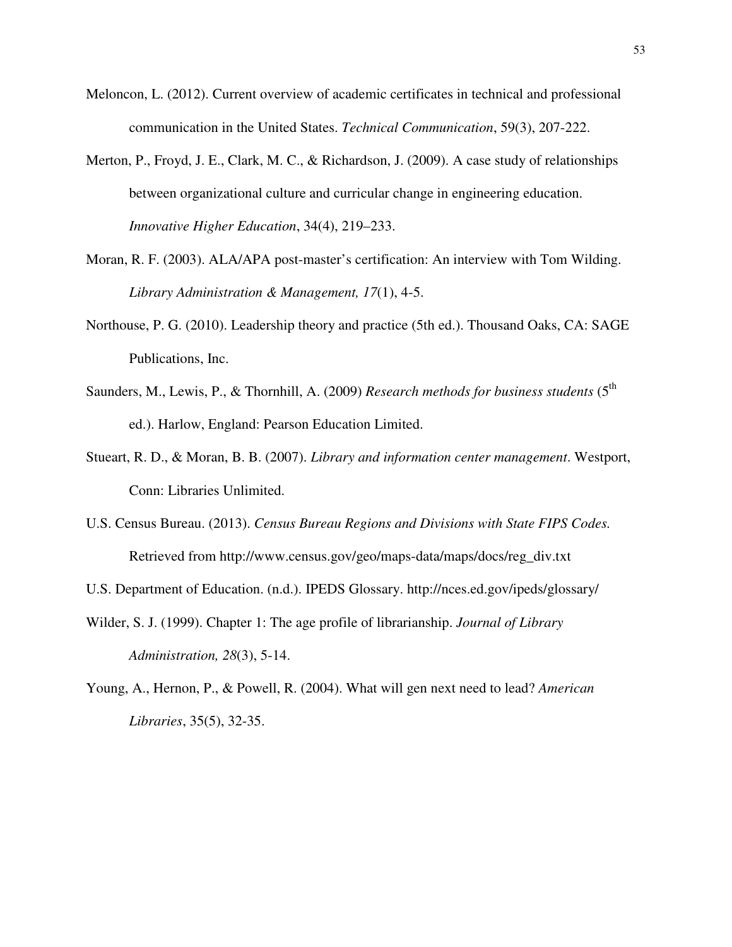- Meloncon, L. (2012). Current overview of academic certificates in technical and professional communication in the United States. *Technical Communication*, 59(3), 207-222.
- Merton, P., Froyd, J. E., Clark, M. C., & Richardson, J. (2009). A case study of relationships between organizational culture and curricular change in engineering education. *Innovative Higher Education*, 34(4), 219–233.
- Moran, R. F. (2003). ALA/APA post-master's certification: An interview with Tom Wilding. *Library Administration & Management, 17*(1), 4-5.
- Northouse, P. G. (2010). Leadership theory and practice (5th ed.). Thousand Oaks, CA: SAGE Publications, Inc.
- Saunders, M., Lewis, P., & Thornhill, A. (2009) *Research methods for business students* (5<sup>th</sup>) ed.). Harlow, England: Pearson Education Limited.
- Stueart, R. D., & Moran, B. B. (2007). *Library and information center management*. Westport, Conn: Libraries Unlimited.
- U.S. Census Bureau. (2013). *Census Bureau Regions and Divisions with State FIPS Codes.*  Retrieved from http://www.census.gov/geo/maps-data/maps/docs/reg\_div.txt
- U.S. Department of Education. (n.d.). IPEDS Glossary. http://nces.ed.gov/ipeds/glossary/
- Wilder, S. J. (1999). Chapter 1: The age profile of librarianship. *Journal of Library Administration, 28*(3), 5-14.
- Young, A., Hernon, P., & Powell, R. (2004). What will gen next need to lead? *American Libraries*, 35(5), 32-35.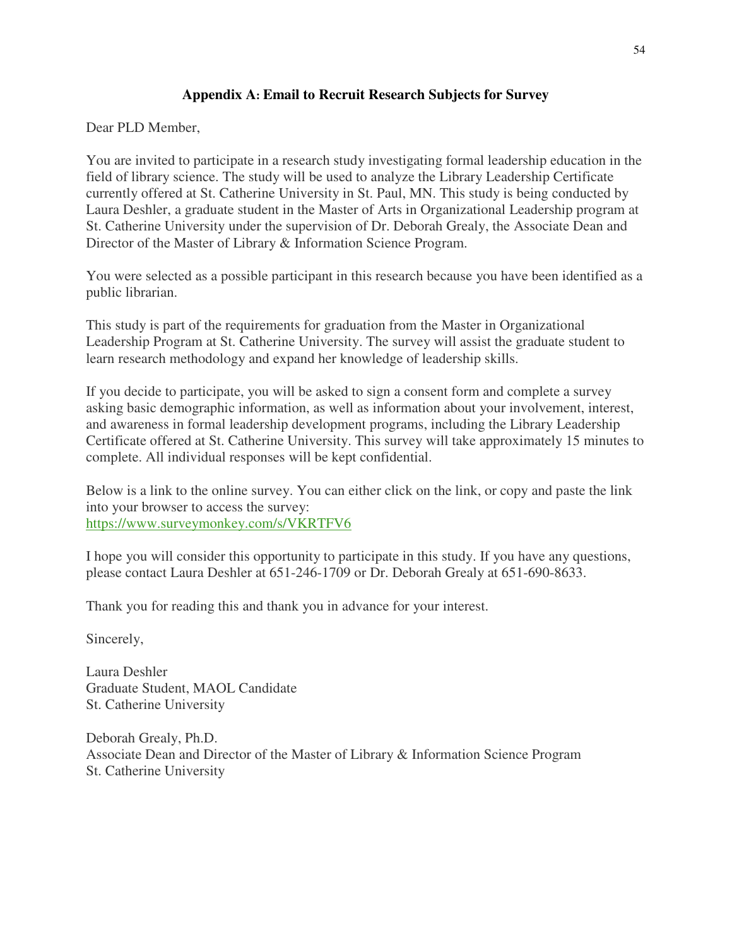## **Appendix A: Email to Recruit Research Subjects for Survey**

Dear PLD Member,

You are invited to participate in a research study investigating formal leadership education in the field of library science. The study will be used to analyze the Library Leadership Certificate currently offered at St. Catherine University in St. Paul, MN. This study is being conducted by Laura Deshler, a graduate student in the Master of Arts in Organizational Leadership program at St. Catherine University under the supervision of Dr. Deborah Grealy, the Associate Dean and Director of the Master of Library & Information Science Program.

You were selected as a possible participant in this research because you have been identified as a public librarian.

This study is part of the requirements for graduation from the Master in Organizational Leadership Program at St. Catherine University. The survey will assist the graduate student to learn research methodology and expand her knowledge of leadership skills.

If you decide to participate, you will be asked to sign a consent form and complete a survey asking basic demographic information, as well as information about your involvement, interest, and awareness in formal leadership development programs, including the Library Leadership Certificate offered at St. Catherine University. This survey will take approximately 15 minutes to complete. All individual responses will be kept confidential.

Below is a link to the online survey. You can either click on the link, or copy and paste the link into your browser to access the survey: https://www.surveymonkey.com/s/VKRTFV6

I hope you will consider this opportunity to participate in this study. If you have any questions, please contact Laura Deshler at 651-246-1709 or Dr. Deborah Grealy at 651-690-8633.

Thank you for reading this and thank you in advance for your interest.

Sincerely,

Laura Deshler Graduate Student, MAOL Candidate St. Catherine University

Deborah Grealy, Ph.D. Associate Dean and Director of the Master of Library & Information Science Program St. Catherine University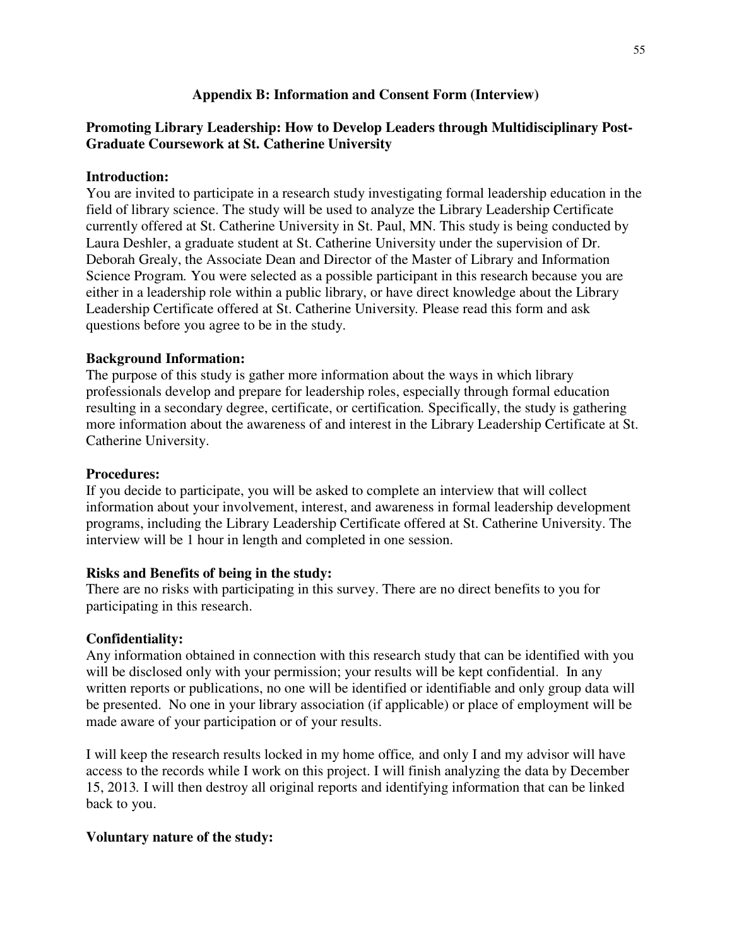## **Appendix B: Information and Consent Form (Interview)**

## **Promoting Library Leadership: How to Develop Leaders through Multidisciplinary Post-Graduate Coursework at St. Catherine University**

### **Introduction:**

You are invited to participate in a research study investigating formal leadership education in the field of library science. The study will be used to analyze the Library Leadership Certificate currently offered at St. Catherine University in St. Paul, MN. This study is being conducted by Laura Deshler, a graduate student at St. Catherine University under the supervision of Dr. Deborah Grealy, the Associate Dean and Director of the Master of Library and Information Science Program*.* You were selected as a possible participant in this research because you are either in a leadership role within a public library, or have direct knowledge about the Library Leadership Certificate offered at St. Catherine University*.* Please read this form and ask questions before you agree to be in the study.

#### **Background Information:**

The purpose of this study is gather more information about the ways in which library professionals develop and prepare for leadership roles, especially through formal education resulting in a secondary degree, certificate, or certification*.* Specifically, the study is gathering more information about the awareness of and interest in the Library Leadership Certificate at St. Catherine University.

#### **Procedures:**

If you decide to participate, you will be asked to complete an interview that will collect information about your involvement, interest, and awareness in formal leadership development programs, including the Library Leadership Certificate offered at St. Catherine University. The interview will be 1 hour in length and completed in one session.

### **Risks and Benefits of being in the study:**

There are no risks with participating in this survey. There are no direct benefits to you for participating in this research.

#### **Confidentiality:**

Any information obtained in connection with this research study that can be identified with you will be disclosed only with your permission; your results will be kept confidential. In any written reports or publications, no one will be identified or identifiable and only group data will be presented. No one in your library association (if applicable) or place of employment will be made aware of your participation or of your results.

I will keep the research results locked in my home office*,* and only I and my advisor will have access to the records while I work on this project. I will finish analyzing the data by December 15, 2013*.* I will then destroy all original reports and identifying information that can be linked back to you.

### **Voluntary nature of the study:**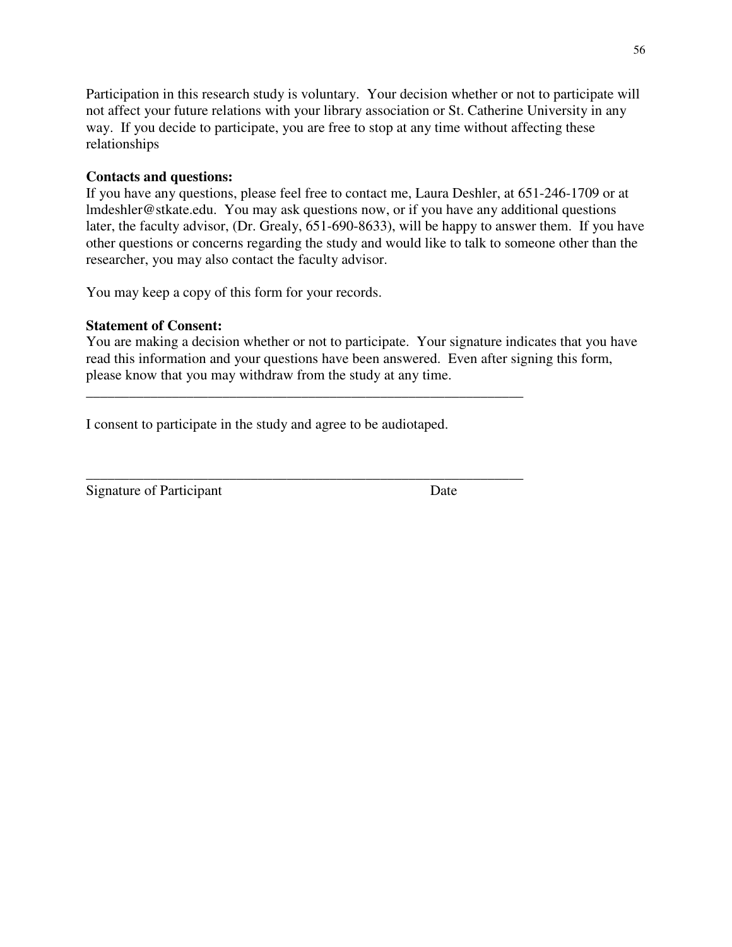Participation in this research study is voluntary. Your decision whether or not to participate will not affect your future relations with your library association or St. Catherine University in any way. If you decide to participate, you are free to stop at any time without affecting these relationships

## **Contacts and questions:**

If you have any questions, please feel free to contact me, Laura Deshler, at 651-246-1709 or at lmdeshler@stkate.edu. You may ask questions now, or if you have any additional questions later, the faculty advisor, (Dr. Grealy, 651-690-8633), will be happy to answer them. If you have other questions or concerns regarding the study and would like to talk to someone other than the researcher, you may also contact the faculty advisor.

You may keep a copy of this form for your records.

## **Statement of Consent:**

You are making a decision whether or not to participate. Your signature indicates that you have read this information and your questions have been answered. Even after signing this form, please know that you may withdraw from the study at any time.

I consent to participate in the study and agree to be audiotaped.

\_\_\_\_\_\_\_\_\_\_\_\_\_\_\_\_\_\_\_\_\_\_\_\_\_\_\_\_\_\_\_\_\_\_\_\_\_\_\_\_\_\_\_\_\_\_\_\_\_\_\_\_\_\_\_\_\_\_\_\_\_

\_\_\_\_\_\_\_\_\_\_\_\_\_\_\_\_\_\_\_\_\_\_\_\_\_\_\_\_\_\_\_\_\_\_\_\_\_\_\_\_\_\_\_\_\_\_\_\_\_\_\_\_\_\_\_\_\_\_\_\_\_ Signature of Participant Date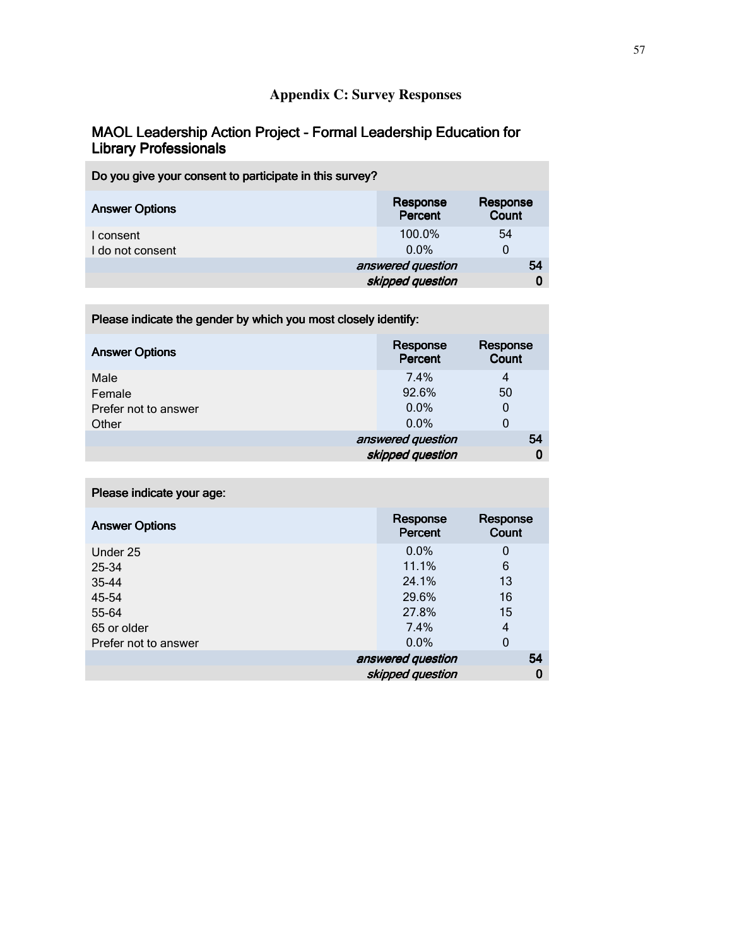# **Appendix C: Survey Responses**

## MAOL Leadership Action Project - Formal Leadership Education for Library Professionals

| Do you give your consent to participate in this survey? |                                       |                   |
|---------------------------------------------------------|---------------------------------------|-------------------|
| <b>Answer Options</b>                                   | Response<br>Percent                   | Response<br>Count |
| I consent<br>I do not consent                           | 100.0%<br>$0.0\%$                     | 54<br>0           |
|                                                         | answered question<br>skipped question | 54                |

| -                     |                     |                   |
|-----------------------|---------------------|-------------------|
| <b>Answer Options</b> | Response<br>Percent | Response<br>Count |
| Male                  | 7.4%                | 4                 |
| Female                | 92.6%               | 50                |
| Prefer not to answer  | $0.0\%$             | 0                 |
| Other                 | $0.0\%$             | 0                 |
|                       | answered question   | 54                |
|                       | skipped question    | 0                 |

Please indicate the gender by which you most closely identify:

| Please indicate your age: |                     |                   |
|---------------------------|---------------------|-------------------|
| <b>Answer Options</b>     | Response<br>Percent | Response<br>Count |
| Under 25                  | $0.0\%$             | 0                 |
| 25-34                     | 11.1%               | 6                 |
| 35-44                     | 24.1%               | 13                |
| 45-54                     | 29.6%               | 16                |
| 55-64                     | 27.8%               | 15                |
| 65 or older               | 7.4%                | 4                 |
| Prefer not to answer      | $0.0\%$             | $\mathbf 0$       |
|                           | answered question   | 54                |
|                           | skipped question    | 0                 |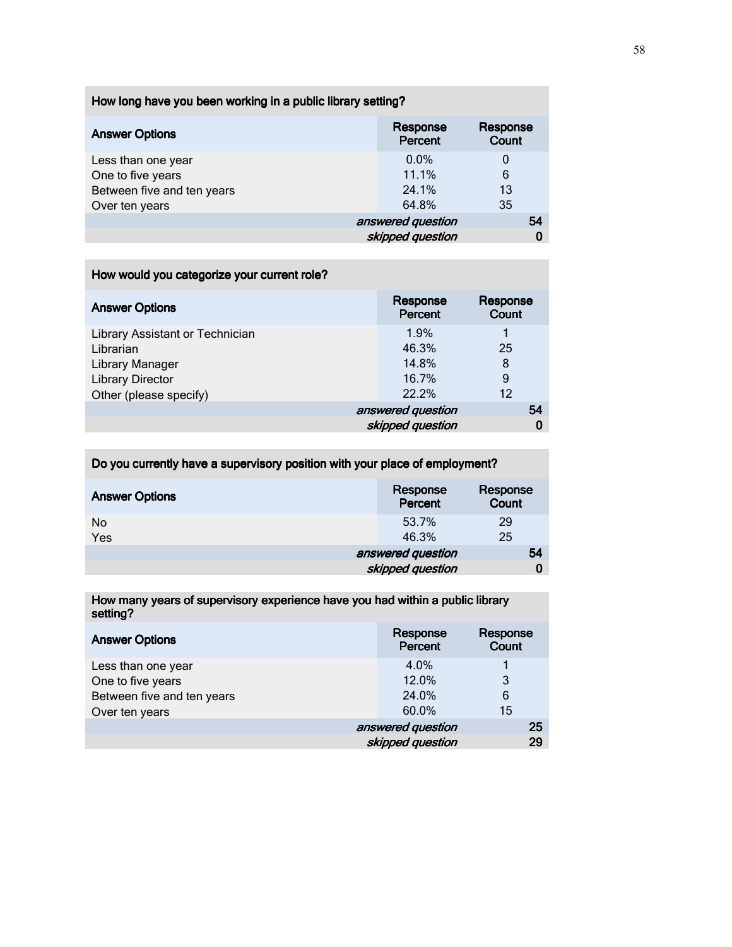|  |  | How long have you been working in a public library setting? |
|--|--|-------------------------------------------------------------|
|--|--|-------------------------------------------------------------|

| <b>Answer Options</b>      | Response<br>Percent | Response<br>Count |
|----------------------------|---------------------|-------------------|
| Less than one year         | $0.0\%$             | 0                 |
| One to five years          | 11.1%               | 6                 |
| Between five and ten years | 24.1%               | 13                |
| Over ten years             | 64.8%               | 35                |
|                            | answered question   | 54                |
|                            | skipped question    | 0                 |

## How would you categorize your current role?

| <b>Answer Options</b>           | Response<br>Percent | Response<br>Count |
|---------------------------------|---------------------|-------------------|
| Library Assistant or Technician | 1.9%                |                   |
| Librarian                       | 46.3%               | 25                |
| Library Manager                 | 14.8%               | 8                 |
| <b>Library Director</b>         | 16.7%               | 9                 |
| Other (please specify)          | 22.2%               | 12                |
|                                 | answered question   | 54                |
|                                 | skipped question    | 0                 |

Do you currently have a supervisory position with your place of employment?

| <b>Answer Options</b> | Response<br>Percent | Response<br><b>Count</b> |
|-----------------------|---------------------|--------------------------|
| No<br>Yes             | 53.7%<br>46.3%      | 29<br>25                 |
|                       | answered question   | 54                       |
|                       | skipped question    |                          |

How many years of supervisory experience have you had within a public library setting?

| <b>Answer Options</b>      | Response<br>Percent | Response<br>Count |
|----------------------------|---------------------|-------------------|
| Less than one year         | 4.0%                |                   |
| One to five years          | 12.0%               | 3                 |
| Between five and ten years | 24.0%               | 6                 |
| Over ten years             | 60.0%               | 15                |
|                            | answered question   | 25                |
|                            | skipped question    | 29                |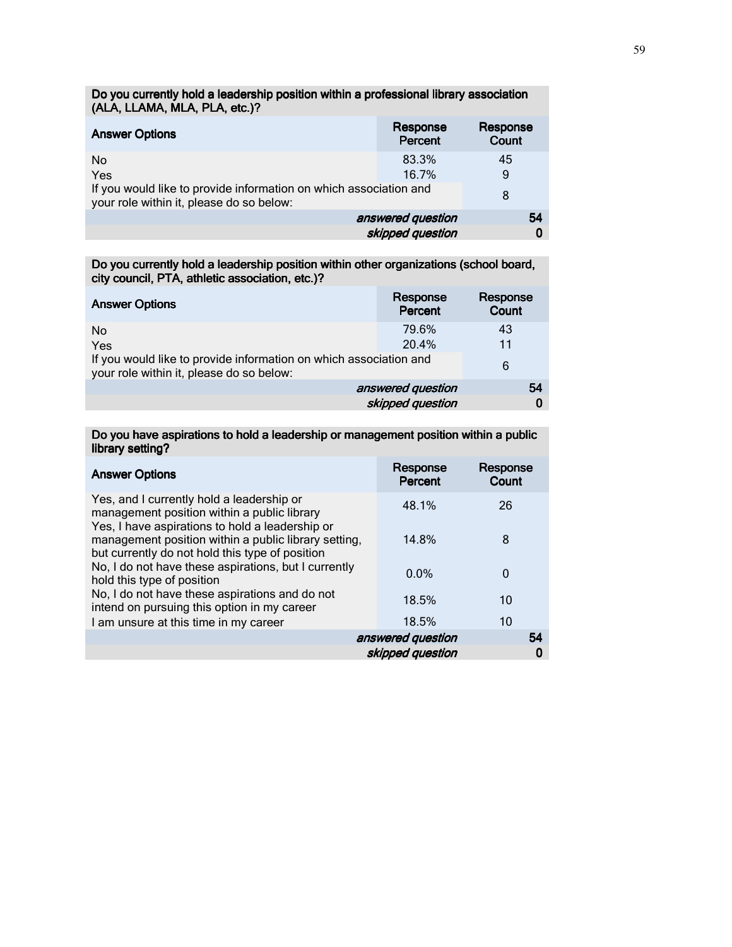| <b>Answer Options</b>                                                                                         | Response<br>Percent | Response<br>Count |
|---------------------------------------------------------------------------------------------------------------|---------------------|-------------------|
| No                                                                                                            | 83.3%               | 45                |
| Yes                                                                                                           | 16.7%               | 9                 |
| If you would like to provide information on which association and<br>your role within it, please do so below: |                     | 8                 |
|                                                                                                               | answered question   | 54                |
|                                                                                                               | skipped question    | 0                 |

Do you currently hold a leadership position within a professional library association (ALA, LLAMA, MLA, PLA, etc.)?

Do you currently hold a leadership position within other organizations (school board, city council, PTA, athletic association, etc.)?

| <b>Answer Options</b>                                                                                         | Response<br>Percent | Response<br><b>Count</b> |
|---------------------------------------------------------------------------------------------------------------|---------------------|--------------------------|
| No.                                                                                                           | 79.6%               | 43                       |
| Yes                                                                                                           | 20.4%               | 11                       |
| If you would like to provide information on which association and<br>your role within it, please do so below: |                     | 6                        |
|                                                                                                               | answered question   | 54                       |
|                                                                                                               | skipped question    | 0                        |

#### Do you have aspirations to hold a leadership or management position within a public library setting?

| <b>Answer Options</b>                                                                                                                       | Response<br>Percent | Response<br>Count |
|---------------------------------------------------------------------------------------------------------------------------------------------|---------------------|-------------------|
| Yes, and I currently hold a leadership or<br>management position within a public library<br>Yes, I have aspirations to hold a leadership or | 48.1%               | 26                |
| management position within a public library setting,<br>but currently do not hold this type of position                                     | 14.8%               | 8                 |
| No, I do not have these aspirations, but I currently<br>hold this type of position                                                          | $0.0\%$             | 0                 |
| No, I do not have these aspirations and do not<br>intend on pursuing this option in my career                                               | 18.5%               | 10                |
| I am unsure at this time in my career                                                                                                       | 18.5%               | 10                |
|                                                                                                                                             | answered question   | 54                |
|                                                                                                                                             | skipped question    | 0                 |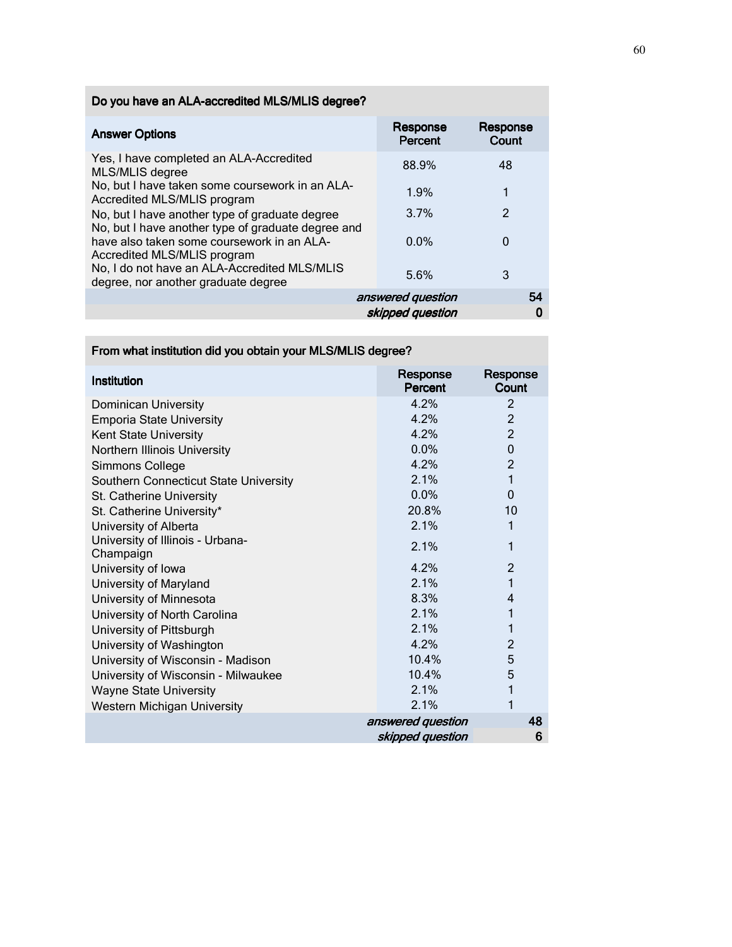# Do you have an ALA-accredited MLS/MLIS degree?

| <b>Answer Options</b>                                                                                | Response<br>Percent | Response<br>Count |
|------------------------------------------------------------------------------------------------------|---------------------|-------------------|
| Yes, I have completed an ALA-Accredited<br>MLS/MLIS degree                                           | 88.9%               | 48                |
| No, but I have taken some coursework in an ALA-<br>Accredited MLS/MLIS program                       | 1.9%                |                   |
| No, but I have another type of graduate degree<br>No, but I have another type of graduate degree and | 3.7%                | $\mathcal{P}$     |
| have also taken some coursework in an ALA-<br>Accredited MLS/MLIS program                            | $0.0\%$             | 0                 |
| No, I do not have an ALA-Accredited MLS/MLIS<br>degree, nor another graduate degree                  | 5.6%                | 3                 |
|                                                                                                      | answered question   | 54                |
|                                                                                                      | skipped question    |                   |

# From what institution did you obtain your MLS/MLIS degree?

| Institution                                   | Response<br>Percent                   | Response<br>Count |
|-----------------------------------------------|---------------------------------------|-------------------|
| <b>Dominican University</b>                   | 4.2%                                  | 2                 |
| <b>Emporia State University</b>               | 4.2%                                  | $\overline{2}$    |
| Kent State University                         | 4.2%                                  | $\overline{2}$    |
| Northern Illinois University                  | $0.0\%$                               | $\mathbf 0$       |
| Simmons College                               | 4.2%                                  | $\overline{2}$    |
| Southern Connecticut State University         | 2.1%                                  | $\mathbf{1}$      |
| St. Catherine University                      | 0.0%                                  | $\mathbf{0}$      |
| St. Catherine University*                     | 20.8%                                 | 10                |
| University of Alberta                         | 2.1%                                  | 1                 |
| University of Illinois - Urbana-<br>Champaign | 2.1%                                  | 1                 |
| University of Iowa                            | 4.2%                                  | $\overline{2}$    |
| University of Maryland                        | 2.1%                                  | 1                 |
| University of Minnesota                       | 8.3%                                  | 4                 |
| University of North Carolina                  | 2.1%                                  | 1                 |
| University of Pittsburgh                      | 2.1%                                  | 1                 |
| University of Washington                      | 4.2%                                  | $\overline{2}$    |
| University of Wisconsin - Madison             | 10.4%                                 | 5                 |
| University of Wisconsin - Milwaukee           | 10.4%                                 | 5                 |
| <b>Wayne State University</b>                 | 2.1%                                  | 1                 |
| <b>Western Michigan University</b>            | 2.1%                                  | 1                 |
|                                               | answered question<br>skipped question | 48<br>6           |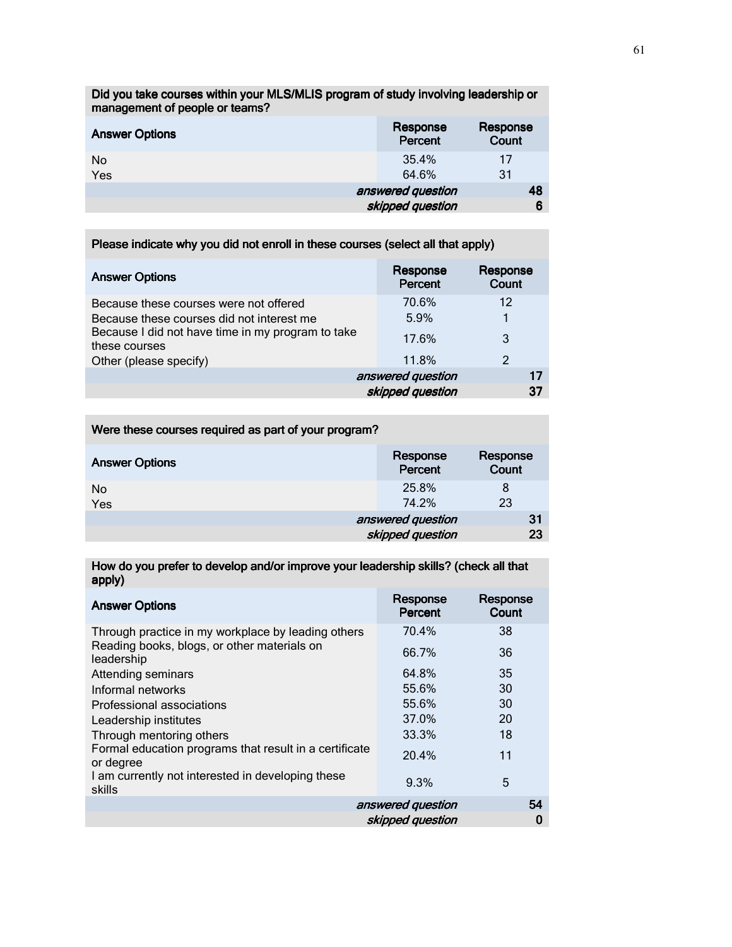Did you take courses within your MLS/MLIS program of study involving leadership or management of people or teams?

| <b>Answer Options</b> | Response<br>Percent | Response<br>Count |
|-----------------------|---------------------|-------------------|
| No.                   | 35.4%               | 17                |
| Yes                   | 64.6%               | 31                |
|                       | answered question   | 48                |
|                       | skipped question    |                   |

| Please indicate why you did not enroll in these courses (select all that apply)                                                                           |                                       |                   |  |
|-----------------------------------------------------------------------------------------------------------------------------------------------------------|---------------------------------------|-------------------|--|
| <b>Answer Options</b>                                                                                                                                     | Response<br>Percent                   | Response<br>Count |  |
| Because these courses were not offered<br>Because these courses did not interest me<br>Because I did not have time in my program to take<br>these courses | 70.6%<br>5.9%<br>17.6%                | 12<br>3           |  |
| Other (please specify)                                                                                                                                    | 11.8%                                 | 2                 |  |
|                                                                                                                                                           | answered question<br>skipped question | 17<br>37          |  |

| Were these courses required as part of your program? |                     |                          |
|------------------------------------------------------|---------------------|--------------------------|
| <b>Answer Options</b>                                | Response<br>Percent | Response<br><b>Count</b> |
| No                                                   | 25.8%               | 8                        |
| Yes                                                  | 74.2%               | 23                       |
|                                                      | answered question   | 31                       |
|                                                      | skipped question    | 23                       |

How do you prefer to develop and/or improve your leadership skills? (check all that apply)

| <b>Answer Options</b>                                               | Response<br>Percent | Response<br>Count |
|---------------------------------------------------------------------|---------------------|-------------------|
| Through practice in my workplace by leading others                  | 70.4%               | 38                |
| Reading books, blogs, or other materials on<br>leadership           | 66.7%               | 36                |
| Attending seminars                                                  | 64.8%               | 35                |
| Informal networks                                                   | 55.6%               | 30                |
| Professional associations                                           | 55.6%               | 30                |
| Leadership institutes                                               | 37.0%               | 20                |
| Through mentoring others                                            | 33.3%               | 18                |
| Formal education programs that result in a certificate<br>or degree | 20.4%               | 11                |
| I am currently not interested in developing these<br>skills         | 9.3%                | $5\overline{a}$   |
|                                                                     | answered question   | 54                |
|                                                                     | skipped question    | 0                 |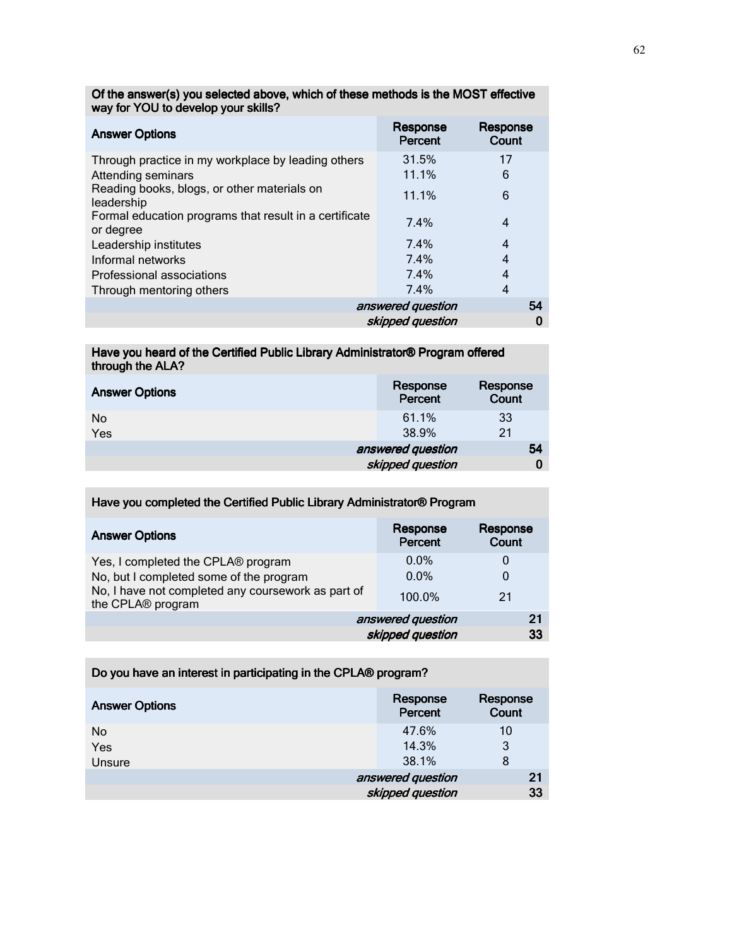| <b>Answer Options</b>                                               | Response<br>Percent | Response<br>Count |
|---------------------------------------------------------------------|---------------------|-------------------|
| Through practice in my workplace by leading others                  | 31.5%               | 17                |
| Attending seminars                                                  | 11.1%               | 6                 |
| Reading books, blogs, or other materials on<br>leadership           | 11.1%               | 6                 |
| Formal education programs that result in a certificate<br>or degree | 7.4%                | 4                 |
| Leadership institutes                                               | 7.4%                | 4                 |
| Informal networks                                                   | 7.4%                | 4                 |
| Professional associations                                           | 7.4%                | 4                 |
| Through mentoring others                                            | 7.4%                | 4                 |
|                                                                     | answered question   | 54                |
|                                                                     | skipped question    | 0                 |

Of the answer(s) you selected above, which of these methods is the MOST effective way for YOU to develop your skills?

#### Have you heard of the Certified Public Library Administrator® Program offered through the ALA? through the

| <b>Answer Options</b> | Response<br>Percent                   | Response<br>Count |
|-----------------------|---------------------------------------|-------------------|
| No.<br>Yes            | 61.1%<br>38.9%                        | 33<br>21          |
|                       | answered question<br>skipped question | 54                |

| Have you completed the Certified Public Library Administrator® Program                                                                                   |                                       |                   |  |
|----------------------------------------------------------------------------------------------------------------------------------------------------------|---------------------------------------|-------------------|--|
| <b>Answer Options</b>                                                                                                                                    | Response<br>Percent                   | Response<br>Count |  |
| Yes, I completed the CPLA® program<br>No, but I completed some of the program<br>No, I have not completed any coursework as part of<br>the CPLA® program | $0.0\%$<br>$0.0\%$<br>100.0%          | 0<br>0<br>21      |  |
|                                                                                                                                                          | answered question<br>skipped question | 21<br>33          |  |

| Do you have an interest in participating in the CPLA® program? |                     |                   |  |
|----------------------------------------------------------------|---------------------|-------------------|--|
| <b>Answer Options</b>                                          | Response<br>Percent | Response<br>Count |  |
| No                                                             | 47.6%               | 10                |  |
| Yes                                                            | 14.3%               | 3                 |  |
| Unsure                                                         | 38.1%               | 8                 |  |
|                                                                | answered question   | 21                |  |
|                                                                | skipped question    | 33                |  |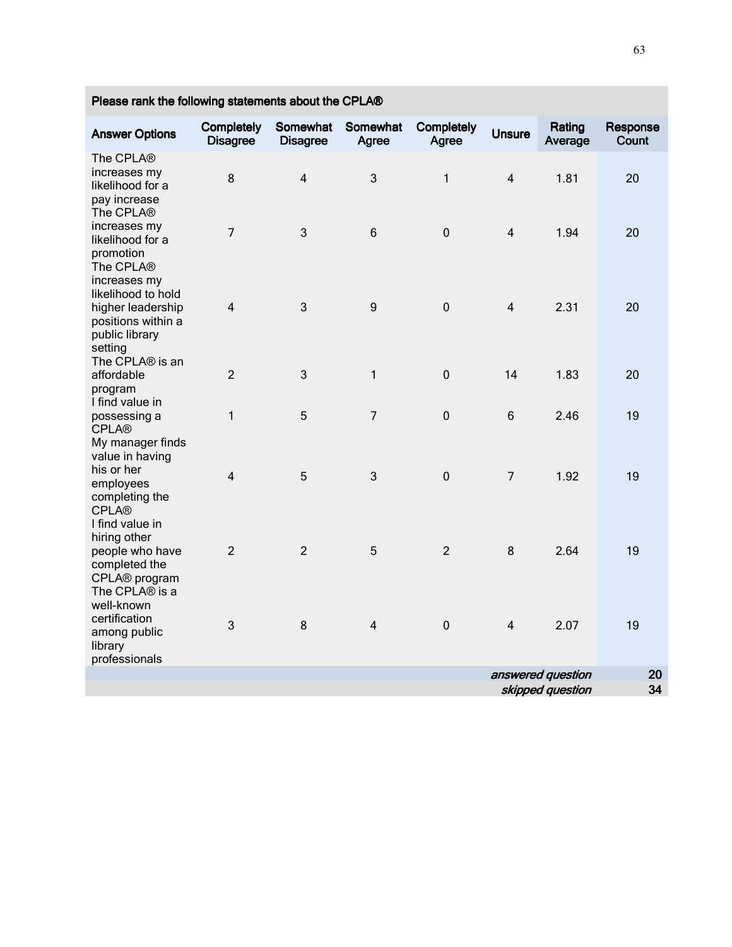| <b>Answer Options</b>                                                                                      | Completely<br><b>Disagree</b> | Somewhat<br><b>Disagree</b> | Somewhat<br>Agree | Completely<br>Agree | <b>Unsure</b>  | Rating<br>Average | Response<br>Count |
|------------------------------------------------------------------------------------------------------------|-------------------------------|-----------------------------|-------------------|---------------------|----------------|-------------------|-------------------|
| The CPLA®<br>increases my<br>likelihood for a<br>pay increase<br>The CPLA®                                 | 8                             | $\overline{4}$              | 3                 | $\mathbf{1}$        | $\overline{4}$ | 1.81              | 20                |
| increases my<br>likelihood for a<br>promotion<br>The CPLA®                                                 | $\overline{7}$                | 3                           | $6\phantom{1}$    | $\pmb{0}$           | $\overline{4}$ | 1.94              | 20                |
| increases my<br>likelihood to hold<br>higher leadership<br>positions within a<br>public library<br>setting | $\overline{4}$                | 3                           | 9                 | $\pmb{0}$           | $\overline{4}$ | 2.31              | 20                |
| The CPLA® is an<br>affordable<br>program                                                                   | $\overline{2}$                | 3                           | $\mathbf{1}$      | $\boldsymbol{0}$    | 14             | 1.83              | 20                |
| I find value in<br>possessing a<br><b>CPLA®</b>                                                            | $\mathbf{1}$                  | 5                           | $\overline{7}$    | $\mathbf 0$         | $6\phantom{1}$ | 2.46              | 19                |
| My manager finds<br>value in having<br>his or her<br>employees<br>completing the<br><b>CPLA®</b>           | $\overline{4}$                | 5                           | 3                 | $\mathbf 0$         | $\overline{7}$ | 1.92              | 19                |
| I find value in<br>hiring other<br>people who have<br>completed the<br>CPLA® program<br>The CPLA® is a     | $\overline{2}$                | $\overline{2}$              | 5                 | $\overline{2}$      | 8              | 2.64              | 19                |
| well-known<br>certification<br>among public<br>library<br>professionals                                    | 3                             | 8                           | $\overline{4}$    | $\pmb{0}$           | $\overline{4}$ | 2.07              | 19                |
|                                                                                                            |                               |                             |                   |                     |                | answered question | 20                |
|                                                                                                            |                               |                             |                   |                     |                | skipped question  | 34                |

Please rank the following statements about the CPLA®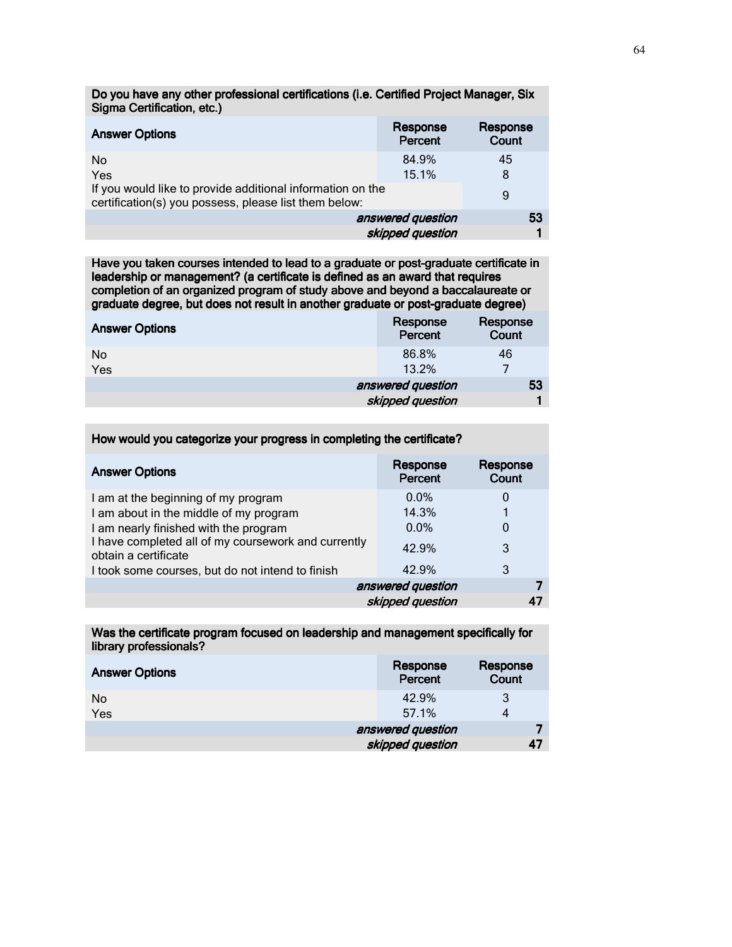| Sigma Certification, etc.)                                                                                          |                     |                   |
|---------------------------------------------------------------------------------------------------------------------|---------------------|-------------------|
| <b>Answer Options</b>                                                                                               | Response<br>Percent | Response<br>Count |
| No.                                                                                                                 | 84.9%               | 45                |
| Yes                                                                                                                 | 15.1%               | 8                 |
| If you would like to provide additional information on the<br>certification(s) you possess, please list them below: |                     | 9                 |
|                                                                                                                     | answered question   | 53                |
|                                                                                                                     | skipped question    |                   |

Do you have any other professional certifications (i.e. Certified Project Manager, Six

Have you taken courses intended to lead to a graduate or post-graduate certificate in leadership or management? (a certificate is defined as an award that requires completion of an organized program of study above and beyond a baccalaureate or graduate degree, but does not result in another graduate or post-graduate degree)

| <b>Answer Options</b> | Response<br>Percent | Response<br>Count |
|-----------------------|---------------------|-------------------|
| No<br>Yes             | 86.8%<br>13.2%      | 46                |
|                       | answered question   | 53                |
|                       | skipped question    |                   |

| <b>Answer Options</b>                                                       | Response<br>Percent | Response<br>Count |
|-----------------------------------------------------------------------------|---------------------|-------------------|
| I am at the beginning of my program                                         | $0.0\%$             | 0                 |
| I am about in the middle of my program                                      | 14.3%               |                   |
| I am nearly finished with the program                                       | $0.0\%$             | 0                 |
| I have completed all of my coursework and currently<br>obtain a certificate | 42.9%               | 3                 |
| I took some courses, but do not intend to finish                            | 42.9%               | 3                 |
|                                                                             | answered question   |                   |
|                                                                             | skipped question    |                   |

How would you categorize your progress in completing the certificate?

Was the certificate program focused on leadership and management specifically for library professionals?

| <b>Answer Options</b> | Response<br>Percent | Response<br>Count |
|-----------------------|---------------------|-------------------|
| No<br>Yes             | 42.9%<br>57.1%      | 3<br>4            |
|                       | answered question   |                   |
|                       | skipped question    | 47                |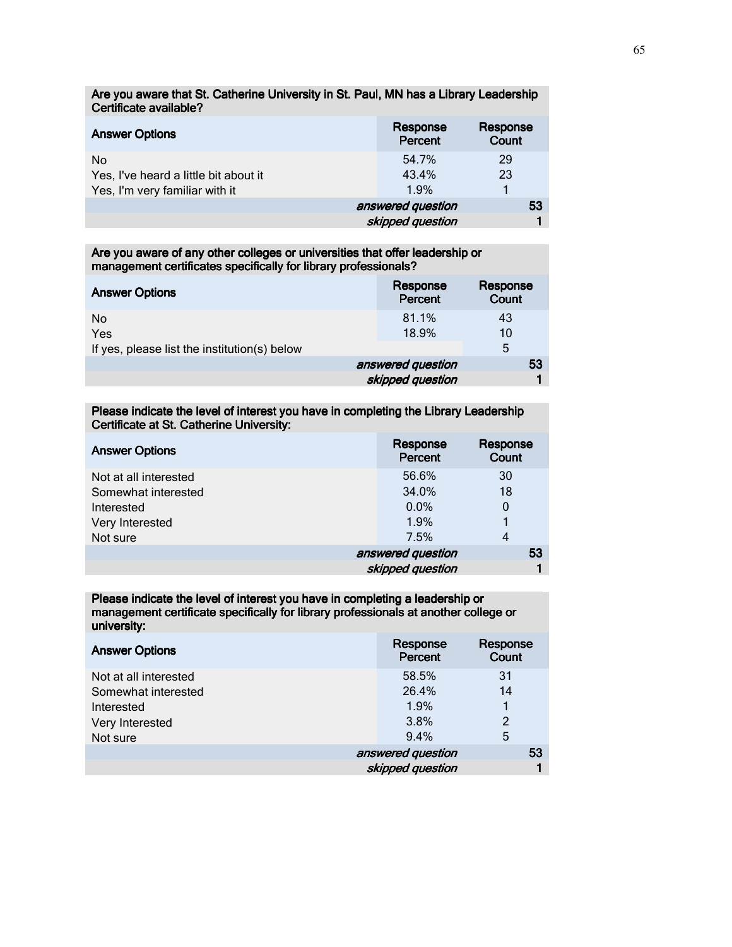Are you aware that St. Catherine University in St. Paul, MN has a Library Leadership Certificate available?

| <b>Answer Options</b>                 | Response<br>Percent | Response<br>Count |
|---------------------------------------|---------------------|-------------------|
| <b>No</b>                             | 54.7%               | 29                |
| Yes, I've heard a little bit about it | 43.4%               | 23                |
| Yes, I'm very familiar with it        | 1.9%                |                   |
|                                       | answered question   | 53                |
|                                       | skipped question    |                   |

Are you aware of any other colleges or universities that offer leadership or management certificates specifically for library professionals?

| <b>Answer Options</b>                        | Response<br>Percent | Response<br><b>Count</b> |
|----------------------------------------------|---------------------|--------------------------|
| No                                           | 81.1%               | 43                       |
| Yes                                          | 18.9%               | 10                       |
| If yes, please list the institution(s) below |                     | 5                        |
|                                              | answered question   | 53                       |
|                                              | skipped question    |                          |

Please indicate the level of interest you have in completing the Library Leadership Certificate at St. Catherine University:

| <b>Answer Options</b> | Response<br>Percent | Response<br>Count |
|-----------------------|---------------------|-------------------|
| Not at all interested | 56.6%               | 30                |
| Somewhat interested   | 34.0%               | 18                |
| Interested            | 0.0%                | 0                 |
| Very Interested       | 1.9%                |                   |
| Not sure              | 7.5%                | 4                 |
|                       | answered question   | 53                |
|                       | skipped question    |                   |

Please indicate the level of interest you have in completing a leadership or management certificate specifically for library professionals at another college or university:

| <b>Answer Options</b> | Response<br>Percent | Response<br>Count |
|-----------------------|---------------------|-------------------|
| Not at all interested | 58.5%               | 31                |
| Somewhat interested   | 26.4%               | 14                |
| Interested            | 1.9%                |                   |
| Very Interested       | 3.8%                | 2                 |
| Not sure              | 9.4%                | 5                 |
|                       | answered question   | 53                |
|                       | skipped question    |                   |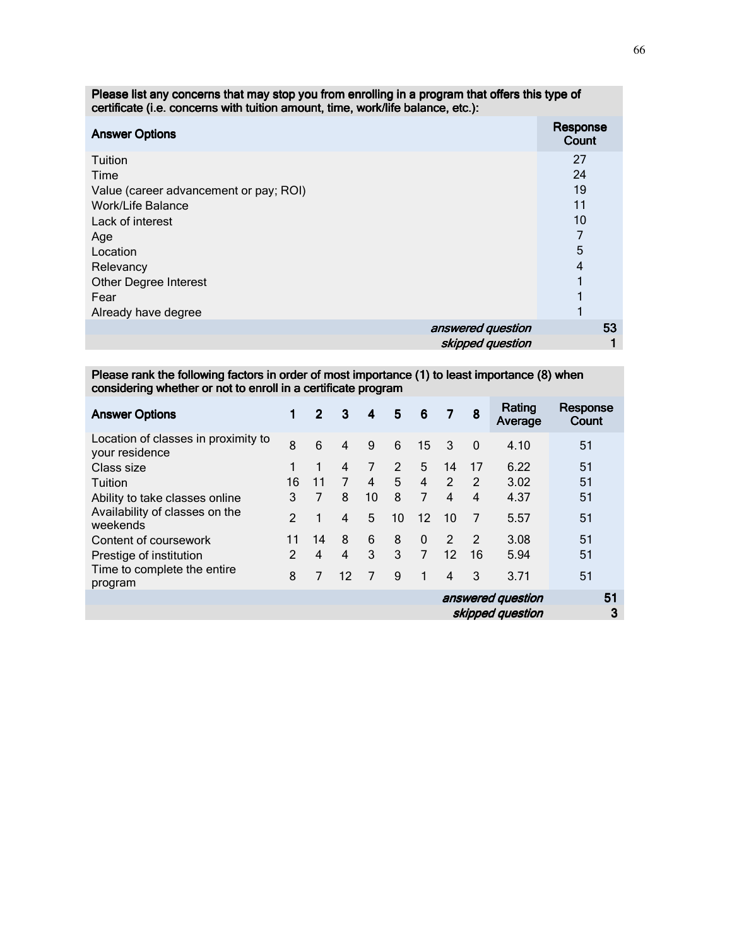| Please list any concerns that may stop you from enrolling in a program that offers this type of<br>certificate (i.e. concerns with tuition amount, time, work/life balance, etc.): |                   |  |  |  |  |
|------------------------------------------------------------------------------------------------------------------------------------------------------------------------------------|-------------------|--|--|--|--|
| <b>Answer Options</b>                                                                                                                                                              | Response<br>Count |  |  |  |  |
| Tuition                                                                                                                                                                            | 27                |  |  |  |  |
| Time                                                                                                                                                                               | 24                |  |  |  |  |
| Value (career advancement or pay; ROI)                                                                                                                                             | 19                |  |  |  |  |
| Work/Life Balance                                                                                                                                                                  | 11                |  |  |  |  |
| Lack of interest                                                                                                                                                                   | 10                |  |  |  |  |
| Age                                                                                                                                                                                |                   |  |  |  |  |
| Location                                                                                                                                                                           | 5                 |  |  |  |  |
| Relevancy                                                                                                                                                                          | 4                 |  |  |  |  |
| <b>Other Degree Interest</b>                                                                                                                                                       |                   |  |  |  |  |
| Fear                                                                                                                                                                               |                   |  |  |  |  |
| Already have degree                                                                                                                                                                |                   |  |  |  |  |
| answered question                                                                                                                                                                  | 53                |  |  |  |  |
| skipped question                                                                                                                                                                   |                   |  |  |  |  |

Please rank the following factors in order of most importance (1) to least importance (8) when

considering whether or not to enroll in a certificate program

| <b>Answer Options</b>                                 | 1             | $\overline{2}$ | 3                       | 4              | 5  | - 6             | $\overline{7}$          | 8              | Rating<br>Average                     | Response<br>Count |
|-------------------------------------------------------|---------------|----------------|-------------------------|----------------|----|-----------------|-------------------------|----------------|---------------------------------------|-------------------|
| Location of classes in proximity to<br>your residence | 8             | 6              | $\overline{\mathbf{4}}$ | 9              | 6  | 15              | 3                       | $\mathbf{0}$   | 4.10                                  | 51                |
| Class size                                            |               | 1              | 4                       | 7              | 2  | 5               | 14                      | 17             | 6.22                                  | 51                |
| Tuition                                               | 16            | 11             | $\overline{7}$          | 4              | 5  | 4               | $\overline{2}$          | $\mathcal{P}$  | 3.02                                  | 51                |
| Ability to take classes online                        | 3             | $\overline{7}$ | 8                       | 10             | 8  | $\overline{7}$  | $\overline{\mathbf{4}}$ | $\overline{4}$ | 4.37                                  | 51                |
| Availability of classes on the<br>weekends            | $\mathcal{P}$ | 1              | 4                       | 5              | 10 | 12 <sup>2</sup> | 10                      | 7              | 5.57                                  | 51                |
| Content of coursework                                 | 11            | 14             | 8                       | 6              | 8  | $\Omega$        | $\mathcal{P}$           | $\overline{2}$ | 3.08                                  | 51                |
| Prestige of institution                               | $\mathcal{P}$ | $\overline{4}$ | $\overline{\mathbf{4}}$ | 3              | 3  | $\overline{7}$  | $12 \overline{ }$       | 16             | 5.94                                  | 51                |
| Time to complete the entire<br>program                | 8             | 7              | 12                      | $\overline{7}$ | 9  | 1               | $\overline{\mathbf{4}}$ | 3              | 3.71                                  | 51                |
|                                                       |               |                |                         |                |    |                 |                         |                | answered question<br>skipped question | 51<br>3           |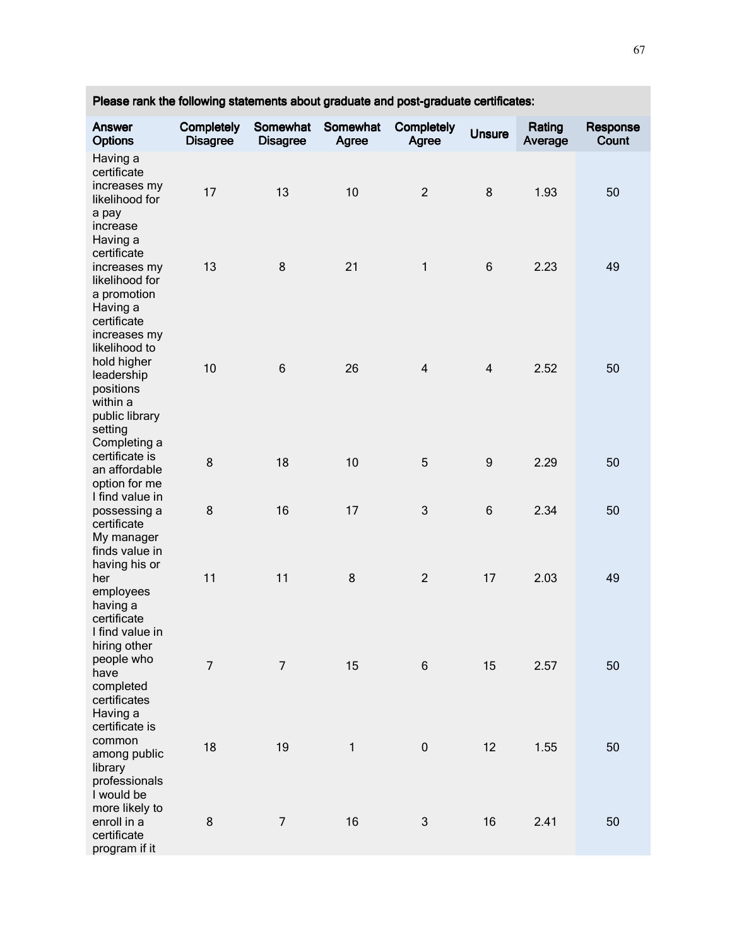| Answer<br><b>Options</b>                                         | Completely<br><b>Disagree</b> | Somewhat<br><b>Disagree</b> | Somewhat<br>Agree | Completely<br>Agree | <b>Unsure</b>    | Rating<br>Average | Response<br>Count |
|------------------------------------------------------------------|-------------------------------|-----------------------------|-------------------|---------------------|------------------|-------------------|-------------------|
| Having a<br>certificate<br>increases my                          |                               |                             |                   |                     |                  |                   |                   |
| likelihood for<br>a pay<br>increase                              | 17                            | 13                          | 10                | $\overline{2}$      | 8                | 1.93              | 50                |
| Having a<br>certificate<br>increases my<br>likelihood for        | 13                            | 8                           | 21                | $\mathbf{1}$        | $\,6$            | 2.23              | 49                |
| a promotion<br>Having a<br>certificate                           |                               |                             |                   |                     |                  |                   |                   |
| increases my<br>likelihood to<br>hold higher<br>leadership       | 10                            | $6\phantom{1}6$             | 26                | $\overline{4}$      | $\overline{4}$   | 2.52              | 50                |
| positions<br>within a<br>public library<br>setting               |                               |                             |                   |                     |                  |                   |                   |
| Completing a<br>certificate is<br>an affordable<br>option for me | 8                             | 18                          | 10                | 5                   | $\boldsymbol{9}$ | 2.29              | 50                |
| I find value in<br>possessing a<br>certificate                   | 8                             | 16                          | 17                | 3                   | $\,6$            | 2.34              | 50                |
| My manager<br>finds value in<br>having his or<br>her             | 11                            | 11                          | 8                 | $\overline{2}$      | 17               | 2.03              | 49                |
| employees<br>having a<br>certificate<br>I find value in          |                               |                             |                   |                     |                  |                   |                   |
| hiring other<br>people who<br>have                               | $\overline{7}$                | $\overline{7}$              | 15                | 6                   | 15               | 2.57              | 50                |
| completed<br>certificates<br>Having a<br>certificate is          |                               |                             |                   |                     |                  |                   |                   |
| common<br>among public<br>library<br>professionals               | 18                            | 19                          | $\mathbf{1}$      | $\pmb{0}$           | 12               | 1.55              | 50                |
| I would be<br>more likely to<br>enroll in a                      | 8                             | $\overline{7}$              | 16                | 3                   | 16               | 2.41              | 50                |
| certificate<br>program if it                                     |                               |                             |                   |                     |                  |                   |                   |

Please rank the following statements about graduate and post-graduate certificates: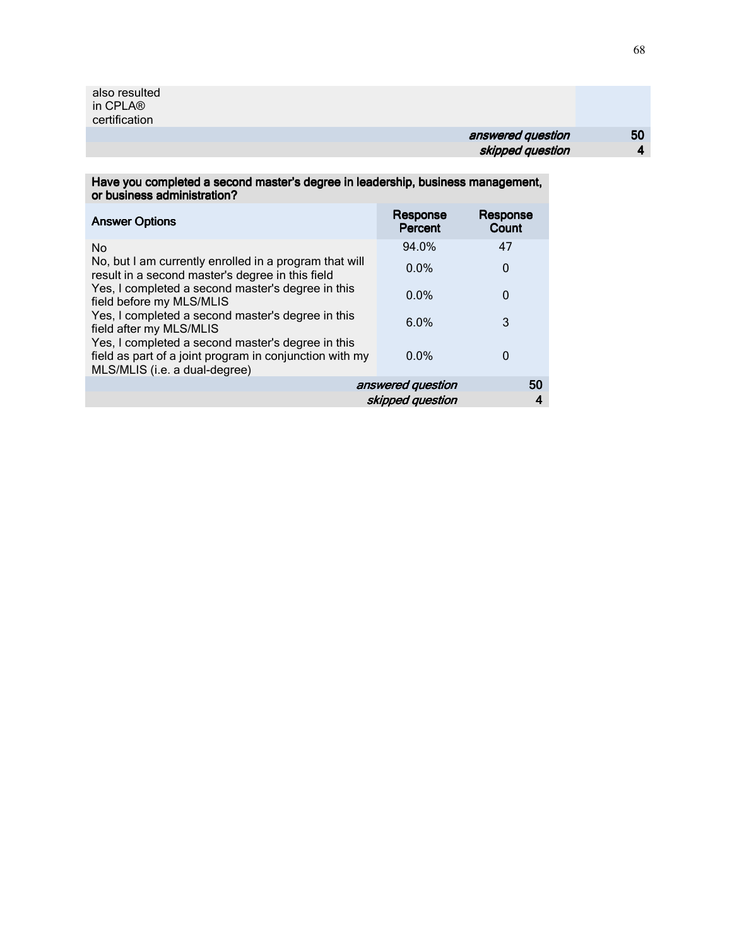## answered question 50 skipped question 4

Have you completed a second master's degree in leadership, business management, or business administration?

| <b>Answer Options</b>                                                                                                                         | Response<br>Percent     | Response<br>Count |  |  |
|-----------------------------------------------------------------------------------------------------------------------------------------------|-------------------------|-------------------|--|--|
| <b>No</b>                                                                                                                                     | 94.0%                   | 47                |  |  |
| No, but I am currently enrolled in a program that will<br>result in a second master's degree in this field                                    | $0.0\%$                 | $\Omega$          |  |  |
| Yes, I completed a second master's degree in this<br>field before my MLS/MLIS                                                                 | $0.0\%$                 | 0                 |  |  |
| Yes, I completed a second master's degree in this<br>field after my MLS/MLIS                                                                  | 6.0%                    | 3                 |  |  |
| Yes, I completed a second master's degree in this<br>field as part of a joint program in conjunction with my<br>MLS/MLIS (i.e. a dual-degree) | $0.0\%$                 | 0                 |  |  |
|                                                                                                                                               | answered question<br>50 |                   |  |  |
| skipped question                                                                                                                              |                         |                   |  |  |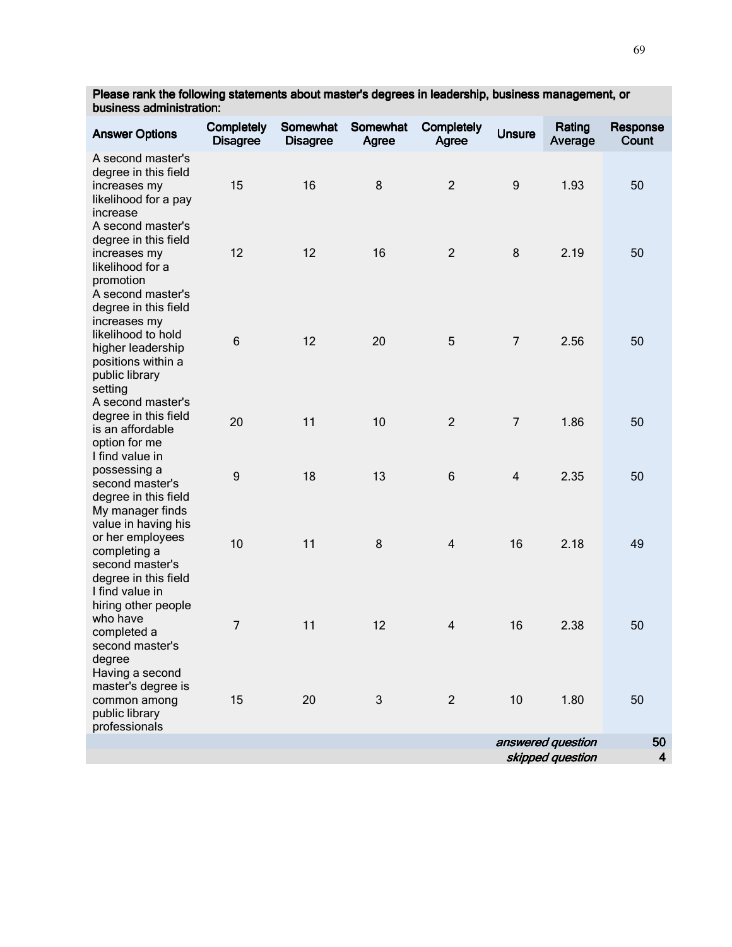Please rank the following statements about master's degrees in leadership, business management, or business administration:

| <b>Answer Options</b>                                                                                                                                   | Completely<br><b>Disagree</b> | Somewhat<br><b>Disagree</b> | Somewhat<br>Agree | Completely<br>Agree | <b>Unsure</b>    | Rating<br>Average                     | Response<br>Count |
|---------------------------------------------------------------------------------------------------------------------------------------------------------|-------------------------------|-----------------------------|-------------------|---------------------|------------------|---------------------------------------|-------------------|
| A second master's<br>degree in this field<br>increases my<br>likelihood for a pay<br>increase                                                           | 15                            | 16                          | 8                 | $\overline{2}$      | $\boldsymbol{9}$ | 1.93                                  | 50                |
| A second master's<br>degree in this field<br>increases my<br>likelihood for a<br>promotion                                                              | 12                            | 12                          | 16                | $\overline{2}$      | 8                | 2.19                                  | 50                |
| A second master's<br>degree in this field<br>increases my<br>likelihood to hold<br>higher leadership<br>positions within a<br>public library<br>setting | 6                             | 12                          | 20                | 5                   | $\overline{7}$   | 2.56                                  | 50                |
| A second master's<br>degree in this field<br>is an affordable<br>option for me                                                                          | 20                            | 11                          | 10                | $\overline{2}$      | $\overline{7}$   | 1.86                                  | 50                |
| I find value in<br>possessing a<br>second master's<br>degree in this field<br>My manager finds                                                          | $\boldsymbol{9}$              | 18                          | 13                | 6                   | $\overline{4}$   | 2.35                                  | 50                |
| value in having his<br>or her employees<br>completing a<br>second master's<br>degree in this field                                                      | 10                            | 11                          | 8                 | $\overline{4}$      | 16               | 2.18                                  | 49                |
| I find value in<br>hiring other people<br>who have<br>completed a<br>second master's<br>degree                                                          | $\overline{7}$                | 11                          | 12                | $\overline{4}$      | 16               | 2.38                                  | 50                |
| Having a second<br>master's degree is<br>common among<br>public library<br>professionals                                                                | 15                            | 20                          | 3                 | $\overline{2}$      | 10               | 1.80                                  | 50                |
|                                                                                                                                                         |                               |                             |                   |                     |                  | answered question<br>skipped question | 50<br>4           |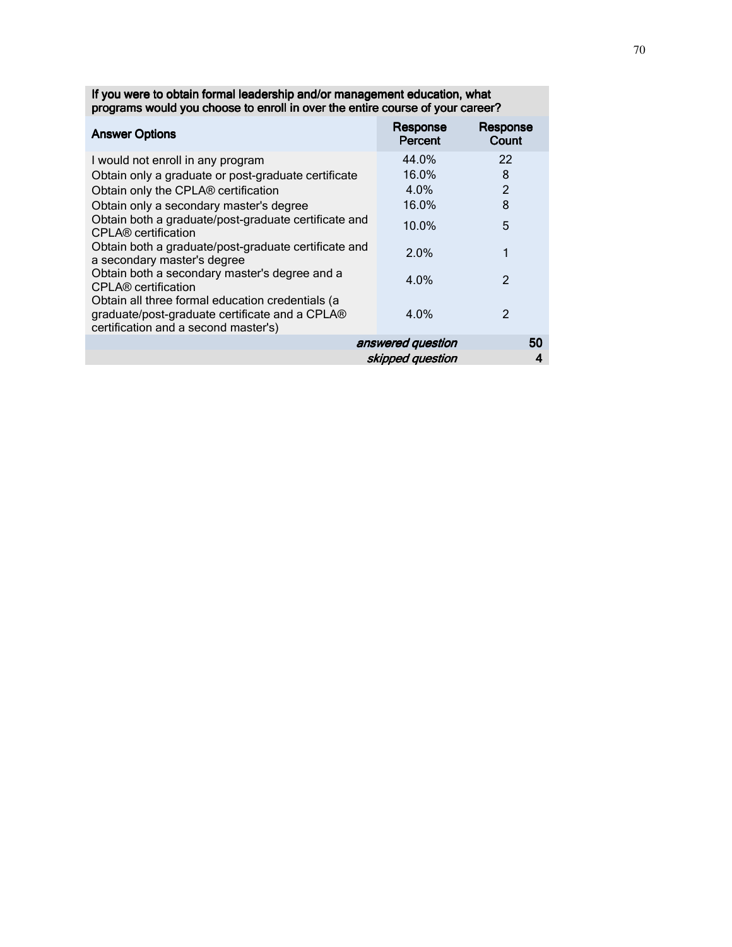| <b>Answer Options</b>                                                                                                                      | Response<br>Percent | Response<br>Count |
|--------------------------------------------------------------------------------------------------------------------------------------------|---------------------|-------------------|
| I would not enroll in any program                                                                                                          | 44.0%               | 22                |
| Obtain only a graduate or post-graduate certificate                                                                                        | 16.0%               | 8                 |
| Obtain only the CPLA® certification                                                                                                        | 4.0%                | $\overline{2}$    |
| Obtain only a secondary master's degree                                                                                                    | 16.0%               | 8                 |
| Obtain both a graduate/post-graduate certificate and<br>CPLA® certification                                                                | 10.0%               | 5                 |
| Obtain both a graduate/post-graduate certificate and<br>a secondary master's degree                                                        | 2.0%                | 1                 |
| Obtain both a secondary master's degree and a<br><b>CPLA<sup>®</sup></b> certification                                                     | 4.0%                | 2                 |
| Obtain all three formal education credentials (a<br>graduate/post-graduate certificate and a CPLA®<br>certification and a second master's) | 4.0%                | $\mathfrak{p}$    |
|                                                                                                                                            | answered question   | 50                |
|                                                                                                                                            | skipped question    | 4                 |

If you were to obtain formal leadership and/or management education, what programs would you choose to enroll in over the entire course of your career?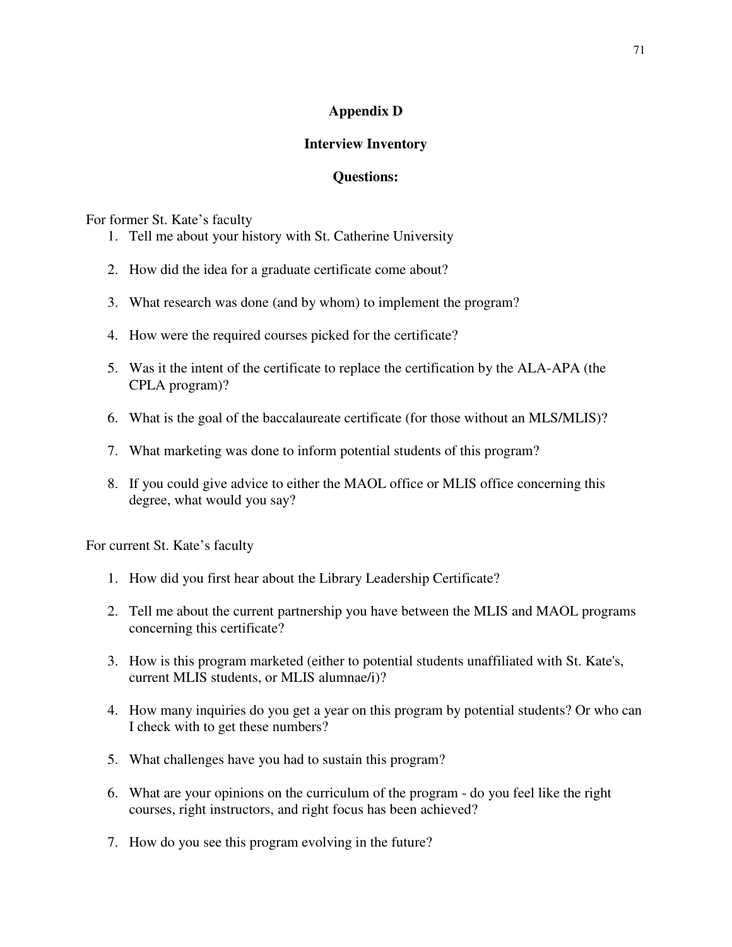## **Appendix D**

## **Interview Inventory**

## **Questions:**

For former St. Kate's faculty

- 1. Tell me about your history with St. Catherine University
- 2. How did the idea for a graduate certificate come about?
- 3. What research was done (and by whom) to implement the program?
- 4. How were the required courses picked for the certificate?
- 5. Was it the intent of the certificate to replace the certification by the ALA-APA (the CPLA program)?
- 6. What is the goal of the baccalaureate certificate (for those without an MLS/MLIS)?
- 7. What marketing was done to inform potential students of this program?
- 8. If you could give advice to either the MAOL office or MLIS office concerning this degree, what would you say?

For current St. Kate's faculty

- 1. How did you first hear about the Library Leadership Certificate?
- 2. Tell me about the current partnership you have between the MLIS and MAOL programs concerning this certificate?
- 3. How is this program marketed (either to potential students unaffiliated with St. Kate's, current MLIS students, or MLIS alumnae/i)?
- 4. How many inquiries do you get a year on this program by potential students? Or who can I check with to get these numbers?
- 5. What challenges have you had to sustain this program?
- 6. What are your opinions on the curriculum of the program do you feel like the right courses, right instructors, and right focus has been achieved?
- 7. How do you see this program evolving in the future?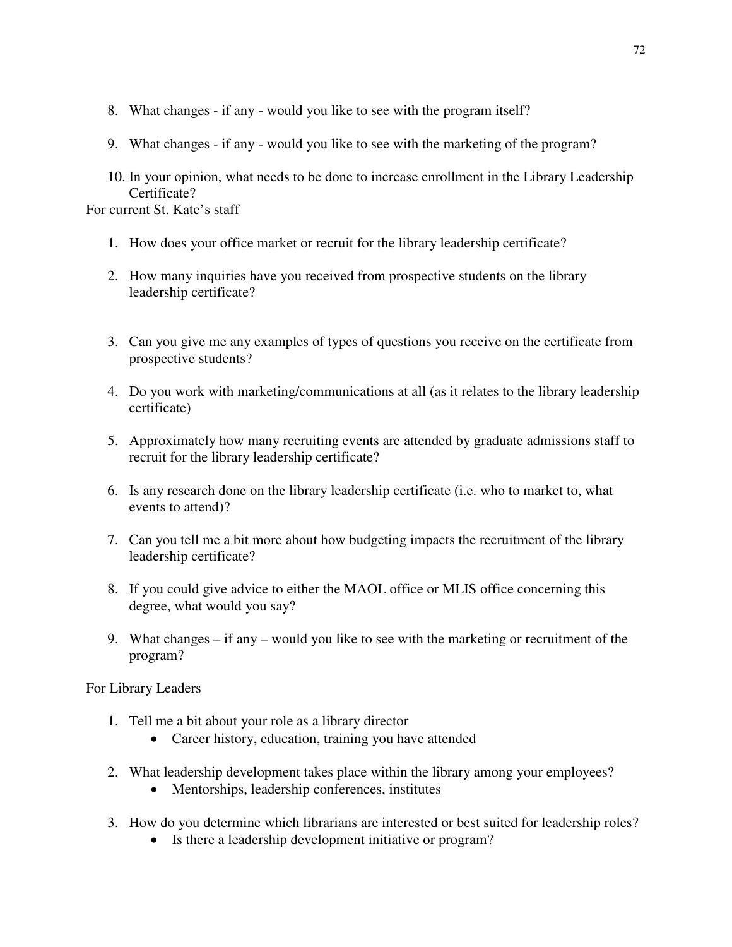- 8. What changes if any would you like to see with the program itself?
- 9. What changes if any would you like to see with the marketing of the program?
- 10. In your opinion, what needs to be done to increase enrollment in the Library Leadership Certificate?

For current St. Kate's staff

- 1. How does your office market or recruit for the library leadership certificate?
- 2. How many inquiries have you received from prospective students on the library leadership certificate?
- 3. Can you give me any examples of types of questions you receive on the certificate from prospective students?
- 4. Do you work with marketing/communications at all (as it relates to the library leadership certificate)
- 5. Approximately how many recruiting events are attended by graduate admissions staff to recruit for the library leadership certificate?
- 6. Is any research done on the library leadership certificate (i.e. who to market to, what events to attend)?
- 7. Can you tell me a bit more about how budgeting impacts the recruitment of the library leadership certificate?
- 8. If you could give advice to either the MAOL office or MLIS office concerning this degree, what would you say?
- 9. What changes if any would you like to see with the marketing or recruitment of the program?

For Library Leaders

- 1. Tell me a bit about your role as a library director
	- Career history, education, training you have attended
- 2. What leadership development takes place within the library among your employees?
	- Mentorships, leadership conferences, institutes
- 3. How do you determine which librarians are interested or best suited for leadership roles?
	- Is there a leadership development initiative or program?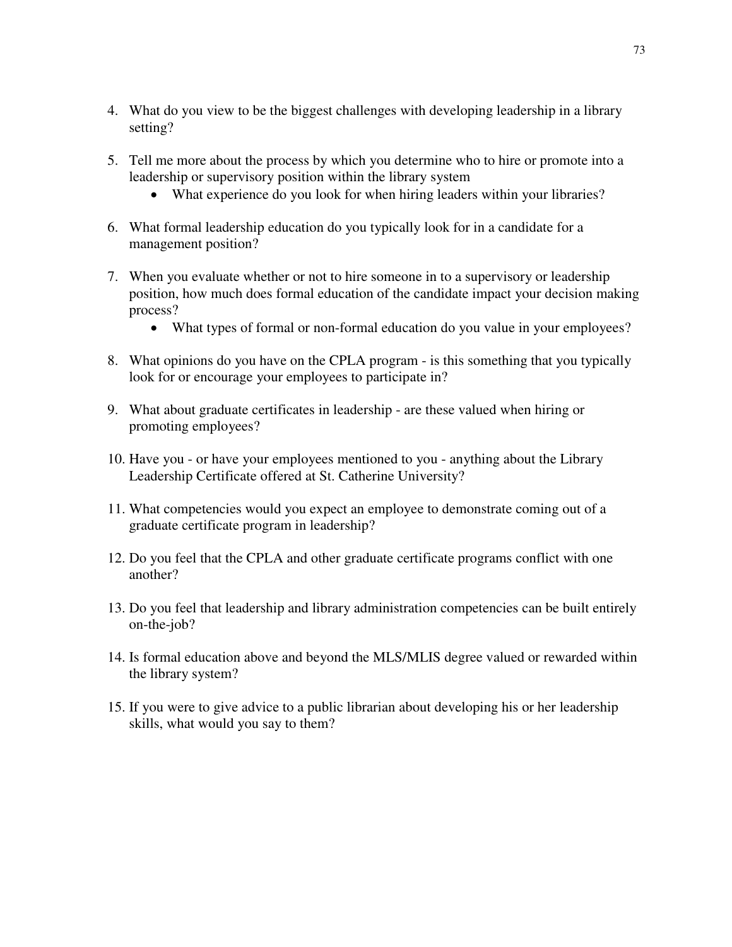- 4. What do you view to be the biggest challenges with developing leadership in a library setting?
- 5. Tell me more about the process by which you determine who to hire or promote into a leadership or supervisory position within the library system
	- What experience do you look for when hiring leaders within your libraries?
- 6. What formal leadership education do you typically look for in a candidate for a management position?
- 7. When you evaluate whether or not to hire someone in to a supervisory or leadership position, how much does formal education of the candidate impact your decision making process?
	- What types of formal or non-formal education do you value in your employees?
- 8. What opinions do you have on the CPLA program is this something that you typically look for or encourage your employees to participate in?
- 9. What about graduate certificates in leadership are these valued when hiring or promoting employees?
- 10. Have you or have your employees mentioned to you anything about the Library Leadership Certificate offered at St. Catherine University?
- 11. What competencies would you expect an employee to demonstrate coming out of a graduate certificate program in leadership?
- 12. Do you feel that the CPLA and other graduate certificate programs conflict with one another?
- 13. Do you feel that leadership and library administration competencies can be built entirely on-the-job?
- 14. Is formal education above and beyond the MLS/MLIS degree valued or rewarded within the library system?
- 15. If you were to give advice to a public librarian about developing his or her leadership skills, what would you say to them?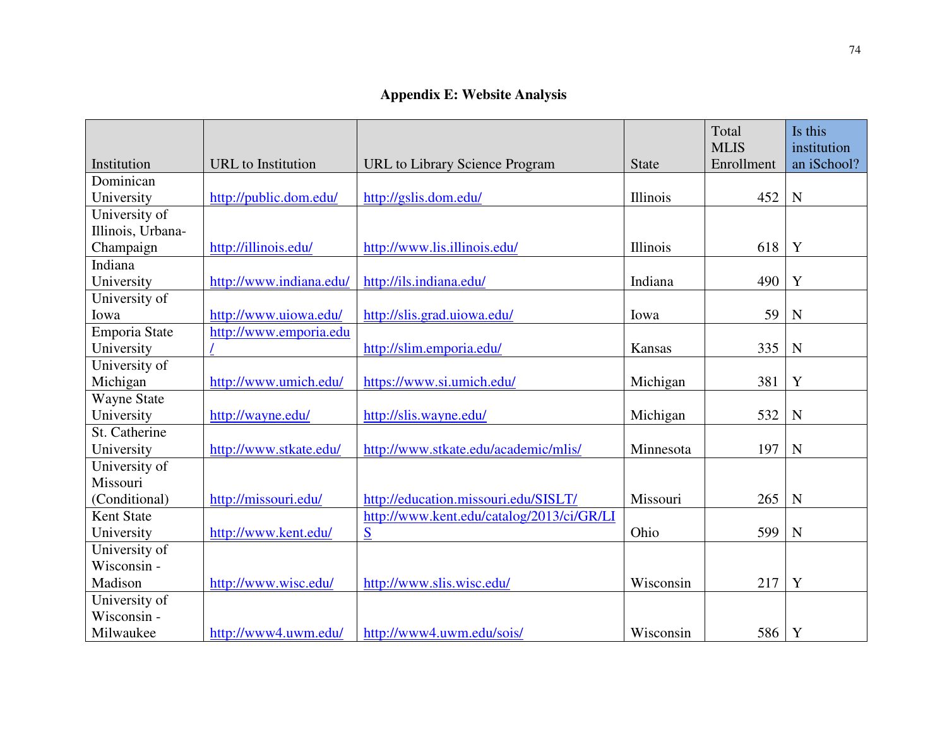|                              |                           |                                           |              | Total<br><b>MLIS</b> | Is this<br>institution |
|------------------------------|---------------------------|-------------------------------------------|--------------|----------------------|------------------------|
| Institution                  | <b>URL</b> to Institution | URL to Library Science Program            | <b>State</b> | Enrollment           | an iSchool?            |
| Dominican                    |                           |                                           |              |                      |                        |
| University                   | http://public.dom.edu/    | http://gslis.dom.edu/                     | Illinois     | 452                  | $\mathbf N$            |
| University of                |                           |                                           |              |                      |                        |
| Illinois, Urbana-            |                           |                                           |              |                      |                        |
| Champaign                    | http://illinois.edu/      | http://www.lis.illinois.edu/              | Illinois     | 618                  | Y                      |
| Indiana                      |                           |                                           |              |                      |                        |
| University                   | http://www.indiana.edu/   | http://ils.indiana.edu/                   | Indiana      | 490                  | Y                      |
| University of                |                           |                                           |              |                      |                        |
| Iowa                         | http://www.uiowa.edu/     | http://slis.grad.uiowa.edu/               | Iowa         | 59                   | $\mathbf N$            |
| Emporia State                | http://www.emporia.edu    |                                           |              |                      |                        |
| University                   |                           | http://slim.emporia.edu/                  | Kansas       | 335                  | $\mathbf N$            |
| University of                |                           |                                           |              |                      |                        |
| Michigan                     | http://www.umich.edu/     | https://www.si.umich.edu/                 | Michigan     | 381                  | Y                      |
| <b>Wayne State</b>           |                           |                                           |              |                      |                        |
| University                   | http://wayne.edu/         | http://slis.wayne.edu/                    | Michigan     | 532                  | $\mathbf N$            |
| St. Catherine                |                           |                                           |              |                      |                        |
| University                   | http://www.stkate.edu/    | http://www.stkate.edu/academic/mlis/      | Minnesota    | 197                  | N                      |
| University of                |                           |                                           |              |                      |                        |
| Missouri                     |                           |                                           |              |                      |                        |
| (Conditional)                | http://missouri.edu/      | http://education.missouri.edu/SISLT/      | Missouri     | 265                  | $\mathbf N$            |
| <b>Kent State</b>            |                           | http://www.kent.edu/catalog/2013/ci/GR/LI |              |                      |                        |
| University                   | http://www.kent.edu/      | S                                         | Ohio         | 599                  | $\mathbf N$            |
| University of                |                           |                                           |              |                      |                        |
| Wisconsin -                  |                           |                                           |              |                      |                        |
| Madison                      | http://www.wisc.edu/      | http://www.slis.wisc.edu/                 | Wisconsin    | 217                  | $\mathbf Y$            |
| University of<br>Wisconsin - |                           |                                           |              |                      |                        |
| Milwaukee                    |                           |                                           | Wisconsin    | 586                  | Y                      |
|                              | http://www4.uwm.edu/      | http://www4.uwm.edu/sois/                 |              |                      |                        |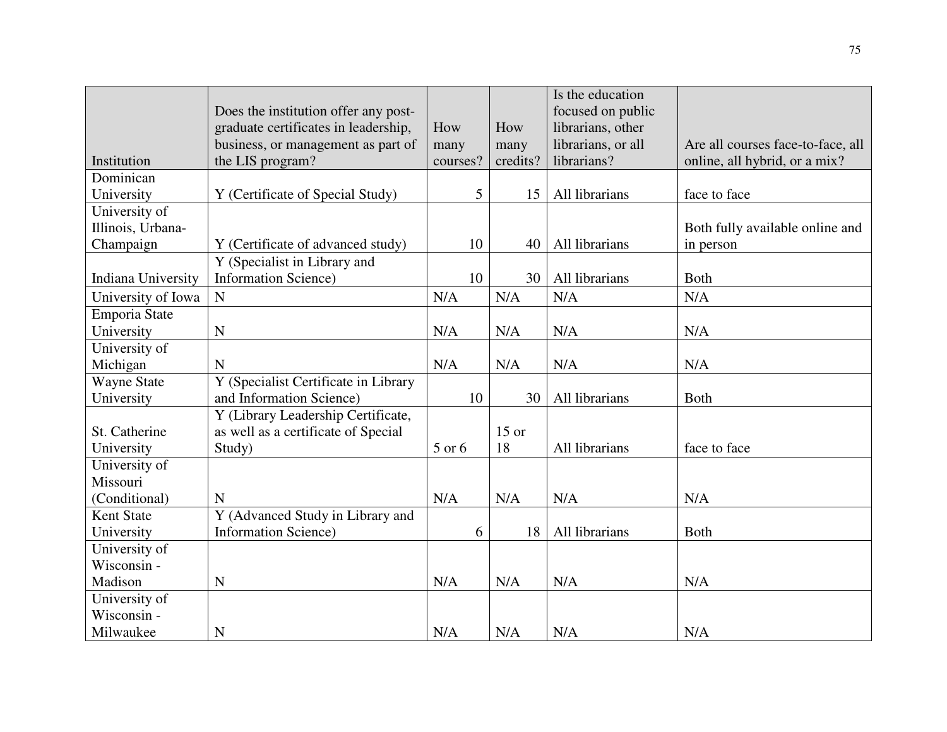|                    |                                      |          |          | Is the education   |                                   |
|--------------------|--------------------------------------|----------|----------|--------------------|-----------------------------------|
|                    | Does the institution offer any post- |          |          | focused on public  |                                   |
|                    | graduate certificates in leadership, | How      | How      | librarians, other  |                                   |
|                    | business, or management as part of   | many     | many     | librarians, or all | Are all courses face-to-face, all |
| Institution        | the LIS program?                     | courses? | credits? | librarians?        | online, all hybrid, or a mix?     |
| Dominican          |                                      |          |          |                    |                                   |
| University         | Y (Certificate of Special Study)     | 5        | 15       | All librarians     | face to face                      |
| University of      |                                      |          |          |                    |                                   |
| Illinois, Urbana-  |                                      |          |          |                    | Both fully available online and   |
| Champaign          | Y (Certificate of advanced study)    | 10       | 40       | All librarians     | in person                         |
|                    | Y (Specialist in Library and         |          |          |                    |                                   |
| Indiana University | <b>Information Science)</b>          | 10       | 30       | All librarians     | Both                              |
| University of Iowa | ${\bf N}$                            | N/A      | N/A      | N/A                | N/A                               |
| Emporia State      |                                      |          |          |                    |                                   |
| University         | $\mathbf N$                          | N/A      | N/A      | N/A                | N/A                               |
| University of      |                                      |          |          |                    |                                   |
| Michigan           | N                                    | N/A      | N/A      | N/A                | N/A                               |
| Wayne State        | Y (Specialist Certificate in Library |          |          |                    |                                   |
| University         | and Information Science)             | 10       | 30       | All librarians     | <b>Both</b>                       |
|                    | Y (Library Leadership Certificate,   |          |          |                    |                                   |
| St. Catherine      | as well as a certificate of Special  |          | $15$ or  |                    |                                   |
| University         | Study)                               | 5 or 6   | 18       | All librarians     | face to face                      |
| University of      |                                      |          |          |                    |                                   |
| Missouri           |                                      |          |          |                    |                                   |
| (Conditional)      | N                                    | N/A      | N/A      | N/A                | N/A                               |
| Kent State         | Y (Advanced Study in Library and     |          |          |                    |                                   |
| University         | <b>Information Science</b> )         | 6        | 18       | All librarians     | <b>Both</b>                       |
| University of      |                                      |          |          |                    |                                   |
| Wisconsin -        |                                      |          |          |                    |                                   |
| Madison            | $\mathbf N$                          | N/A      | N/A      | N/A                | N/A                               |
| University of      |                                      |          |          |                    |                                   |
| Wisconsin -        |                                      |          |          |                    |                                   |
| Milwaukee          | $\mathbf N$                          | N/A      | N/A      | N/A                | N/A                               |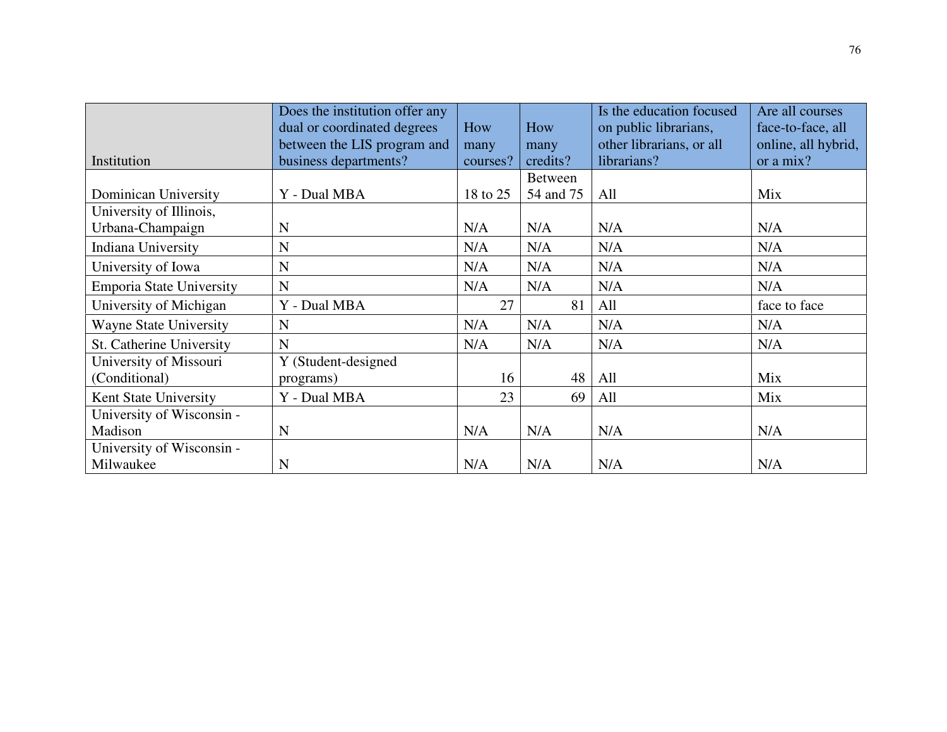|                                 | Does the institution offer any |          |                | Is the education focused | Are all courses     |
|---------------------------------|--------------------------------|----------|----------------|--------------------------|---------------------|
|                                 | dual or coordinated degrees    | How      | How            | on public librarians,    | face-to-face, all   |
|                                 | between the LIS program and    | many     | many           | other librarians, or all | online, all hybrid, |
| Institution                     | business departments?          | courses? | credits?       | librarians?              | or a mix?           |
|                                 |                                |          | <b>Between</b> |                          |                     |
| Dominican University            | Y - Dual MBA                   | 18 to 25 | 54 and 75      | All                      | Mix                 |
| University of Illinois,         |                                |          |                |                          |                     |
| Urbana-Champaign                | $\mathbf N$                    | N/A      | N/A            | N/A                      | N/A                 |
| Indiana University              | $\mathbf N$                    | N/A      | N/A            | N/A                      | N/A                 |
| University of Iowa              | N                              | N/A      | N/A            | N/A                      | N/A                 |
| <b>Emporia State University</b> | N                              | N/A      | N/A            | N/A                      | N/A                 |
| University of Michigan          | Y - Dual MBA                   | 27       | 81             | All                      | face to face        |
| <b>Wayne State University</b>   | N                              | N/A      | N/A            | N/A                      | N/A                 |
| St. Catherine University        | N                              | N/A      | N/A            | N/A                      | N/A                 |
| University of Missouri          | Y (Student-designed            |          |                |                          |                     |
| (Conditional)                   | programs)                      | 16       | 48             | All                      | Mix                 |
| Kent State University           | Y - Dual MBA                   | 23       | 69             | All                      | Mix                 |
| University of Wisconsin -       |                                |          |                |                          |                     |
| Madison                         | $\mathbf N$                    | N/A      | N/A            | N/A                      | N/A                 |
| University of Wisconsin -       |                                |          |                |                          |                     |
| Milwaukee                       | N                              | N/A      | N/A            | N/A                      | N/A                 |